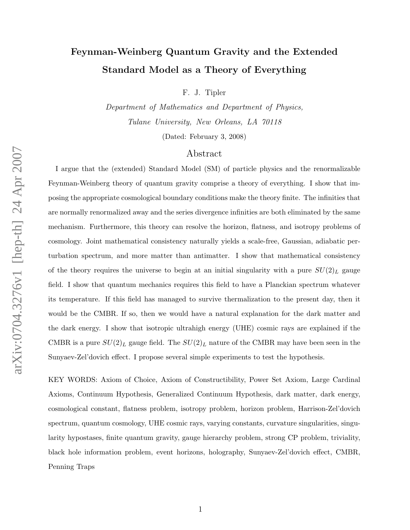# Feynman-Weinberg Quantum Gravity and the Extended Standard Model as a Theory of Everything

F. J. Tipler

Department of Mathematics and Department of Physics, Tulane University, New Orleans, LA 70118

(Dated: February 3, 2008)

### Abstract

I argue that the (extended) Standard Model (SM) of particle physics and the renormalizable Feynman-Weinberg theory of quantum gravity comprise a theory of everything. I show that imposing the appropriate cosmological boundary conditions make the theory finite. The infinities that are normally renormalized away and the series divergence infinities are both eliminated by the same mechanism. Furthermore, this theory can resolve the horizon, flatness, and isotropy problems of cosmology. Joint mathematical consistency naturally yields a scale-free, Gaussian, adiabatic perturbation spectrum, and more matter than antimatter. I show that mathematical consistency of the theory requires the universe to begin at an initial singularity with a pure  $SU(2)_L$  gauge field. I show that quantum mechanics requires this field to have a Planckian spectrum whatever its temperature. If this field has managed to survive thermalization to the present day, then it would be the CMBR. If so, then we would have a natural explanation for the dark matter and the dark energy. I show that isotropic ultrahigh energy (UHE) cosmic rays are explained if the CMBR is a pure  $SU(2)_L$  gauge field. The  $SU(2)_L$  nature of the CMBR may have been seen in the Sunyaev-Zel'dovich effect. I propose several simple experiments to test the hypothesis.

KEY WORDS: Axiom of Choice, Axiom of Constructibility, Power Set Axiom, Large Cardinal Axioms, Continuum Hypothesis, Generalized Continuum Hypothesis, dark matter, dark energy, cosmological constant, flatness problem, isotropy problem, horizon problem, Harrison-Zel'dovich spectrum, quantum cosmology, UHE cosmic rays, varying constants, curvature singularities, singularity hypostases, finite quantum gravity, gauge hierarchy problem, strong CP problem, triviality, black hole information problem, event horizons, holography, Sunyaev-Zel'dovich effect, CMBR, Penning Traps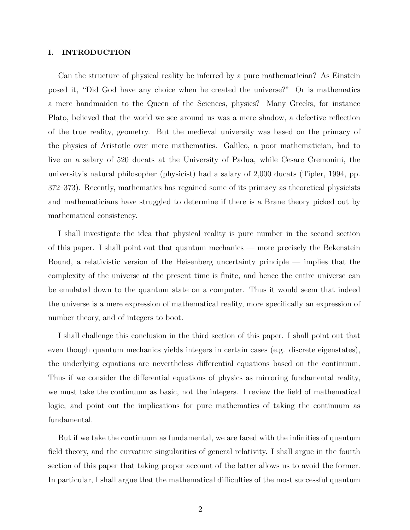### I. INTRODUCTION

Can the structure of physical reality be inferred by a pure mathematician? As Einstein posed it, "Did God have any choice when he created the universe?" Or is mathematics a mere handmaiden to the Queen of the Sciences, physics? Many Greeks, for instance Plato, believed that the world we see around us was a mere shadow, a defective reflection of the true reality, geometry. But the medieval university was based on the primacy of the physics of Aristotle over mere mathematics. Galileo, a poor mathematician, had to live on a salary of 520 ducats at the University of Padua, while Cesare Cremonini, the university's natural philosopher (physicist) had a salary of 2,000 ducats (Tipler, 1994, pp. 372–373). Recently, mathematics has regained some of its primacy as theoretical physicists and mathematicians have struggled to determine if there is a Brane theory picked out by mathematical consistency.

I shall investigate the idea that physical reality is pure number in the second section of this paper. I shall point out that quantum mechanics — more precisely the Bekenstein Bound, a relativistic version of the Heisenberg uncertainty principle — implies that the complexity of the universe at the present time is finite, and hence the entire universe can be emulated down to the quantum state on a computer. Thus it would seem that indeed the universe is a mere expression of mathematical reality, more specifically an expression of number theory, and of integers to boot.

I shall challenge this conclusion in the third section of this paper. I shall point out that even though quantum mechanics yields integers in certain cases (e.g. discrete eigenstates), the underlying equations are nevertheless differential equations based on the continuum. Thus if we consider the differential equations of physics as mirroring fundamental reality, we must take the continuum as basic, not the integers. I review the field of mathematical logic, and point out the implications for pure mathematics of taking the continuum as fundamental.

But if we take the continuum as fundamental, we are faced with the infinities of quantum field theory, and the curvature singularities of general relativity. I shall argue in the fourth section of this paper that taking proper account of the latter allows us to avoid the former. In particular, I shall argue that the mathematical difficulties of the most successful quantum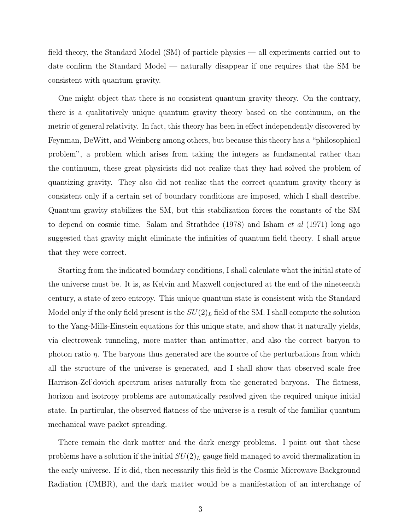field theory, the Standard Model (SM) of particle physics — all experiments carried out to date confirm the Standard Model — naturally disappear if one requires that the SM be consistent with quantum gravity.

One might object that there is no consistent quantum gravity theory. On the contrary, there is a qualitatively unique quantum gravity theory based on the continuum, on the metric of general relativity. In fact, this theory has been in effect independently discovered by Feynman, DeWitt, and Weinberg among others, but because this theory has a "philosophical problem", a problem which arises from taking the integers as fundamental rather than the continuum, these great physicists did not realize that they had solved the problem of quantizing gravity. They also did not realize that the correct quantum gravity theory is consistent only if a certain set of boundary conditions are imposed, which I shall describe. Quantum gravity stabilizes the SM, but this stabilization forces the constants of the SM to depend on cosmic time. Salam and Strathdee (1978) and Isham et al (1971) long ago suggested that gravity might eliminate the infinities of quantum field theory. I shall argue that they were correct.

Starting from the indicated boundary conditions, I shall calculate what the initial state of the universe must be. It is, as Kelvin and Maxwell conjectured at the end of the nineteenth century, a state of zero entropy. This unique quantum state is consistent with the Standard Model only if the only field present is the  $SU(2)_L$  field of the SM. I shall compute the solution to the Yang-Mills-Einstein equations for this unique state, and show that it naturally yields, via electroweak tunneling, more matter than antimatter, and also the correct baryon to photon ratio  $\eta$ . The baryons thus generated are the source of the perturbations from which all the structure of the universe is generated, and I shall show that observed scale free Harrison-Zel'dovich spectrum arises naturally from the generated baryons. The flatness, horizon and isotropy problems are automatically resolved given the required unique initial state. In particular, the observed flatness of the universe is a result of the familiar quantum mechanical wave packet spreading.

There remain the dark matter and the dark energy problems. I point out that these problems have a solution if the initial  $SU(2)_L$  gauge field managed to avoid thermalization in the early universe. If it did, then necessarily this field is the Cosmic Microwave Background Radiation (CMBR), and the dark matter would be a manifestation of an interchange of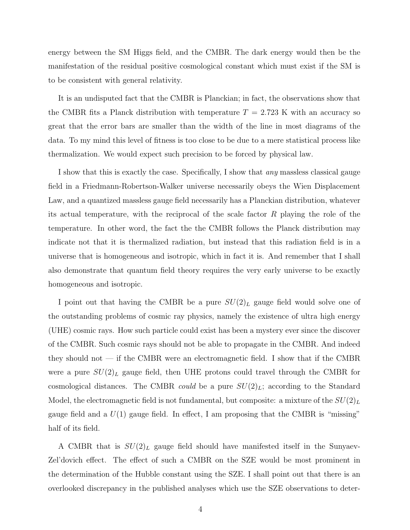energy between the SM Higgs field, and the CMBR. The dark energy would then be the manifestation of the residual positive cosmological constant which must exist if the SM is to be consistent with general relativity.

It is an undisputed fact that the CMBR is Planckian; in fact, the observations show that the CMBR fits a Planck distribution with temperature  $T = 2.723$  K with an accuracy so great that the error bars are smaller than the width of the line in most diagrams of the data. To my mind this level of fitness is too close to be due to a mere statistical process like thermalization. We would expect such precision to be forced by physical law.

I show that this is exactly the case. Specifically, I show that any massless classical gauge field in a Friedmann-Robertson-Walker universe necessarily obeys the Wien Displacement Law, and a quantized massless gauge field necessarily has a Planckian distribution, whatever its actual temperature, with the reciprocal of the scale factor  $R$  playing the role of the temperature. In other word, the fact the the CMBR follows the Planck distribution may indicate not that it is thermalized radiation, but instead that this radiation field is in a universe that is homogeneous and isotropic, which in fact it is. And remember that I shall also demonstrate that quantum field theory requires the very early universe to be exactly homogeneous and isotropic.

I point out that having the CMBR be a pure  $SU(2)_L$  gauge field would solve one of the outstanding problems of cosmic ray physics, namely the existence of ultra high energy (UHE) cosmic rays. How such particle could exist has been a mystery ever since the discover of the CMBR. Such cosmic rays should not be able to propagate in the CMBR. And indeed they should not  $-$  if the CMBR were an electromagnetic field. I show that if the CMBR were a pure  $SU(2)_L$  gauge field, then UHE protons could travel through the CMBR for cosmological distances. The CMBR *could* be a pure  $SU(2)_L$ ; according to the Standard Model, the electromagnetic field is not fundamental, but composite: a mixture of the  $SU(2)_L$ gauge field and a  $U(1)$  gauge field. In effect, I am proposing that the CMBR is "missing" half of its field.

A CMBR that is  $SU(2)_L$  gauge field should have manifested itself in the Sunyaev-Zel'dovich effect. The effect of such a CMBR on the SZE would be most prominent in the determination of the Hubble constant using the SZE. I shall point out that there is an overlooked discrepancy in the published analyses which use the SZE observations to deter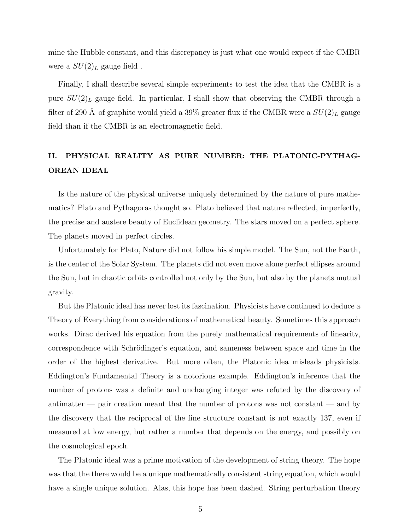mine the Hubble constant, and this discrepancy is just what one would expect if the CMBR were a  $SU(2)_L$  gauge field.

Finally, I shall describe several simple experiments to test the idea that the CMBR is a pure  $SU(2)_L$  gauge field. In particular, I shall show that observing the CMBR through a filter of 290 Å of graphite would yield a 39% greater flux if the CMBR were a  $SU(2)_L$  gauge field than if the CMBR is an electromagnetic field.

# II. PHYSICAL REALITY AS PURE NUMBER: THE PLATONIC-PYTHAG-OREAN IDEAL

Is the nature of the physical universe uniquely determined by the nature of pure mathematics? Plato and Pythagoras thought so. Plato believed that nature reflected, imperfectly, the precise and austere beauty of Euclidean geometry. The stars moved on a perfect sphere. The planets moved in perfect circles.

Unfortunately for Plato, Nature did not follow his simple model. The Sun, not the Earth, is the center of the Solar System. The planets did not even move alone perfect ellipses around the Sun, but in chaotic orbits controlled not only by the Sun, but also by the planets mutual gravity.

But the Platonic ideal has never lost its fascination. Physicists have continued to deduce a Theory of Everything from considerations of mathematical beauty. Sometimes this approach works. Dirac derived his equation from the purely mathematical requirements of linearity, correspondence with Schrödinger's equation, and sameness between space and time in the order of the highest derivative. But more often, the Platonic idea misleads physicists. Eddington's Fundamental Theory is a notorious example. Eddington's inference that the number of protons was a definite and unchanging integer was refuted by the discovery of antimatter — pair creation meant that the number of protons was not constant — and by the discovery that the reciprocal of the fine structure constant is not exactly 137, even if measured at low energy, but rather a number that depends on the energy, and possibly on the cosmological epoch.

The Platonic ideal was a prime motivation of the development of string theory. The hope was that the there would be a unique mathematically consistent string equation, which would have a single unique solution. Alas, this hope has been dashed. String perturbation theory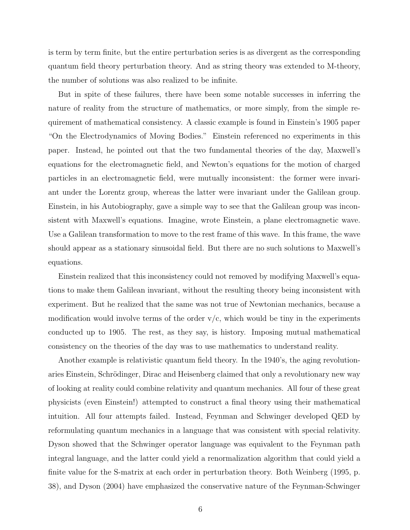is term by term finite, but the entire perturbation series is as divergent as the corresponding quantum field theory perturbation theory. And as string theory was extended to M-theory, the number of solutions was also realized to be infinite.

But in spite of these failures, there have been some notable successes in inferring the nature of reality from the structure of mathematics, or more simply, from the simple requirement of mathematical consistency. A classic example is found in Einstein's 1905 paper "On the Electrodynamics of Moving Bodies." Einstein referenced no experiments in this paper. Instead, he pointed out that the two fundamental theories of the day, Maxwell's equations for the electromagnetic field, and Newton's equations for the motion of charged particles in an electromagnetic field, were mutually inconsistent: the former were invariant under the Lorentz group, whereas the latter were invariant under the Galilean group. Einstein, in his Autobiography, gave a simple way to see that the Galilean group was inconsistent with Maxwell's equations. Imagine, wrote Einstein, a plane electromagnetic wave. Use a Galilean transformation to move to the rest frame of this wave. In this frame, the wave should appear as a stationary sinusoidal field. But there are no such solutions to Maxwell's equations.

Einstein realized that this inconsistency could not removed by modifying Maxwell's equations to make them Galilean invariant, without the resulting theory being inconsistent with experiment. But he realized that the same was not true of Newtonian mechanics, because a modification would involve terms of the order  $v/c$ , which would be tiny in the experiments conducted up to 1905. The rest, as they say, is history. Imposing mutual mathematical consistency on the theories of the day was to use mathematics to understand reality.

Another example is relativistic quantum field theory. In the 1940's, the aging revolutionaries Einstein, Schrödinger, Dirac and Heisenberg claimed that only a revolutionary new way of looking at reality could combine relativity and quantum mechanics. All four of these great physicists (even Einstein!) attempted to construct a final theory using their mathematical intuition. All four attempts failed. Instead, Feynman and Schwinger developed QED by reformulating quantum mechanics in a language that was consistent with special relativity. Dyson showed that the Schwinger operator language was equivalent to the Feynman path integral language, and the latter could yield a renormalization algorithm that could yield a finite value for the S-matrix at each order in perturbation theory. Both Weinberg (1995, p. 38), and Dyson (2004) have emphasized the conservative nature of the Feynman-Schwinger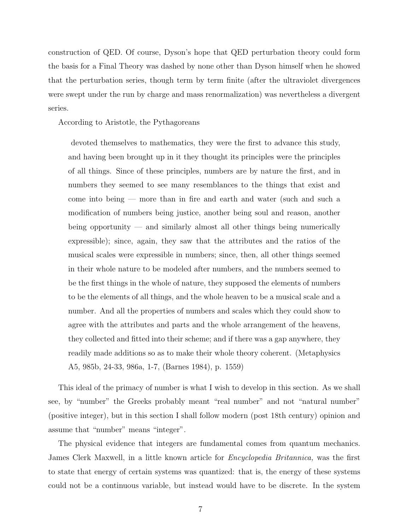construction of QED. Of course, Dyson's hope that QED perturbation theory could form the basis for a Final Theory was dashed by none other than Dyson himself when he showed that the perturbation series, though term by term finite (after the ultraviolet divergences were swept under the run by charge and mass renormalization) was nevertheless a divergent series.

According to Aristotle, the Pythagoreans

devoted themselves to mathematics, they were the first to advance this study, and having been brought up in it they thought its principles were the principles of all things. Since of these principles, numbers are by nature the first, and in numbers they seemed to see many resemblances to the things that exist and come into being — more than in fire and earth and water (such and such a modification of numbers being justice, another being soul and reason, another being opportunity — and similarly almost all other things being numerically expressible); since, again, they saw that the attributes and the ratios of the musical scales were expressible in numbers; since, then, all other things seemed in their whole nature to be modeled after numbers, and the numbers seemed to be the first things in the whole of nature, they supposed the elements of numbers to be the elements of all things, and the whole heaven to be a musical scale and a number. And all the properties of numbers and scales which they could show to agree with the attributes and parts and the whole arrangement of the heavens, they collected and fitted into their scheme; and if there was a gap anywhere, they readily made additions so as to make their whole theory coherent. (Metaphysics A5, 985b, 24-33, 986a, 1-7, (Barnes 1984), p. 1559)

This ideal of the primacy of number is what I wish to develop in this section. As we shall see, by "number" the Greeks probably meant "real number" and not "natural number" (positive integer), but in this section I shall follow modern (post 18th century) opinion and assume that "number" means "integer".

The physical evidence that integers are fundamental comes from quantum mechanics. James Clerk Maxwell, in a little known article for Encyclopedia Britannica, was the first to state that energy of certain systems was quantized: that is, the energy of these systems could not be a continuous variable, but instead would have to be discrete. In the system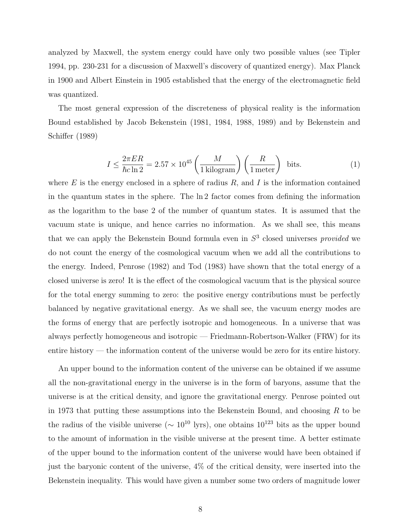analyzed by Maxwell, the system energy could have only two possible values (see Tipler 1994, pp. 230-231 for a discussion of Maxwell's discovery of quantized energy). Max Planck in 1900 and Albert Einstein in 1905 established that the energy of the electromagnetic field was quantized.

The most general expression of the discreteness of physical reality is the information Bound established by Jacob Bekenstein (1981, 1984, 1988, 1989) and by Bekenstein and Schiffer (1989)

$$
I \le \frac{2\pi ER}{\hbar c \ln 2} = 2.57 \times 10^{45} \left(\frac{M}{1 \text{ kilogram}}\right) \left(\frac{R}{1 \text{ meter}}\right) \text{ bits.}
$$
 (1)

where  $E$  is the energy enclosed in a sphere of radius  $R$ , and  $I$  is the information contained in the quantum states in the sphere. The ln 2 factor comes from defining the information as the logarithm to the base 2 of the number of quantum states. It is assumed that the vacuum state is unique, and hence carries no information. As we shall see, this means that we can apply the Bekenstein Bound formula even in  $S<sup>3</sup>$  closed universes *provided* we do not count the energy of the cosmological vacuum when we add all the contributions to the energy. Indeed, Penrose (1982) and Tod (1983) have shown that the total energy of a closed universe is zero! It is the effect of the cosmological vacuum that is the physical source for the total energy summing to zero: the positive energy contributions must be perfectly balanced by negative gravitational energy. As we shall see, the vacuum energy modes are the forms of energy that are perfectly isotropic and homogeneous. In a universe that was always perfectly homogeneous and isotropic — Friedmann-Robertson-Walker (FRW) for its entire history — the information content of the universe would be zero for its entire history.

An upper bound to the information content of the universe can be obtained if we assume all the non-gravitational energy in the universe is in the form of baryons, assume that the universe is at the critical density, and ignore the gravitational energy. Penrose pointed out in 1973 that putting these assumptions into the Bekenstein Bound, and choosing  $R$  to be the radius of the visible universe ( $\sim 10^{10}$  lyrs), one obtains  $10^{123}$  bits as the upper bound to the amount of information in the visible universe at the present time. A better estimate of the upper bound to the information content of the universe would have been obtained if just the baryonic content of the universe, 4% of the critical density, were inserted into the Bekenstein inequality. This would have given a number some two orders of magnitude lower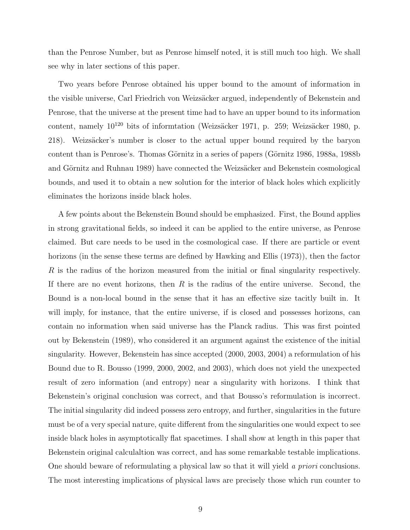than the Penrose Number, but as Penrose himself noted, it is still much too high. We shall see why in later sections of this paper.

Two years before Penrose obtained his upper bound to the amount of information in the visible universe, Carl Friedrich von Weizsäcker argued, independently of Bekenstein and Penrose, that the universe at the present time had to have an upper bound to its information content, namely  $10^{120}$  bits of informtation (Weizsäcker 1971, p. 259; Weizsäcker 1980, p. 218). Weizsäcker's number is closer to the actual upper bound required by the baryon content than is Penrose's. Thomas Görnitz in a series of papers (Görnitz 1986, 1988a, 1988b) and Görnitz and Ruhnau 1989) have connected the Weizsäcker and Bekenstein cosmological bounds, and used it to obtain a new solution for the interior of black holes which explicitly eliminates the horizons inside black holes.

A few points about the Bekenstein Bound should be emphasized. First, the Bound applies in strong gravitational fields, so indeed it can be applied to the entire universe, as Penrose claimed. But care needs to be used in the cosmological case. If there are particle or event horizons (in the sense these terms are defined by Hawking and Ellis (1973)), then the factor R is the radius of the horizon measured from the initial or final singularity respectively. If there are no event horizons, then  $R$  is the radius of the entire universe. Second, the Bound is a non-local bound in the sense that it has an effective size tacitly built in. It will imply, for instance, that the entire universe, if is closed and possesses horizons, can contain no information when said universe has the Planck radius. This was first pointed out by Bekenstein (1989), who considered it an argument against the existence of the initial singularity. However, Bekenstein has since accepted (2000, 2003, 2004) a reformulation of his Bound due to R. Bousso (1999, 2000, 2002, and 2003), which does not yield the unexpected result of zero information (and entropy) near a singularity with horizons. I think that Bekenstein's original conclusion was correct, and that Bousso's reformulation is incorrect. The initial singularity did indeed possess zero entropy, and further, singularities in the future must be of a very special nature, quite different from the singularities one would expect to see inside black holes in asymptotically flat spacetimes. I shall show at length in this paper that Bekenstein original calculaltion was correct, and has some remarkable testable implications. One should beware of reformulating a physical law so that it will yield a *priori* conclusions. The most interesting implications of physical laws are precisely those which run counter to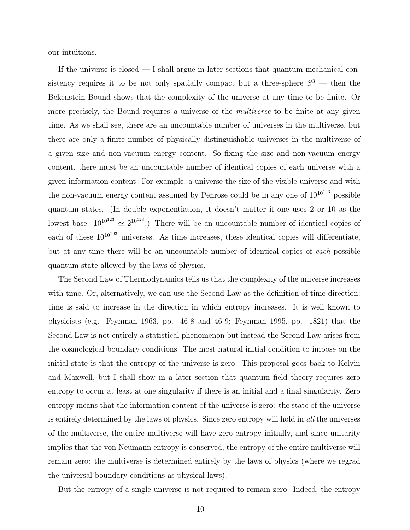our intuitions.

If the universe is closed  $-1$  shall argue in later sections that quantum mechanical consistency requires it to be not only spatially compact but a three-sphere  $S^3$  — then the Bekenstein Bound shows that the complexity of the universe at any time to be finite. Or more precisely, the Bound requires a universe of the *multiverse* to be finite at any given time. As we shall see, there are an uncountable number of universes in the multiverse, but there are only a finite number of physically distinguishable universes in the multiverse of a given size and non-vacuum energy content. So fixing the size and non-vacuum energy content, there must be an uncountable number of identical copies of each universe with a given information content. For example, a universe the size of the visible universe and with the non-vacuum energy content assumed by Penrose could be in any one of  $10^{10^{123}}$  possible quantum states. (In double exponentiation, it doesn't matter if one uses 2 or 10 as the lowest base:  $10^{10^{123}} \approx 2^{10^{123}}$ .) There will be an uncountable number of identical copies of each of these  $10^{10^{123}}$  universes. As time increases, these identical copies will differentiate, but at any time there will be an uncountable number of identical copies of each possible quantum state allowed by the laws of physics.

The Second Law of Thermodynamics tells us that the complexity of the universe increases with time. Or, alternatively, we can use the Second Law as the definition of time direction: time is said to increase in the direction in which entropy increases. It is well known to physicists (e.g. Feynman 1963, pp. 46-8 and 46-9; Feynman 1995, pp. 1821) that the Second Law is not entirely a statistical phenomenon but instead the Second Law arises from the cosmological boundary conditions. The most natural initial condition to impose on the initial state is that the entropy of the universe is zero. This proposal goes back to Kelvin and Maxwell, but I shall show in a later section that quantum field theory requires zero entropy to occur at least at one singularity if there is an initial and a final singularity. Zero entropy means that the information content of the universe is zero: the state of the universe is entirely determined by the laws of physics. Since zero entropy will hold in all the universes of the multiverse, the entire multiverse will have zero entropy initially, and since unitarity implies that the von Neumann entropy is conserved, the entropy of the entire multiverse will remain zero: the multiverse is determined entirely by the laws of physics (where we regrad the universal boundary conditions as physical laws).

But the entropy of a single universe is not required to remain zero. Indeed, the entropy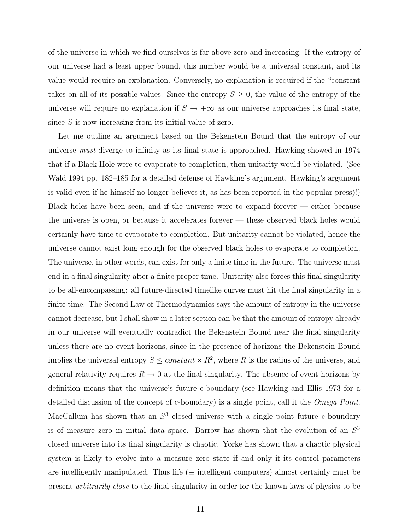of the universe in which we find ourselves is far above zero and increasing. If the entropy of our universe had a least upper bound, this number would be a universal constant, and its value would require an explanation. Conversely, no explanation is required if the "constant takes on all of its possible values. Since the entropy  $S \geq 0$ , the value of the entropy of the universe will require no explanation if  $S \to +\infty$  as our universe approaches its final state, since  $S$  is now increasing from its initial value of zero.

Let me outline an argument based on the Bekenstein Bound that the entropy of our universe must diverge to infinity as its final state is approached. Hawking showed in 1974 that if a Black Hole were to evaporate to completion, then unitarity would be violated. (See Wald 1994 pp. 182–185 for a detailed defense of Hawking's argument. Hawking's argument is valid even if he himself no longer believes it, as has been reported in the popular press)!) Black holes have been seen, and if the universe were to expand forever — either because the universe is open, or because it accelerates forever — these observed black holes would certainly have time to evaporate to completion. But unitarity cannot be violated, hence the universe cannot exist long enough for the observed black holes to evaporate to completion. The universe, in other words, can exist for only a finite time in the future. The universe must end in a final singularity after a finite proper time. Unitarity also forces this final singularity to be all-encompassing: all future-directed timelike curves must hit the final singularity in a finite time. The Second Law of Thermodynamics says the amount of entropy in the universe cannot decrease, but I shall show in a later section can be that the amount of entropy already in our universe will eventually contradict the Bekenstein Bound near the final singularity unless there are no event horizons, since in the presence of horizons the Bekenstein Bound implies the universal entropy  $S \leq constant \times R^2$ , where R is the radius of the universe, and general relativity requires  $R \to 0$  at the final singularity. The absence of event horizons by definition means that the universe's future c-boundary (see Hawking and Ellis 1973 for a detailed discussion of the concept of c-boundary) is a single point, call it the Omega Point. MacCallum has shown that an  $S<sup>3</sup>$  closed universe with a single point future c-boundary is of measure zero in initial data space. Barrow has shown that the evolution of an  $S<sup>3</sup>$ closed universe into its final singularity is chaotic. Yorke has shown that a chaotic physical system is likely to evolve into a measure zero state if and only if its control parameters are intelligently manipulated. Thus life ( $\equiv$  intelligent computers) almost certainly must be present arbitrarily close to the final singularity in order for the known laws of physics to be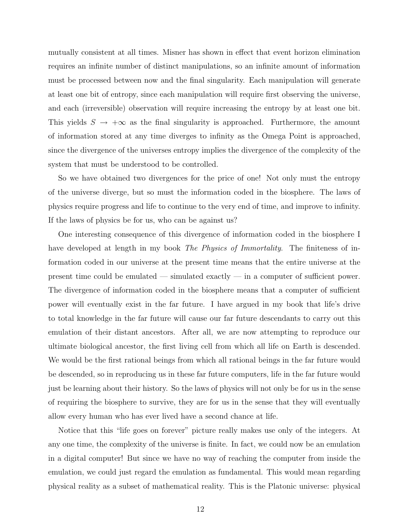mutually consistent at all times. Misner has shown in effect that event horizon elimination requires an infinite number of distinct manipulations, so an infinite amount of information must be processed between now and the final singularity. Each manipulation will generate at least one bit of entropy, since each manipulation will require first observing the universe, and each (irreversible) observation will require increasing the entropy by at least one bit. This yields  $S \to +\infty$  as the final singularity is approached. Furthermore, the amount of information stored at any time diverges to infinity as the Omega Point is approached, since the divergence of the universes entropy implies the divergence of the complexity of the system that must be understood to be controlled.

So we have obtained two divergences for the price of one! Not only must the entropy of the universe diverge, but so must the information coded in the biosphere. The laws of physics require progress and life to continue to the very end of time, and improve to infinity. If the laws of physics be for us, who can be against us?

One interesting consequence of this divergence of information coded in the biosphere I have developed at length in my book *The Physics of Immortality*. The finiteness of information coded in our universe at the present time means that the entire universe at the present time could be emulated — simulated exactly — in a computer of sufficient power. The divergence of information coded in the biosphere means that a computer of sufficient power will eventually exist in the far future. I have argued in my book that life's drive to total knowledge in the far future will cause our far future descendants to carry out this emulation of their distant ancestors. After all, we are now attempting to reproduce our ultimate biological ancestor, the first living cell from which all life on Earth is descended. We would be the first rational beings from which all rational beings in the far future would be descended, so in reproducing us in these far future computers, life in the far future would just be learning about their history. So the laws of physics will not only be for us in the sense of requiring the biosphere to survive, they are for us in the sense that they will eventually allow every human who has ever lived have a second chance at life.

Notice that this "life goes on forever" picture really makes use only of the integers. At any one time, the complexity of the universe is finite. In fact, we could now be an emulation in a digital computer! But since we have no way of reaching the computer from inside the emulation, we could just regard the emulation as fundamental. This would mean regarding physical reality as a subset of mathematical reality. This is the Platonic universe: physical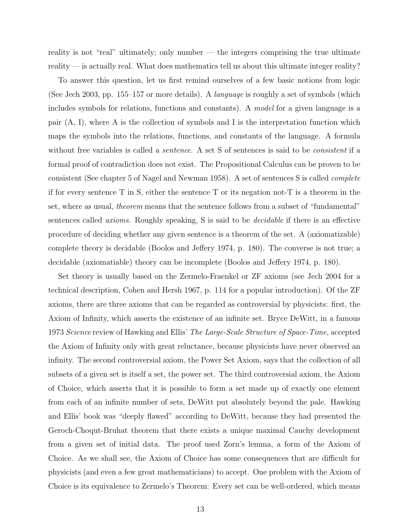reality is not "real" ultimately; only number — the integers comprising the true ultimate reality — is actually real. What does mathematics tell us about this ultimate integer reality?

To answer this question, let us first remind ourselves of a few basic notions from logic (See Jech 2003, pp. 155–157 or more details). A language is roughly a set of symbols (which includes symbols for relations, functions and constants). A model for a given language is a pair (A, I), where A is the collection of symbols and I is the interpretation function which maps the symbols into the relations, functions, and constants of the language. A formula without free variables is called a *sentence*. A set S of sentences is said to be *consistent* if a formal proof of contradiction does not exist. The Propositional Calculus can be proven to be consistent (See chapter 5 of Nagel and Newman 1958). A set of sentences S is called complete if for every sentence T in S, either the sentence T or its negation not-T is a theorem in the set, where as usual, theorem means that the sentence follows from a subset of "fundamental" sentences called axioms. Roughly speaking, S is said to be decidable if there is an effective procedure of deciding whether any given sentence is a theorem of the set. A (axiomatizable) complete theory is decidable (Boolos and Jeffery 1974, p. 180). The converse is not true; a decidable (axiomatiable) theory can be incomplete (Boolos and Jeffery 1974, p. 180).

Set theory is usually based on the Zermelo-Fraenkel or ZF axioms (see Jech 2004 for a technical description, Cohen and Hersh 1967, p. 114 for a popular introduction). Of the ZF axioms, there are three axioms that can be regarded as controversial by physicists: first, the Axiom of Infinity, which asserts the existence of an infinite set. Bryce DeWitt, in a famous 1973 Science review of Hawking and Ellis' The Large-Scale Structure of Space-Time, accepted the Axiom of Infinity only with great reluctance, because physicists have never observed an infinity. The second controversial axiom, the Power Set Axiom, says that the collection of all subsets of a given set is itself a set, the power set. The third controversial axiom, the Axiom of Choice, which asserts that it is possible to form a set made up of exactly one element from each of an infinite number of sets, DeWitt put absolutely beyond the pale. Hawking and Ellis' book was "deeply flawed" according to DeWitt, because they had presented the Geroch-Choqut-Bruhat theorem that there exists a unique maximal Cauchy development from a given set of initial data. The proof used Zorn's lemma, a form of the Axiom of Choice. As we shall see, the Axiom of Choice has some consequences that are difficult for physicists (and even a few great mathematicians) to accept. One problem with the Axiom of Choice is its equivalence to Zermelo's Theorem: Every set can be well-ordered, which means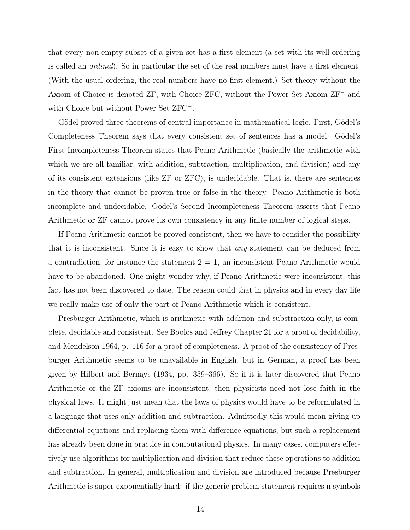that every non-empty subset of a given set has a first element (a set with its well-ordering is called an ordinal). So in particular the set of the real numbers must have a first element. (With the usual ordering, the real numbers have no first element.) Set theory without the Axiom of Choice is denoted ZF, with Choice ZFC, without the Power Set Axiom ZF<sup>−</sup> and with Choice but without Power Set ZFC<sup>−</sup>.

Gödel proved three theorems of central importance in mathematical logic. First, Gödel's Completeness Theorem says that every consistent set of sentences has a model. Gödel's First Incompleteness Theorem states that Peano Arithmetic (basically the arithmetic with which we are all familiar, with addition, subtraction, multiplication, and division) and any of its consistent extensions (like ZF or ZFC), is undecidable. That is, there are sentences in the theory that cannot be proven true or false in the theory. Peano Arithmetic is both incomplete and undecidable. Gödel's Second Incompleteness Theorem asserts that Peano Arithmetic or ZF cannot prove its own consistency in any finite number of logical steps.

If Peano Arithmetic cannot be proved consistent, then we have to consider the possibility that it is inconsistent. Since it is easy to show that any statement can be deduced from a contradiction, for instance the statement  $2 = 1$ , an inconsistent Peano Arithmetic would have to be abandoned. One might wonder why, if Peano Arithmetic were inconsistent, this fact has not been discovered to date. The reason could that in physics and in every day life we really make use of only the part of Peano Arithmetic which is consistent.

Presburger Arithmetic, which is arithmetic with addition and substraction only, is complete, decidable and consistent. See Boolos and Jeffrey Chapter 21 for a proof of decidability, and Mendelson 1964, p. 116 for a proof of completeness. A proof of the consistency of Presburger Arithmetic seems to be unavailable in English, but in German, a proof has been given by Hilbert and Bernays (1934, pp. 359–366). So if it is later discovered that Peano Arithmetic or the ZF axioms are inconsistent, then physicists need not lose faith in the physical laws. It might just mean that the laws of physics would have to be reformulated in a language that uses only addition and subtraction. Admittedly this would mean giving up differential equations and replacing them with difference equations, but such a replacement has already been done in practice in computational physics. In many cases, computers effectively use algorithms for multiplication and division that reduce these operations to addition and subtraction. In general, multiplication and division are introduced because Presburger Arithmetic is super-exponentially hard: if the generic problem statement requires n symbols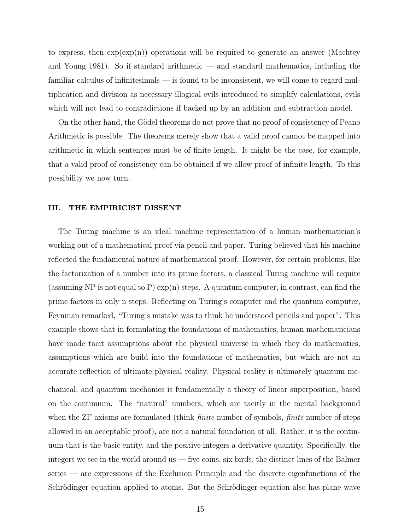to express, then  $\exp(\exp(n))$  operations will be required to generate an answer (Machtey and Young 1981). So if standard arithmetic — and standard mathematics, including the familiar calculus of infinitesimals — is found to be inconsistent, we will come to regard multiplication and division as necessary illogical evils introduced to simplify calculations, evils which will not lead to contradictions if backed up by an addition and subtraction model.

On the other hand, the Gödel theorems do not prove that no proof of consistency of Peano Arithmetic is possible. The theorems merely show that a valid proof cannot be mapped into arithmetic in which sentences must be of finite length. It might be the case, for example, that a valid proof of consistency can be obtained if we allow proof of infinite length. To this possibility we now turn.

#### III. THE EMPIRICIST DISSENT

The Turing machine is an ideal machine representation of a human mathematician's working out of a mathematical proof via pencil and paper. Turing believed that his machine reflected the fundamental nature of mathematical proof. However, for certain problems, like the factorization of a number into its prime factors, a classical Turing machine will require (assuming NP is not equal to P)  $\exp(n)$  steps. A quantum computer, in contrast, can find the prime factors in only n steps. Reflecting on Turing's computer and the quantum computer, Feynman remarked, "Turing's mistake was to think he understood pencils and paper". This example shows that in formulating the foundations of mathematics, human mathematicians have made tacit assumptions about the physical universe in which they do mathematics, assumptions which are build into the foundations of mathematics, but which are not an accurate reflection of ultimate physical reality. Physical reality is ultimately quantum mechanical, and quantum mechanics is fundamentally a theory of linear superposition, based on the continuum. The "natural" numbers, which are tacitly in the mental background when the ZF axioms are formulated (think *finite* number of symbols, *finite* number of steps allowed in an acceptable proof), are not a natural foundation at all. Rather, it is the continuum that is the basic entity, and the positive integers a derivative quantity. Specifically, the integers we see in the world around us — five coins, six birds, the distinct lines of the Balmer series — are expressions of the Exclusion Principle and the discrete eigenfunctions of the Schrödinger equation applied to atoms. But the Schrödinger equation also has plane wave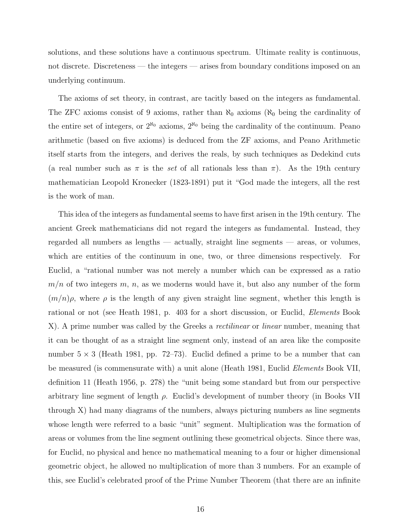solutions, and these solutions have a continuous spectrum. Ultimate reality is continuous, not discrete. Discreteness — the integers — arises from boundary conditions imposed on an underlying continuum.

The axioms of set theory, in contrast, are tacitly based on the integers as fundamental. The ZFC axioms consist of 9 axioms, rather than  $\aleph_0$  axioms ( $\aleph_0$  being the cardinality of the entire set of integers, or  $2^{\aleph_0}$  axioms,  $2^{\aleph_0}$  being the cardinality of the continuum. Peano arithmetic (based on five axioms) is deduced from the ZF axioms, and Peano Arithmetic itself starts from the integers, and derives the reals, by such techniques as Dedekind cuts (a real number such as  $\pi$  is the set of all rationals less than  $\pi$ ). As the 19th century mathematician Leopold Kronecker (1823-1891) put it "God made the integers, all the rest is the work of man.

This idea of the integers as fundamental seems to have first arisen in the 19th century. The ancient Greek mathematicians did not regard the integers as fundamental. Instead, they regarded all numbers as lengths — actually, straight line segments — areas, or volumes, which are entities of the continuum in one, two, or three dimensions respectively. For Euclid, a "rational number was not merely a number which can be expressed as a ratio  $m/n$  of two integers m, n, as we moderns would have it, but also any number of the form  $(m/n)\rho$ , where  $\rho$  is the length of any given straight line segment, whether this length is rational or not (see Heath 1981, p. 403 for a short discussion, or Euclid, Elements Book X). A prime number was called by the Greeks a *rectilinear* or *linear* number, meaning that it can be thought of as a straight line segment only, instead of an area like the composite number  $5 \times 3$  (Heath 1981, pp. 72–73). Euclid defined a prime to be a number that can be measured (is commensurate with) a unit alone (Heath 1981, Euclid Elements Book VII, definition 11 (Heath 1956, p. 278) the "unit being some standard but from our perspective arbitrary line segment of length  $\rho$ . Euclid's development of number theory (in Books VII through X) had many diagrams of the numbers, always picturing numbers as line segments whose length were referred to a basic "unit" segment. Multiplication was the formation of areas or volumes from the line segment outlining these geometrical objects. Since there was, for Euclid, no physical and hence no mathematical meaning to a four or higher dimensional geometric object, he allowed no multiplication of more than 3 numbers. For an example of this, see Euclid's celebrated proof of the Prime Number Theorem (that there are an infinite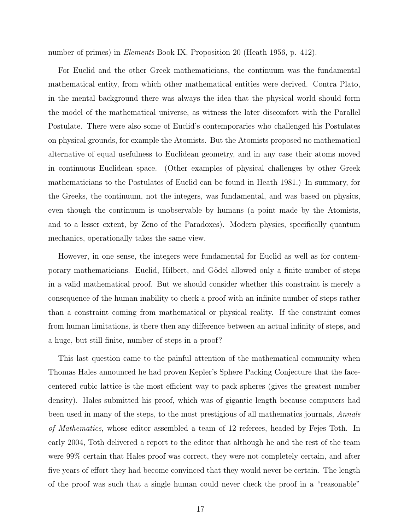number of primes) in Elements Book IX, Proposition 20 (Heath 1956, p. 412).

For Euclid and the other Greek mathematicians, the continuum was the fundamental mathematical entity, from which other mathematical entities were derived. Contra Plato, in the mental background there was always the idea that the physical world should form the model of the mathematical universe, as witness the later discomfort with the Parallel Postulate. There were also some of Euclid's contemporaries who challenged his Postulates on physical grounds, for example the Atomists. But the Atomists proposed no mathematical alternative of equal usefulness to Euclidean geometry, and in any case their atoms moved in continuous Euclidean space. (Other examples of physical challenges by other Greek mathematicians to the Postulates of Euclid can be found in Heath 1981.) In summary, for the Greeks, the continuum, not the integers, was fundamental, and was based on physics, even though the continuum is unobservable by humans (a point made by the Atomists, and to a lesser extent, by Zeno of the Paradoxes). Modern physics, specifically quantum mechanics, operationally takes the same view.

However, in one sense, the integers were fundamental for Euclid as well as for contemporary mathematicians. Euclid, Hilbert, and Gödel allowed only a finite number of steps in a valid mathematical proof. But we should consider whether this constraint is merely a consequence of the human inability to check a proof with an infinite number of steps rather than a constraint coming from mathematical or physical reality. If the constraint comes from human limitations, is there then any difference between an actual infinity of steps, and a huge, but still finite, number of steps in a proof?

This last question came to the painful attention of the mathematical community when Thomas Hales announced he had proven Kepler's Sphere Packing Conjecture that the facecentered cubic lattice is the most efficient way to pack spheres (gives the greatest number density). Hales submitted his proof, which was of gigantic length because computers had been used in many of the steps, to the most prestigious of all mathematics journals, Annals of Mathematics, whose editor assembled a team of 12 referees, headed by Fejes Toth. In early 2004, Toth delivered a report to the editor that although he and the rest of the team were 99% certain that Hales proof was correct, they were not completely certain, and after five years of effort they had become convinced that they would never be certain. The length of the proof was such that a single human could never check the proof in a "reasonable"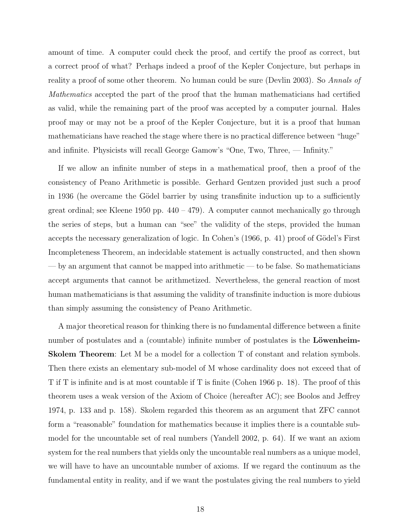amount of time. A computer could check the proof, and certify the proof as correct, but a correct proof of what? Perhaps indeed a proof of the Kepler Conjecture, but perhaps in reality a proof of some other theorem. No human could be sure (Devlin 2003). So Annals of Mathematics accepted the part of the proof that the human mathematicians had certified as valid, while the remaining part of the proof was accepted by a computer journal. Hales proof may or may not be a proof of the Kepler Conjecture, but it is a proof that human mathematicians have reached the stage where there is no practical difference between "huge" and infinite. Physicists will recall George Gamow's "One, Two, Three, — Infinity."

If we allow an infinite number of steps in a mathematical proof, then a proof of the consistency of Peano Arithmetic is possible. Gerhard Gentzen provided just such a proof in 1936 (he overcame the Gödel barrier by using transfinite induction up to a sufficiently great ordinal; see Kleene 1950 pp.  $440 - 479$ ). A computer cannot mechanically go through the series of steps, but a human can "see" the validity of the steps, provided the human accepts the necessary generalization of logic. In Cohen's (1966, p. 41) proof of Gödel's First Incompleteness Theorem, an indecidable statement is actually constructed, and then shown — by an argument that cannot be mapped into arithmetic — to be false. So mathematicians accept arguments that cannot be arithmetized. Nevertheless, the general reaction of most human mathematicians is that assuming the validity of transfinite induction is more dubious than simply assuming the consistency of Peano Arithmetic.

A major theoretical reason for thinking there is no fundamental difference between a finite number of postulates and a (countable) infinite number of postulates is the Löwenheim-Skolem Theorem: Let M be a model for a collection T of constant and relation symbols. Then there exists an elementary sub-model of M whose cardinality does not exceed that of T if T is infinite and is at most countable if T is finite (Cohen 1966 p. 18). The proof of this theorem uses a weak version of the Axiom of Choice (hereafter AC); see Boolos and Jeffrey 1974, p. 133 and p. 158). Skolem regarded this theorem as an argument that ZFC cannot form a "reasonable" foundation for mathematics because it implies there is a countable submodel for the uncountable set of real numbers (Yandell 2002, p. 64). If we want an axiom system for the real numbers that yields only the uncountable real numbers as a unique model, we will have to have an uncountable number of axioms. If we regard the continuum as the fundamental entity in reality, and if we want the postulates giving the real numbers to yield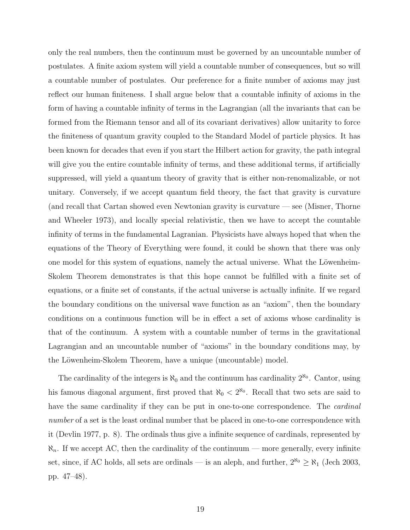only the real numbers, then the continuum must be governed by an uncountable number of postulates. A finite axiom system will yield a countable number of consequences, but so will a countable number of postulates. Our preference for a finite number of axioms may just reflect our human finiteness. I shall argue below that a countable infinity of axioms in the form of having a countable infinity of terms in the Lagrangian (all the invariants that can be formed from the Riemann tensor and all of its covariant derivatives) allow unitarity to force the finiteness of quantum gravity coupled to the Standard Model of particle physics. It has been known for decades that even if you start the Hilbert action for gravity, the path integral will give you the entire countable infinity of terms, and these additional terms, if artificially suppressed, will yield a quantum theory of gravity that is either non-renomalizable, or not unitary. Conversely, if we accept quantum field theory, the fact that gravity is curvature (and recall that Cartan showed even Newtonian gravity is curvature — see (Misner, Thorne and Wheeler 1973), and locally special relativistic, then we have to accept the countable infinity of terms in the fundamental Lagranian. Physicists have always hoped that when the equations of the Theory of Everything were found, it could be shown that there was only one model for this system of equations, namely the actual universe. What the Löwenheim-Skolem Theorem demonstrates is that this hope cannot be fulfilled with a finite set of equations, or a finite set of constants, if the actual universe is actually infinite. If we regard the boundary conditions on the universal wave function as an "axiom", then the boundary conditions on a continuous function will be in effect a set of axioms whose cardinality is that of the continuum. A system with a countable number of terms in the gravitational Lagrangian and an uncountable number of "axioms" in the boundary conditions may, by the Löwenheim-Skolem Theorem, have a unique (uncountable) model.

The cardinality of the integers is  $\aleph_0$  and the continuum has cardinality  $2^{\aleph_0}$ . Cantor, using his famous diagonal argument, first proved that  $\aleph_0 < 2^{\aleph_0}$ . Recall that two sets are said to have the same cardinality if they can be put in one-to-one correspondence. The *cardinal* number of a set is the least ordinal number that be placed in one-to-one correspondence with it (Devlin 1977, p. 8). The ordinals thus give a infinite sequence of cardinals, represented by  $\aleph_n$ . If we accept AC, then the cardinality of the continuum — more generally, every infinite set, since, if AC holds, all sets are ordinals — is an aleph, and further,  $2^{\aleph_0} \ge \aleph_1$  (Jech 2003, pp. 47–48).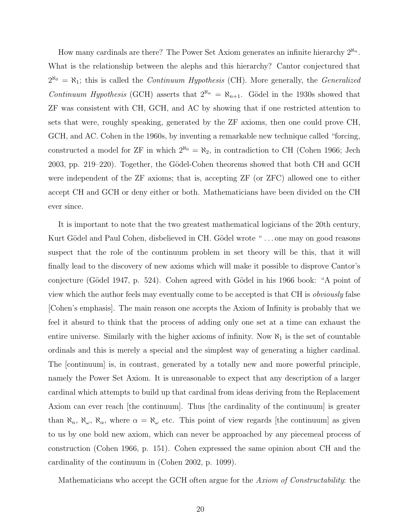How many cardinals are there? The Power Set Axiom generates an infinite hierarchy  $2^{\aleph_n}$ . What is the relationship between the alephs and this hierarchy? Cantor conjectured that  $2^{\aleph_0} = \aleph_1$ ; this is called the *Continuum Hypothesis* (CH). More generally, the *Generalized* Continuum Hypothesis (GCH) asserts that  $2^{\aleph_n} = \aleph_{n+1}$ . Gödel in the 1930s showed that ZF was consistent with CH, GCH, and AC by showing that if one restricted attention to sets that were, roughly speaking, generated by the ZF axioms, then one could prove CH, GCH, and AC. Cohen in the 1960s, by inventing a remarkable new technique called "forcing, constructed a model for ZF in which  $2^{\aleph_0} = \aleph_2$ , in contradiction to CH (Cohen 1966; Jech 2003, pp. 219–220). Together, the Gödel-Cohen theorems showed that both CH and GCH were independent of the ZF axioms; that is, accepting ZF (or ZFC) allowed one to either accept CH and GCH or deny either or both. Mathematicians have been divided on the CH ever since.

It is important to note that the two greatest mathematical logicians of the 20th century, Kurt Gödel and Paul Cohen, disbelieved in CH. Gödel wrote "... one may on good reasons suspect that the role of the continuum problem in set theory will be this, that it will finally lead to the discovery of new axioms which will make it possible to disprove Cantor's conjecture (Gödel 1947, p. 524). Cohen agreed with Gödel in his 1966 book: "A point of view which the author feels may eventually come to be accepted is that CH is obviously false [Cohen's emphasis]. The main reason one accepts the Axiom of Infinity is probably that we feel it absurd to think that the process of adding only one set at a time can exhaust the entire universe. Similarly with the higher axioms of infinity. Now  $\aleph_1$  is the set of countable ordinals and this is merely a special and the simplest way of generating a higher cardinal. The [continuum] is, in contrast, generated by a totally new and more powerful principle, namely the Power Set Axiom. It is unreasonable to expect that any description of a larger cardinal which attempts to build up that cardinal from ideas deriving from the Replacement Axiom can ever reach [the continuum]. Thus [the cardinality of the continuum] is greater than  $\aleph_n$ ,  $\aleph_\omega$ ,  $\aleph_\alpha$ , where  $\alpha = \aleph_\omega$  etc. This point of view regards [the continuum] as given to us by one bold new axiom, which can never be approached by any piecemeal process of construction (Cohen 1966, p. 151). Cohen expressed the same opinion about CH and the cardinality of the continuum in (Cohen 2002, p. 1099).

Mathematicians who accept the GCH often argue for the Axiom of Constructability: the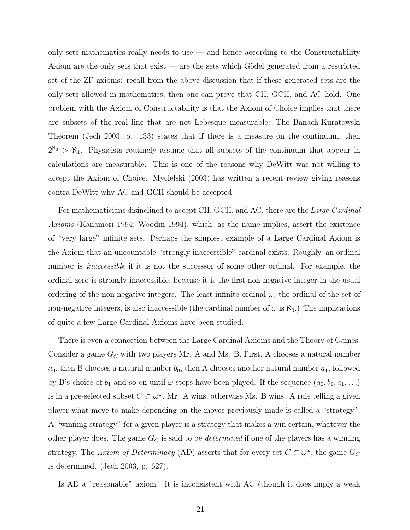only sets mathematics really needs to use  $-$  and hence according to the Constructability Axiom are the only sets that exist — are the sets which Gödel generated from a restricted set of the ZF axioms: recall from the above discussion that if these generated sets are the only sets allowed in mathematics, then one can prove that CH, GCH, and AC hold. One problem with the Axiom of Constructability is that the Axiom of Choice implies that there are subsets of the real line that are not Lebesque measurable: The Banach-Kuratowski Theorem (Jech 2003, p. 133) states that if there is a measure on the continuum, then  $2^{\aleph_0} > \aleph_1$ . Physicists routinely assume that all subsets of the continuum that appear in calculations are measurable. This is one of the reasons why DeWitt was not willing to accept the Axiom of Choice. Myclelski (2003) has written a recent review giving reasons contra DeWitt why AC and GCH should be accepted.

For mathematicians disinclined to accept CH, GCH, and AC, there are the *Large Cardinal* Axioms (Kanamori 1994; Woodin 1994), which, as the name implies, assert the existence of "very large" infinite sets. Perhaps the simplest example of a Large Cardinal Axiom is the Axiom that an uncountable "strongly inaccessible" cardinal exists. Roughly, an ordinal number is *inaccessible* if it is not the successor of some other ordinal. For example, the ordinal zero is strongly inaccessible, because it is the first non-negative integer in the usual ordering of the non-negative integers. The least infinite ordinal  $\omega$ , the ordinal of the set of non-negative integers, is also inaccessible (the cardinal number of  $\omega$  is  $\aleph_0$ .) The implications of quite a few Large Cardinal Axioms have been studied.

There is even a connection between the Large Cardinal Axioms and the Theory of Games. Consider a game  $G_C$  with two players Mr. A and Ms. B. First, A chooses a natural number  $a_0$ , then B chooses a natural number  $b_0$ , then A chooses another natural number  $a_1$ , followed by B's choice of  $b_1$  and so on until  $\omega$  steps have been played. If the sequence  $(a_0, b_0, a_1, \ldots)$ is in a pre-selected subset  $C \subset \omega^{\omega}$ , Mr. A wins, otherwise Ms. B wins. A rule telling a given player what move to make depending on the moves previously made is called a "strategy". A "winning strategy" for a given player is a strategy that makes a win certain, whatever the other player does. The game  $G_C$  is said to be *determined* if one of the players has a winning strategy. The Axiom of Determinacy (AD) asserts that for every set  $C \subset \omega^{\omega}$ , the game  $G_C$ is determined. (Jech 2003, p. 627).

Is AD a "reasonable" axiom? It is inconsistent with AC (though it does imply a weak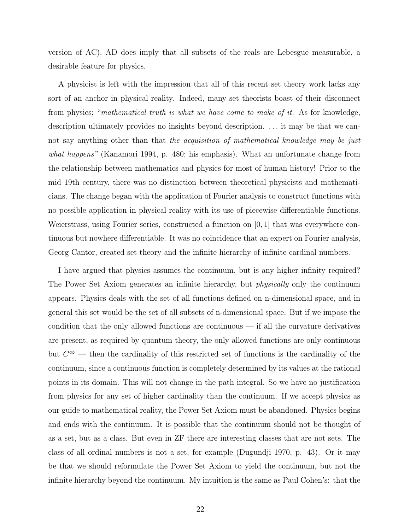version of AC). AD does imply that all subsets of the reals are Lebesgue measurable, a desirable feature for physics.

A physicist is left with the impression that all of this recent set theory work lacks any sort of an anchor in physical reality. Indeed, many set theorists boast of their disconnect from physics; "mathematical truth is what we have come to make of it. As for knowledge, description ultimately provides no insights beyond description. . . . it may be that we cannot say anything other than that the acquisition of mathematical knowledge may be just what happens" (Kanamori 1994, p. 480; his emphasis). What an unfortunate change from the relationship between mathematics and physics for most of human history! Prior to the mid 19th century, there was no distinction between theoretical physicists and mathematicians. The change began with the application of Fourier analysis to construct functions with no possible application in physical reality with its use of piecewise differentiable functions. Weierstrass, using Fourier series, constructed a function on [0, 1] that was everywhere continuous but nowhere differentiable. It was no coincidence that an expert on Fourier analysis, Georg Cantor, created set theory and the infinite hierarchy of infinite cardinal numbers.

I have argued that physics assumes the continuum, but is any higher infinity required? The Power Set Axiom generates an infinite hierarchy, but *physically* only the continuum appears. Physics deals with the set of all functions defined on n-dimensional space, and in general this set would be the set of all subsets of n-dimensional space. But if we impose the condition that the only allowed functions are continuous  $-$  if all the curvature derivatives are present, as required by quantum theory, the only allowed functions are only continuous but  $C^{\infty}$  — then the cardinality of this restricted set of functions is the cardinality of the continuum, since a continuous function is completely determined by its values at the rational points in its domain. This will not change in the path integral. So we have no justification from physics for any set of higher cardinality than the continuum. If we accept physics as our guide to mathematical reality, the Power Set Axiom must be abandoned. Physics begins and ends with the continuum. It is possible that the continuum should not be thought of as a set, but as a class. But even in ZF there are interesting classes that are not sets. The class of all ordinal numbers is not a set, for example (Dugundji 1970, p. 43). Or it may be that we should reformulate the Power Set Axiom to yield the continuum, but not the infinite hierarchy beyond the continuum. My intuition is the same as Paul Cohen's: that the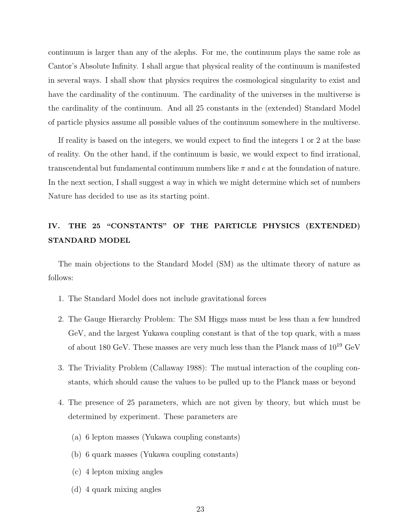continuum is larger than any of the alephs. For me, the continuum plays the same role as Cantor's Absolute Infinity. I shall argue that physical reality of the continuum is manifested in several ways. I shall show that physics requires the cosmological singularity to exist and have the cardinality of the continuum. The cardinality of the universes in the multiverse is the cardinality of the continuum. And all 25 constants in the (extended) Standard Model of particle physics assume all possible values of the continuum somewhere in the multiverse.

If reality is based on the integers, we would expect to find the integers 1 or 2 at the base of reality. On the other hand, if the continuum is basic, we would expect to find irrational, transcendental but fundamental continuum numbers like  $\pi$  and e at the foundation of nature. In the next section, I shall suggest a way in which we might determine which set of numbers Nature has decided to use as its starting point.

### IV. THE 25 "CONSTANTS" OF THE PARTICLE PHYSICS (EXTENDED) STANDARD MODEL

The main objections to the Standard Model (SM) as the ultimate theory of nature as follows:

- 1. The Standard Model does not include gravitational forces
- 2. The Gauge Hierarchy Problem: The SM Higgs mass must be less than a few hundred GeV, and the largest Yukawa coupling constant is that of the top quark, with a mass of about 180 GeV. These masses are very much less than the Planck mass of  $10^{19}$  GeV
- 3. The Triviality Problem (Callaway 1988): The mutual interaction of the coupling constants, which should cause the values to be pulled up to the Planck mass or beyond
- 4. The presence of 25 parameters, which are not given by theory, but which must be determined by experiment. These parameters are
	- (a) 6 lepton masses (Yukawa coupling constants)
	- (b) 6 quark masses (Yukawa coupling constants)
	- (c) 4 lepton mixing angles
	- (d) 4 quark mixing angles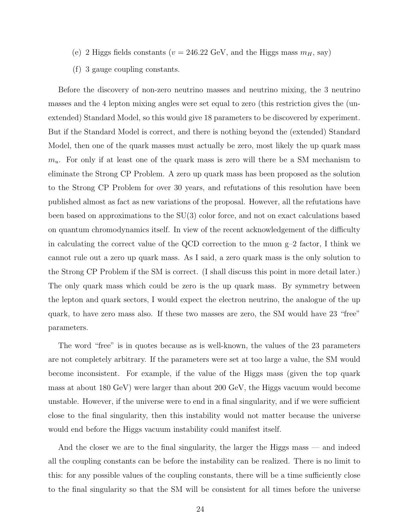- (e) 2 Higgs fields constants ( $v = 246.22$  GeV, and the Higgs mass  $m_H$ , say)
- (f) 3 gauge coupling constants.

Before the discovery of non-zero neutrino masses and neutrino mixing, the 3 neutrino masses and the 4 lepton mixing angles were set equal to zero (this restriction gives the (unextended) Standard Model, so this would give 18 parameters to be discovered by experiment. But if the Standard Model is correct, and there is nothing beyond the (extended) Standard Model, then one of the quark masses must actually be zero, most likely the up quark mass  $m_u$ . For only if at least one of the quark mass is zero will there be a SM mechanism to eliminate the Strong CP Problem. A zero up quark mass has been proposed as the solution to the Strong CP Problem for over 30 years, and refutations of this resolution have been published almost as fact as new variations of the proposal. However, all the refutations have been based on approximations to the SU(3) color force, and not on exact calculations based on quantum chromodynamics itself. In view of the recent acknowledgement of the difficulty in calculating the correct value of the QCD correction to the muon  $g-2$  factor, I think we cannot rule out a zero up quark mass. As I said, a zero quark mass is the only solution to the Strong CP Problem if the SM is correct. (I shall discuss this point in more detail later.) The only quark mass which could be zero is the up quark mass. By symmetry between the lepton and quark sectors, I would expect the electron neutrino, the analogue of the up quark, to have zero mass also. If these two masses are zero, the SM would have 23 "free" parameters.

The word "free" is in quotes because as is well-known, the values of the 23 parameters are not completely arbitrary. If the parameters were set at too large a value, the SM would become inconsistent. For example, if the value of the Higgs mass (given the top quark mass at about 180 GeV) were larger than about 200 GeV, the Higgs vacuum would become unstable. However, if the universe were to end in a final singularity, and if we were sufficient close to the final singularity, then this instability would not matter because the universe would end before the Higgs vacuum instability could manifest itself.

And the closer we are to the final singularity, the larger the Higgs mass — and indeed all the coupling constants can be before the instability can be realized. There is no limit to this: for any possible values of the coupling constants, there will be a time sufficiently close to the final singularity so that the SM will be consistent for all times before the universe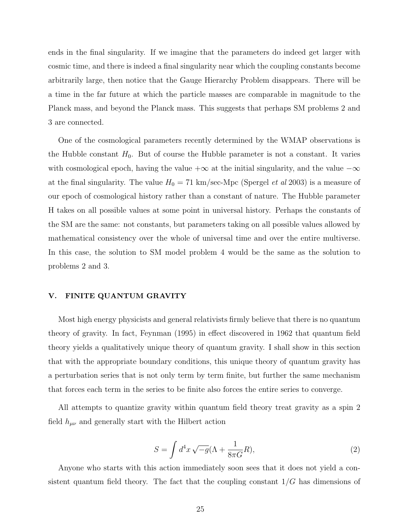ends in the final singularity. If we imagine that the parameters do indeed get larger with cosmic time, and there is indeed a final singularity near which the coupling constants become arbitrarily large, then notice that the Gauge Hierarchy Problem disappears. There will be a time in the far future at which the particle masses are comparable in magnitude to the Planck mass, and beyond the Planck mass. This suggests that perhaps SM problems 2 and 3 are connected.

One of the cosmological parameters recently determined by the WMAP observations is the Hubble constant  $H_0$ . But of course the Hubble parameter is not a constant. It varies with cosmological epoch, having the value  $+\infty$  at the initial singularity, and the value  $-\infty$ at the final singularity. The value  $H_0 = 71 \text{ km/sec-Mpc}$  (Spergel *et al* 2003) is a measure of our epoch of cosmological history rather than a constant of nature. The Hubble parameter H takes on all possible values at some point in universal history. Perhaps the constants of the SM are the same: not constants, but parameters taking on all possible values allowed by mathematical consistency over the whole of universal time and over the entire multiverse. In this case, the solution to SM model problem 4 would be the same as the solution to problems 2 and 3.

### V. FINITE QUANTUM GRAVITY

Most high energy physicists and general relativists firmly believe that there is no quantum theory of gravity. In fact, Feynman (1995) in effect discovered in 1962 that quantum field theory yields a qualitatively unique theory of quantum gravity. I shall show in this section that with the appropriate boundary conditions, this unique theory of quantum gravity has a perturbation series that is not only term by term finite, but further the same mechanism that forces each term in the series to be finite also forces the entire series to converge.

All attempts to quantize gravity within quantum field theory treat gravity as a spin 2 field  $h_{\mu\nu}$  and generally start with the Hilbert action

$$
S = \int d^4x \sqrt{-g} (\Lambda + \frac{1}{8\pi G}R), \qquad (2)
$$

Anyone who starts with this action immediately soon sees that it does not yield a consistent quantum field theory. The fact that the coupling constant  $1/G$  has dimensions of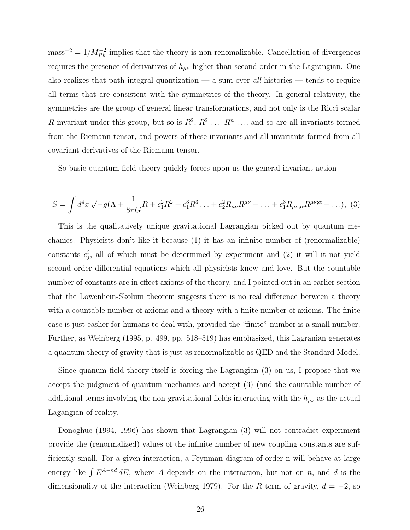$mass^{-2} = 1/M_{Pk}^{-2}$  implies that the theory is non-renomalizable. Cancellation of divergences requires the presence of derivatives of  $h_{\mu\nu}$  higher than second order in the Lagrangian. One also realizes that path integral quantization — a sum over all histories — tends to require all terms that are consistent with the symmetries of the theory. In general relativity, the symmetries are the group of general linear transformations, and not only is the Ricci scalar R invariant under this group, but so is  $R^2, R^2, \ldots, R^n, \ldots$ , and so are all invariants formed from the Riemann tensor, and powers of these invariants,and all invariants formed from all covariant derivatives of the Riemann tensor.

So basic quantum field theory quickly forces upon us the general invariant action

$$
S = \int d^4x \sqrt{-g} (\Lambda + \frac{1}{8\pi G} R + c_1^2 R^2 + c_1^3 R^3 \dots + c_2^2 R_{\mu\nu} R^{\mu\nu} + \dots + c_1^3 R_{\mu\nu;\alpha} R^{\mu\nu;\alpha} + \dots), \tag{3}
$$

This is the qualitatively unique gravitational Lagrangian picked out by quantum mechanics. Physicists don't like it because (1) it has an infinite number of (renormalizable) constants  $c_j^i$ , all of which must be determined by experiment and (2) it will it not yield second order differential equations which all physicists know and love. But the countable number of constants are in effect axioms of the theory, and I pointed out in an earlier section that the Löwenhein-Skolum theorem suggests there is no real difference between a theory with a countable number of axioms and a theory with a finite number of axioms. The finite case is just easlier for humans to deal with, provided the "finite" number is a small number. Further, as Weinberg (1995, p. 499, pp. 518–519) has emphasized, this Lagranian generates a quantum theory of gravity that is just as renormalizable as QED and the Standard Model.

Since quanum field theory itself is forcing the Lagrangian (3) on us, I propose that we accept the judgment of quantum mechanics and accept (3) (and the countable number of additional terms involving the non-gravitational fields interacting with the  $h_{\mu\nu}$  as the actual Lagangian of reality.

Donoghue (1994, 1996) has shown that Lagrangian (3) will not contradict experiment provide the (renormalized) values of the infinite number of new coupling constants are sufficiently small. For a given interaction, a Feynman diagram of order n will behave at large energy like  $\int E^{A-nd} dE$ , where A depends on the interaction, but not on n, and d is the dimensionality of the interaction (Weinberg 1979). For the R term of gravity,  $d = -2$ , so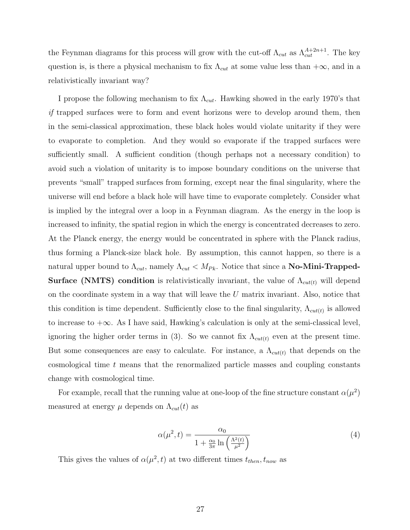the Feynman diagrams for this process will grow with the cut-off  $\Lambda_{cut}$  as  $\Lambda_{cut}^{A+2n+1}$ . The key question is, is there a physical mechanism to fix  $\Lambda_{cut}$  at some value less than  $+\infty$ , and in a relativistically invariant way?

I propose the following mechanism to fix  $\Lambda_{cut}$ . Hawking showed in the early 1970's that if trapped surfaces were to form and event horizons were to develop around them, then in the semi-classical approximation, these black holes would violate unitarity if they were to evaporate to completion. And they would so evaporate if the trapped surfaces were sufficiently small. A sufficient condition (though perhaps not a necessary condition) to avoid such a violation of unitarity is to impose boundary conditions on the universe that prevents "small" trapped surfaces from forming, except near the final singularity, where the universe will end before a black hole will have time to evaporate completely. Consider what is implied by the integral over a loop in a Feynman diagram. As the energy in the loop is increased to infinity, the spatial region in which the energy is concentrated decreases to zero. At the Planck energy, the energy would be concentrated in sphere with the Planck radius, thus forming a Planck-size black hole. By assumption, this cannot happen, so there is a natural upper bound to  $\Lambda_{cut}$ , namely  $\Lambda_{cut} < M_{Pk}$ . Notice that since a **No-Mini-Trapped-Surface (NMTS) condition** is relativistically invariant, the value of  $\Lambda_{cut(t)}$  will depend on the coordinate system in a way that will leave the  $U$  matrix invariant. Also, notice that this condition is time dependent. Sufficiently close to the final singularity,  $\Lambda_{cut(t)}$  is allowed to increase to  $+\infty$ . As I have said, Hawking's calculation is only at the semi-classical level, ignoring the higher order terms in (3). So we cannot fix  $\Lambda_{cut(t)}$  even at the present time. But some consequences are easy to calculate. For instance, a  $\Lambda_{cut(t)}$  that depends on the cosmological time t means that the renormalized particle masses and coupling constants change with cosmological time.

For example, recall that the running value at one-loop of the fine structure constant  $\alpha(\mu^2)$ measured at energy  $\mu$  depends on  $\Lambda_{cut}(t)$  as

$$
\alpha(\mu^2, t) = \frac{\alpha_0}{1 + \frac{\alpha_0}{3\pi} \ln\left(\frac{\Lambda^2(t)}{\mu^2}\right)}\tag{4}
$$

This gives the values of  $\alpha(\mu^2, t)$  at two different times  $t_{then}, t_{now}$  as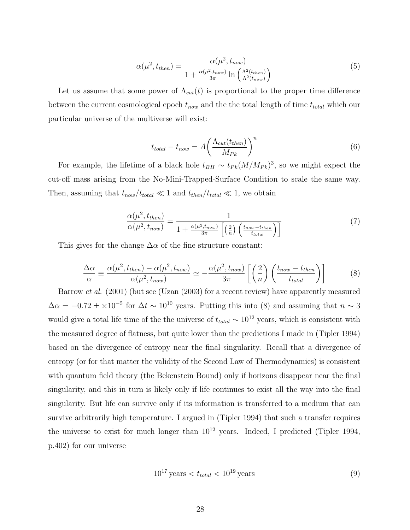$$
\alpha(\mu^2, t_{then}) = \frac{\alpha(\mu^2, t_{now})}{1 + \frac{\alpha(\mu^2, t_{now})}{3\pi} \ln\left(\frac{\Lambda^2(t_{then})}{\Lambda^2(t_{now})}\right)}
$$
(5)

Let us assume that some power of  $\Lambda_{cut}(t)$  is proportional to the proper time difference between the current cosmological epoch  $t_{now}$  and the the total length of time  $t_{total}$  which our particular universe of the multiverse will exist:

$$
t_{total} - t_{now} = A \left( \frac{\Lambda_{cut}(t_{then})}{M_{Pk}} \right)^n
$$
\n(6)

For example, the lifetime of a black hole  $t_{BH} \sim t_{Pk}(M/M_{Pk})^3$ , so we might expect the cut-off mass arising from the No-Mini-Trapped-Surface Condition to scale the same way. Then, assuming that  $t_{now}/t_{total} \ll 1$  and  $t_{then}/t_{total} \ll 1$ , we obtain

$$
\frac{\alpha(\mu^2, t_{then})}{\alpha(\mu^2, t_{now})} = \frac{1}{1 + \frac{\alpha(\mu^2, t_{now})}{3\pi} \left[ \left(\frac{2}{n}\right) \left(\frac{t_{now} - t_{then}}{t_{total}}\right) \right]}
$$
(7)

This gives for the change  $\Delta \alpha$  of the fine structure constant:

$$
\frac{\Delta\alpha}{\alpha} \equiv \frac{\alpha(\mu^2, t_{then}) - \alpha(\mu^2, t_{now})}{\alpha(\mu^2, t_{now})} \simeq -\frac{\alpha(\mu^2, t_{now})}{3\pi} \left[ \left(\frac{2}{n}\right) \left(\frac{t_{now} - t_{then}}{t_{total}}\right) \right]
$$
(8)

Barrow et al. (2001) (but see (Uzan (2003) for a recent review) have apparently measured  $\Delta \alpha = -0.72 \pm \times 10^{-5}$  for  $\Delta t \sim 10^{10}$  years. Putting this into (8) and assuming that  $n \sim 3$ would give a total life time of the the universe of  $t_{total} \sim 10^{12}$  years, which is consistent with the measured degree of flatness, but quite lower than the predictions I made in (Tipler 1994) based on the divergence of entropy near the final singularity. Recall that a divergence of entropy (or for that matter the validity of the Second Law of Thermodynamics) is consistent with quantum field theory (the Bekenstein Bound) only if horizons disappear near the final singularity, and this in turn is likely only if life continues to exist all the way into the final singularity. But life can survive only if its information is transferred to a medium that can survive arbitrarily high temperature. I argued in (Tipler 1994) that such a transfer requires the universe to exist for much longer than  $10^{12}$  years. Indeed, I predicted (Tipler 1994, p.402) for our universe

$$
10^{17} \text{ years} < t_{total} < 10^{19} \text{ years} \tag{9}
$$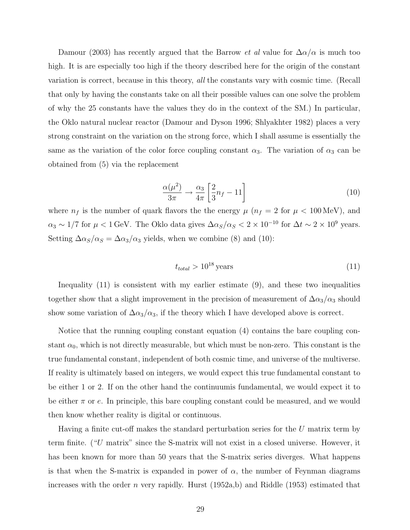Damour (2003) has recently argued that the Barrow *et al* value for  $\Delta \alpha / \alpha$  is much too high. It is are especially too high if the theory described here for the origin of the constant variation is correct, because in this theory, all the constants vary with cosmic time. (Recall that only by having the constants take on all their possible values can one solve the problem of why the 25 constants have the values they do in the context of the SM.) In particular, the Oklo natural nuclear reactor (Damour and Dyson 1996; Shlyakhter 1982) places a very strong constraint on the variation on the strong force, which I shall assume is essentially the same as the variation of the color force coupling constant  $\alpha_3$ . The variation of  $\alpha_3$  can be obtained from (5) via the replacement

$$
\frac{\alpha(\mu^2)}{3\pi} \to \frac{\alpha_3}{4\pi} \left[ \frac{2}{3} n_f - 11 \right] \tag{10}
$$

where  $n_f$  is the number of quark flavors the the energy  $\mu$  ( $n_f = 2$  for  $\mu < 100 \,\text{MeV}$ ), and  $\alpha_3 \sim 1/7$  for  $\mu < 1$  GeV. The Oklo data gives  $\Delta \alpha_S/\alpha_S < 2 \times 10^{-10}$  for  $\Delta t \sim 2 \times 10^9$  years. Setting  $\Delta \alpha_S/\alpha_S = \Delta \alpha_3/\alpha_3$  yields, when we combine (8) and (10):

$$
t_{total} > 10^{18} \,\text{years} \tag{11}
$$

Inequality (11) is consistent with my earlier estimate (9), and these two inequalities together show that a slight improvement in the precision of measurement of  $\Delta \alpha_3/\alpha_3$  should show some variation of  $\Delta \alpha_3/\alpha_3$ , if the theory which I have developed above is correct.

Notice that the running coupling constant equation (4) contains the bare coupling constant  $\alpha_0$ , which is not directly measurable, but which must be non-zero. This constant is the true fundamental constant, independent of both cosmic time, and universe of the multiverse. If reality is ultimately based on integers, we would expect this true fundamental constant to be either 1 or 2. If on the other hand the continuumis fundamental, we would expect it to be either  $\pi$  or e. In principle, this bare coupling constant could be measured, and we would then know whether reality is digital or continuous.

Having a finite cut-off makes the standard perturbation series for the U matrix term by term finite. ("U matrix" since the S-matrix will not exist in a closed universe. However, it has been known for more than 50 years that the S-matrix series diverges. What happens is that when the S-matrix is expanded in power of  $\alpha$ , the number of Feynman diagrams increases with the order n very rapidly. Hurst  $(1952a,b)$  and Riddle  $(1953)$  estimated that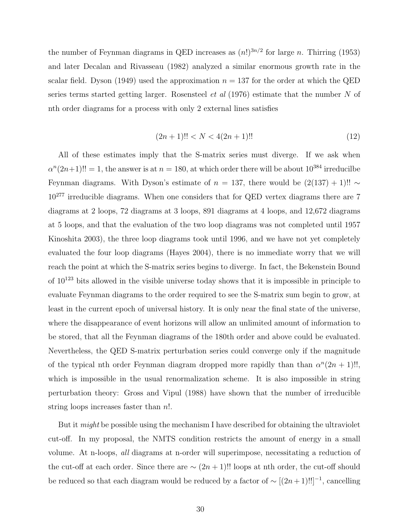the number of Feynman diagrams in QED increases as  $(n!)^{3n/2}$  for large n. Thirring (1953) and later Decalan and Rivasseau (1982) analyzed a similar enormous growth rate in the scalar field. Dyson (1949) used the approximation  $n = 137$  for the order at which the QED series terms started getting larger. Rosensteel *et al* (1976) estimate that the number N of nth order diagrams for a process with only 2 external lines satisfies

$$
(2n+1)!! < N < 4(2n+1)!!\tag{12}
$$

All of these estimates imply that the S-matrix series must diverge. If we ask when  $\alpha^{n}(2n+1)!! = 1$ , the answer is at  $n = 180$ , at which order there will be about  $10^{384}$  irreducilbe Feynman diagrams. With Dyson's estimate of  $n = 137$ , there would be  $(2(137) + 1)!!$  ∼  $10^{277}$  irreducible diagrams. When one considers that for QED vertex diagrams there are 7 diagrams at 2 loops, 72 diagrams at 3 loops, 891 diagrams at 4 loops, and 12,672 diagrams at 5 loops, and that the evaluation of the two loop diagrams was not completed until 1957 Kinoshita 2003), the three loop diagrams took until 1996, and we have not yet completely evaluated the four loop diagrams (Hayes 2004), there is no immediate worry that we will reach the point at which the S-matrix series begins to diverge. In fact, the Bekenstein Bound of 10<sup>123</sup> bits allowed in the visible universe today shows that it is impossible in principle to evaluate Feynman diagrams to the order required to see the S-matrix sum begin to grow, at least in the current epoch of universal history. It is only near the final state of the universe, where the disappearance of event horizons will allow an unlimited amount of information to be stored, that all the Feynman diagrams of the 180th order and above could be evaluated. Nevertheless, the QED S-matrix perturbation series could converge only if the magnitude of the typical nth order Feynman diagram dropped more rapidly than than  $\alpha^{n}(2n + 1)!!$ , which is impossible in the usual renormalization scheme. It is also impossible in string perturbation theory: Gross and Vipul (1988) have shown that the number of irreducible string loops increases faster than n!.

But it *might* be possible using the mechanism I have described for obtaining the ultraviolet cut-off. In my proposal, the NMTS condition restricts the amount of energy in a small volume. At n-loops, all diagrams at n-order will superimpose, necessitating a reduction of the cut-off at each order. Since there are  $\sim (2n+1)!!$  loops at nth order, the cut-off should be reduced so that each diagram would be reduced by a factor of  $\sim [(2n+1)!!]^{-1}$ , cancelling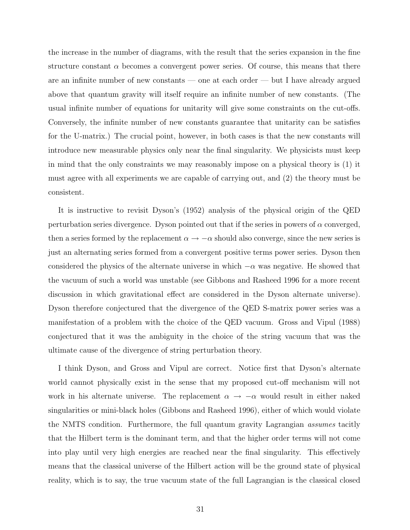the increase in the number of diagrams, with the result that the series expansion in the fine structure constant  $\alpha$  becomes a convergent power series. Of course, this means that there are an infinite number of new constants — one at each order — but I have already argued above that quantum gravity will itself require an infinite number of new constants. (The usual infinite number of equations for unitarity will give some constraints on the cut-offs. Conversely, the infinite number of new constants guarantee that unitarity can be satisfies for the U-matrix.) The crucial point, however, in both cases is that the new constants will introduce new measurable physics only near the final singularity. We physicists must keep in mind that the only constraints we may reasonably impose on a physical theory is (1) it must agree with all experiments we are capable of carrying out, and (2) the theory must be consistent.

It is instructive to revisit Dyson's (1952) analysis of the physical origin of the QED perturbation series divergence. Dyson pointed out that if the series in powers of  $\alpha$  converged, then a series formed by the replacement  $\alpha \to -\alpha$  should also converge, since the new series is just an alternating series formed from a convergent positive terms power series. Dyson then considered the physics of the alternate universe in which  $-\alpha$  was negative. He showed that the vacuum of such a world was unstable (see Gibbons and Rasheed 1996 for a more recent discussion in which gravitational effect are considered in the Dyson alternate universe). Dyson therefore conjectured that the divergence of the QED S-matrix power series was a manifestation of a problem with the choice of the QED vacuum. Gross and Vipul (1988) conjectured that it was the ambiguity in the choice of the string vacuum that was the ultimate cause of the divergence of string perturbation theory.

I think Dyson, and Gross and Vipul are correct. Notice first that Dyson's alternate world cannot physically exist in the sense that my proposed cut-off mechanism will not work in his alternate universe. The replacement  $\alpha \to -\alpha$  would result in either naked singularities or mini-black holes (Gibbons and Rasheed 1996), either of which would violate the NMTS condition. Furthermore, the full quantum gravity Lagrangian assumes tacitly that the Hilbert term is the dominant term, and that the higher order terms will not come into play until very high energies are reached near the final singularity. This effectively means that the classical universe of the Hilbert action will be the ground state of physical reality, which is to say, the true vacuum state of the full Lagrangian is the classical closed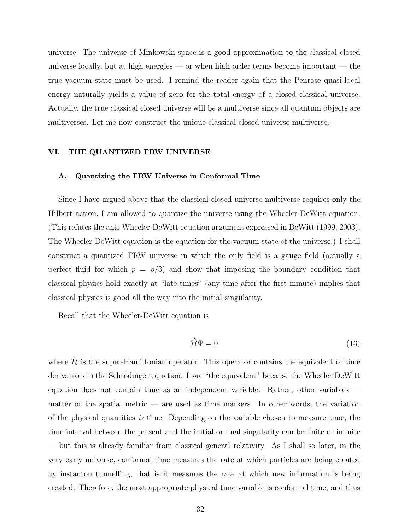universe. The universe of Minkowski space is a good approximation to the classical closed universe locally, but at high energies — or when high order terms become important — the true vacuum state must be used. I remind the reader again that the Penrose quasi-local energy naturally yields a value of zero for the total energy of a closed classical universe. Actually, the true classical closed universe will be a multiverse since all quantum objects are multiverses. Let me now construct the unique classical closed universe multiverse.

#### VI. THE QUANTIZED FRW UNIVERSE

#### A. Quantizing the FRW Universe in Conformal Time

Since I have argued above that the classical closed universe multiverse requires only the Hilbert action, I am allowed to quantize the universe using the Wheeler-DeWitt equation. (This refutes the anti-Wheeler-DeWitt equation argument expressed in DeWitt (1999, 2003). The Wheeler-DeWitt equation is the equation for the vacuum state of the universe.) I shall construct a quantized FRW universe in which the only field is a gauge field (actually a perfect fluid for which  $p = \rho/3$  and show that imposing the boundary condition that classical physics hold exactly at "late times" (any time after the first minute) implies that classical physics is good all the way into the initial singularity.

Recall that the Wheeler-DeWitt equation is

$$
\hat{\mathcal{H}}\Psi = 0\tag{13}
$$

where  $\mathcal H$  is the super-Hamiltonian operator. This operator contains the equivalent of time derivatives in the Schrödinger equation. I say "the equivalent" because the Wheeler DeWitt equation does not contain time as an independent variable. Rather, other variables matter or the spatial metric — are used as time markers. In other words, the variation of the physical quantities is time. Depending on the variable chosen to measure time, the time interval between the present and the initial or final singularity can be finite or infinite — but this is already familiar from classical general relativity. As I shall so later, in the very early universe, conformal time measures the rate at which particles are being created by instanton tunnelling, that is it measures the rate at which new information is being created. Therefore, the most appropriate physical time variable is conformal time, and thus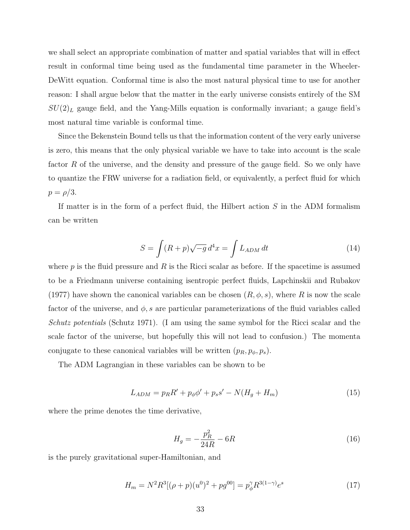we shall select an appropriate combination of matter and spatial variables that will in effect result in conformal time being used as the fundamental time parameter in the Wheeler-DeWitt equation. Conformal time is also the most natural physical time to use for another reason: I shall argue below that the matter in the early universe consists entirely of the SM  $SU(2)_L$  gauge field, and the Yang-Mills equation is conformally invariant; a gauge field's most natural time variable is conformal time.

Since the Bekenstein Bound tells us that the information content of the very early universe is zero, this means that the only physical variable we have to take into account is the scale factor R of the universe, and the density and pressure of the gauge field. So we only have to quantize the FRW universe for a radiation field, or equivalently, a perfect fluid for which  $p = \rho/3$ .

If matter is in the form of a perfect fluid, the Hilbert action  $S$  in the ADM formalism can be written

$$
S = \int (R+p)\sqrt{-g} d^4x = \int L_{ADM} dt
$$
 (14)

where p is the fluid pressure and R is the Ricci scalar as before. If the spacetime is assumed to be a Friedmann universe containing isentropic perfect fluids, Lapchinskii and Rubakov (1977) have shown the canonical variables can be chosen  $(R, \phi, s)$ , where R is now the scale factor of the universe, and  $\phi$ , s are particular parameterizations of the fluid variables called Schutz potentials (Schutz 1971). (I am using the same symbol for the Ricci scalar and the scale factor of the universe, but hopefully this will not lead to confusion.) The momenta conjugate to these canonical variables will be written  $(p_R, p_\phi, p_s)$ .

The ADM Lagrangian in these variables can be shown to be

$$
L_{ADM} = p_R R' + p_{\phi} \phi' + p_s s' - N(H_g + H_m)
$$
\n(15)

where the prime denotes the time derivative,

$$
H_g = -\frac{p_R^2}{24R} - 6R\tag{16}
$$

is the purely gravitational super-Hamiltonian, and

$$
H_m = N^2 R^3 [(\rho + p)(u^0)^2 + pg^{00}] = p_\phi^\gamma R^{3(1-\gamma)} e^s \tag{17}
$$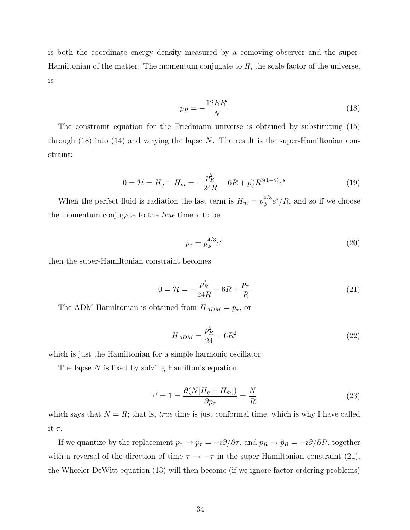is both the coordinate energy density measured by a comoving observer and the super-Hamiltonian of the matter. The momentum conjugate to  $R$ , the scale factor of the universe, is

$$
p_R = -\frac{12RR'}{N} \tag{18}
$$

The constraint equation for the Friedmann universe is obtained by substituting (15) through  $(18)$  into  $(14)$  and varying the lapse N. The result is the super-Hamiltonian constraint:

$$
0 = \mathcal{H} = H_g + H_m = -\frac{p_R^2}{24R} - 6R + p_\phi^{\gamma} R^{3(1-\gamma)} e^s \tag{19}
$$

When the perfect fluid is radiation the last term is  $H_m = p_\phi^{4/3}$  $\frac{4}{\phi}e^{s}/R$ , and so if we choose the momentum conjugate to the *true* time  $\tau$  to be

$$
p_{\tau} = p_{\phi}^{4/3} e^s \tag{20}
$$

then the super-Hamiltonian constraint becomes

$$
0 = \mathcal{H} = -\frac{p_R^2}{24R} - 6R + \frac{p_\tau}{R}
$$
\n(21)

The ADM Hamiltonian is obtained from  $H_{ADM} = p_{\tau}$ , or

$$
H_{ADM} = \frac{p_R^2}{24} + 6R^2 \tag{22}
$$

which is just the Hamiltonian for a simple harmonic oscillator.

The lapse  $N$  is fixed by solving Hamilton's equation

$$
\tau' = 1 = \frac{\partial (N[H_g + H_m])}{\partial p_\tau} = \frac{N}{R}
$$
\n(23)

which says that  $N = R$ ; that is, *true* time is just conformal time, which is why I have called it  $\tau$ .

If we quantize by the replacement  $p_{\tau} \to \hat{p}_{\tau} = -i\partial/\partial \tau$ , and  $p_R \to \hat{p}_R = -i\partial/\partial R$ , together with a reversal of the direction of time  $\tau \to -\tau$  in the super-Hamiltonian constraint (21), the Wheeler-DeWitt equation (13) will then become (if we ignore factor ordering problems)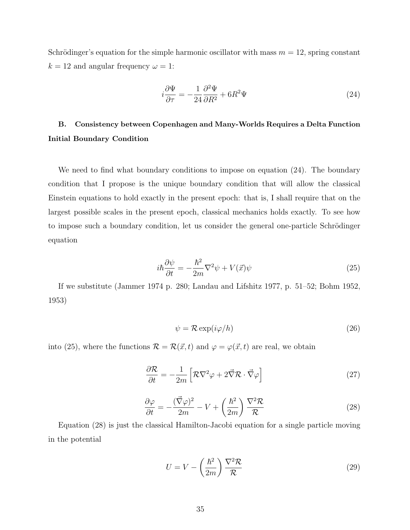Schrödinger's equation for the simple harmonic oscillator with mass  $m = 12$ , spring constant  $k = 12$  and angular frequency  $\omega = 1$ :

$$
i\frac{\partial\Psi}{\partial\tau} = -\frac{1}{24}\frac{\partial^2\Psi}{\partial R^2} + 6R^2\Psi\tag{24}
$$

# B. Consistency between Copenhagen and Many-Worlds Requires a Delta Function Initial Boundary Condition

We need to find what boundary conditions to impose on equation  $(24)$ . The boundary condition that I propose is the unique boundary condition that will allow the classical Einstein equations to hold exactly in the present epoch: that is, I shall require that on the largest possible scales in the present epoch, classical mechanics holds exactly. To see how to impose such a boundary condition, let us consider the general one-particle Schrödinger equation

$$
i\hbar \frac{\partial \psi}{\partial t} = -\frac{\hbar^2}{2m} \nabla^2 \psi + V(\vec{x})\psi \tag{25}
$$

If we substitute (Jammer 1974 p. 280; Landau and Lifshitz 1977, p. 51–52; Bohm 1952, 1953)

$$
\psi = \mathcal{R} \exp(i\varphi/h) \tag{26}
$$

into (25), where the functions  $\mathcal{R} = \mathcal{R}(\vec{x}, t)$  and  $\varphi = \varphi(\vec{x}, t)$  are real, we obtain

$$
\frac{\partial \mathcal{R}}{\partial t} = -\frac{1}{2m} \left[ \mathcal{R} \nabla^2 \varphi + 2 \vec{\nabla} \mathcal{R} \cdot \vec{\nabla} \varphi \right]
$$
(27)

$$
\frac{\partial \varphi}{\partial t} = -\frac{(\vec{\nabla}\varphi)^2}{2m} - V + \left(\frac{\hbar^2}{2m}\right)\frac{\nabla^2 \mathcal{R}}{\mathcal{R}}
$$
(28)

Equation (28) is just the classical Hamilton-Jacobi equation for a single particle moving in the potential

$$
U = V - \left(\frac{\hbar^2}{2m}\right) \frac{\nabla^2 \mathcal{R}}{\mathcal{R}}
$$
 (29)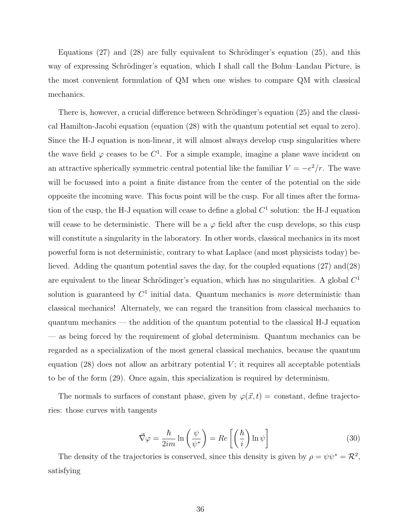Equations  $(27)$  and  $(28)$  are fully equivalent to Schrödinger's equation  $(25)$ , and this way of expressing Schrödinger's equation, which I shall call the Bohm–Landau Picture, is the most convenient formulation of QM when one wishes to compare QM with classical mechanics.

There is, however, a crucial difference between Schrödinger's equation (25) and the classical Hamilton-Jacobi equation (equation (28) with the quantum potential set equal to zero). Since the H-J equation is non-linear, it will almost always develop cusp singularities where the wave field  $\varphi$  ceases to be  $C^1$ . For a simple example, imagine a plane wave incident on an attractive spherically symmetric central potential like the familiar  $V = -e^2/r$ . The wave will be focussed into a point a finite distance from the center of the potential on the side opposite the incoming wave. This focus point will be the cusp. For all times after the formation of the cusp, the H-J equation will cease to define a global  $C<sup>1</sup>$  solution: the H-J equation will cease to be deterministic. There will be a  $\varphi$  field after the cusp develops, so this cusp will constitute a singularity in the laboratory. In other words, classical mechanics in its most powerful form is not deterministic, contrary to what Laplace (and most physicists today) believed. Adding the quantum potential saves the day, for the coupled equations (27) and(28) are equivalent to the linear Schrödinger's equation, which has no singularities. A global  $C<sup>1</sup>$ solution is guaranteed by  $C^1$  initial data. Quantum mechanics is *more* deterministic than classical mechanics! Alternately, we can regard the transition from classical mechanics to quantum mechanics — the addition of the quantum potential to the classical H-J equation — as being forced by the requirement of global determinism. Quantum mechanics can be regarded as a specialization of the most general classical mechanics, because the quantum equation  $(28)$  does not allow an arbitrary potential V; it requires all acceptable potentials to be of the form (29). Once again, this specialization is required by determinism.

The normals to surfaces of constant phase, given by  $\varphi(\vec{x}, t) =$  constant, define trajectories: those curves with tangents

$$
\vec{\nabla}\varphi = \frac{\hbar}{2im} \ln\left(\frac{\psi}{\psi^*}\right) = Re\left[\left(\frac{\hbar}{i}\right) \ln \psi\right]
$$
\n(30)

The density of the trajectories is conserved, since this density is given by  $\rho = \psi \psi^* = \mathcal{R}^2$ , satisfying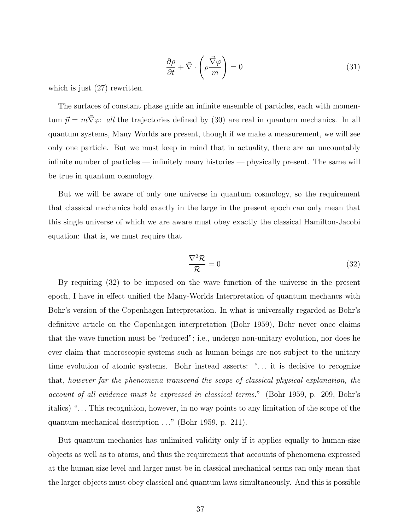$$
\frac{\partial \rho}{\partial t} + \vec{\nabla} \cdot \left( \rho \frac{\vec{\nabla} \varphi}{m} \right) = 0 \tag{31}
$$

which is just  $(27)$  rewritten.

The surfaces of constant phase guide an infinite ensemble of particles, each with momentum  $\vec{p} = m\vec{\nabla}\varphi$ : all the trajectories defined by (30) are real in quantum mechanics. In all quantum systems, Many Worlds are present, though if we make a measurement, we will see only one particle. But we must keep in mind that in actuality, there are an uncountably infinite number of particles — infinitely many histories — physically present. The same will be true in quantum cosmology.

But we will be aware of only one universe in quantum cosmology, so the requirement that classical mechanics hold exactly in the large in the present epoch can only mean that this single universe of which we are aware must obey exactly the classical Hamilton-Jacobi equation: that is, we must require that

$$
\frac{\nabla^2 \mathcal{R}}{\mathcal{R}} = 0 \tag{32}
$$

By requiring (32) to be imposed on the wave function of the universe in the present epoch, I have in effect unified the Many-Worlds Interpretation of quantum mechancs with Bohr's version of the Copenhagen Interpretation. In what is universally regarded as Bohr's definitive article on the Copenhagen interpretation (Bohr 1959), Bohr never once claims that the wave function must be "reduced"; i.e., undergo non-unitary evolution, nor does he ever claim that macroscopic systems such as human beings are not subject to the unitary time evolution of atomic systems. Bohr instead asserts: "... it is decisive to recognize that, however far the phenomena transcend the scope of classical physical explanation, the account of all evidence must be expressed in classical terms." (Bohr 1959, p. 209, Bohr's italics) ". . . This recognition, however, in no way points to any limitation of the scope of the quantum-mechanical description . . ." (Bohr 1959, p. 211).

But quantum mechanics has unlimited validity only if it applies equally to human-size objects as well as to atoms, and thus the requirement that accounts of phenomena expressed at the human size level and larger must be in classical mechanical terms can only mean that the larger objects must obey classical and quantum laws simultaneously. And this is possible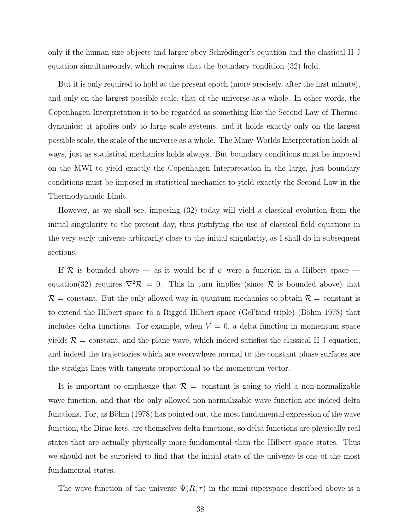only if the human-size objects and larger obey Schrödinger's equation and the classical H-J equation simultaneously, which requires that the boundary condition (32) hold.

But it is only required to hold at the present epoch (more precisely, after the first minute), and only on the largest possible scale, that of the universe as a whole. In other words, the Copenhagen Interpretation is to be regarded as something like the Second Law of Thermodynamics: it applies only to large scale systems, and it holds exactly only on the largest possible scale, the scale of the universe as a whole. The Many-Worlds Interpretation holds always, just as statistical mechanics holds always. But boundary conditions must be imposed on the MWI to yield exactly the Copenhagen Interpretation in the large, just boundary conditions must be imposed in statistical mechanics to yield exactly the Second Law in the Thermodynamic Limit.

However, as we shall see, imposing (32) today will yield a classical evolution from the initial singularity to the present day, thus justifying the use of classical field equations in the very early universe arbitrarily close to the initial singularity, as I shall do in subsequent sections.

If R is bounded above — as it would be if  $\psi$  were a function in a Hilbert space equation(32) requires  $\nabla^2 \mathcal{R} = 0$ . This in turn implies (since  $\mathcal{R}$  is bounded above) that  $\mathcal{R}$  = constant. But the only allowed way in quantum mechanics to obtain  $\mathcal{R}$  = constant is to extend the Hilbert space to a Rigged Hilbert space (Gel'fand triple) (Böhm 1978) that includes delta functions. For example, when  $V = 0$ , a delta function in momentum space yields  $\mathcal{R} =$  constant, and the plane wave, which indeed satisfies the classical H-J equation, and indeed the trajectories which are everywhere normal to the constant phase surfaces are the straight lines with tangents proportional to the momentum vector.

It is important to emphasize that  $\mathcal{R} =$  constant is going to yield a non-normalizable wave function, and that the only allowed non-normalizable wave function are indeed delta functions. For, as Böhm (1978) has pointed out, the most fundamental expression of the wave function, the Dirac kets, are themselves delta functions, so delta functions are physically real states that are actually physically more fundamental than the Hilbert space states. Thus we should not be surprised to find that the initial state of the universe is one of the most fundamental states.

The wave function of the universe  $\Psi(R,\tau)$  in the mini-superspace described above is a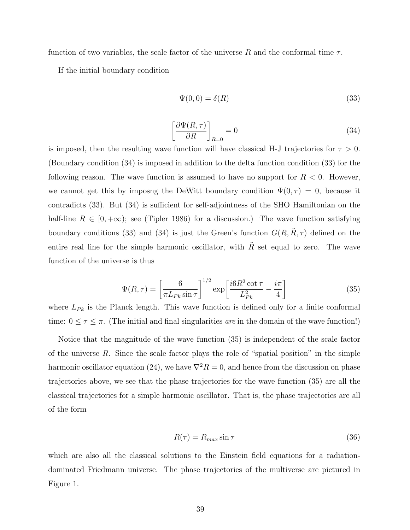function of two variables, the scale factor of the universe R and the conformal time  $\tau$ .

If the initial boundary condition

$$
\Psi(0,0) = \delta(R) \tag{33}
$$

$$
\left[\frac{\partial \Psi(R,\tau)}{\partial R}\right]_{R=0} = 0\tag{34}
$$

is imposed, then the resulting wave function will have classical H-J trajectories for  $\tau > 0$ . (Boundary condition (34) is imposed in addition to the delta function condition (33) for the following reason. The wave function is assumed to have no support for  $R < 0$ . However, we cannot get this by imposng the DeWitt boundary condition  $\Psi(0, \tau) = 0$ , because it contradicts (33). But (34) is sufficient for self-adjointness of the SHO Hamiltonian on the half-line  $R \in [0, +\infty)$ ; see (Tipler 1986) for a discussion.) The wave function satisfying boundary conditions (33) and (34) is just the Green's function  $G(R, \tilde{R}, \tau)$  defined on the entire real line for the simple harmonic oscillator, with  $\tilde{R}$  set equal to zero. The wave function of the universe is thus

$$
\Psi(R,\tau) = \left[\frac{6}{\pi L_{Pk}\sin\tau}\right]^{1/2} \exp\left[\frac{i6R^2\cot\tau}{L_{Pk}^2} - \frac{i\pi}{4}\right]
$$
\n(35)

where  $L_{Pk}$  is the Planck length. This wave function is defined only for a finite conformal time:  $0 \leq \tau \leq \pi$ . (The initial and final singularities *are* in the domain of the wave function!)

Notice that the magnitude of the wave function (35) is independent of the scale factor of the universe  $R$ . Since the scale factor plays the role of "spatial position" in the simple harmonic oscillator equation (24), we have  $\nabla^2 R = 0$ , and hence from the discussion on phase trajectories above, we see that the phase trajectories for the wave function (35) are all the classical trajectories for a simple harmonic oscillator. That is, the phase trajectories are all of the form

$$
R(\tau) = R_{max} \sin \tau \tag{36}
$$

which are also all the classical solutions to the Einstein field equations for a radiationdominated Friedmann universe. The phase trajectories of the multiverse are pictured in Figure 1.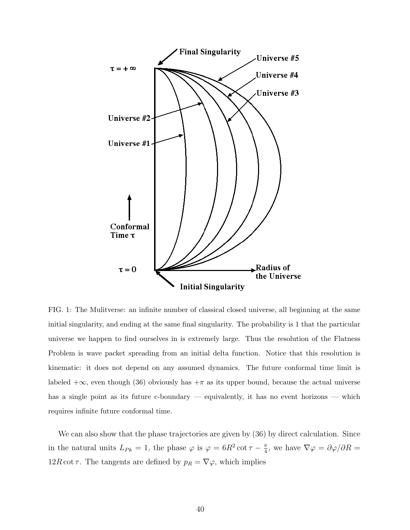

FIG. 1: The Mulitverse: an infinite number of classical closed universe, all beginning at the same initial singularity, and ending at the same final singularity. The probability is 1 that the particular universe we happen to find ourselves in is extremely large. Thus the resolution of the Flatness Problem is wave packet spreading from an initial delta function. Notice that this resolution is kinematic: it does not depend on any assumed dynamics. The future conformal time limit is labeled  $+\infty$ , even though (36) obviously has  $+\pi$  as its upper bound, because the actual universe has a single point as its future c-boundary — equivalently, it has no event horizons — which requires infinite future conformal time.

We can also show that the phase trajectories are given by (36) by direct calculation. Since in the natural units  $L_{Pk} = 1$ , the phase  $\varphi$  is  $\varphi = 6R^2 \cot \tau - \frac{\pi}{4}$  $\frac{\pi}{4}$ , we have  $\nabla \varphi = \partial \varphi / \partial R =$  $12R \cot \tau$ . The tangents are defined by  $p_R = \nabla \varphi$ , which implies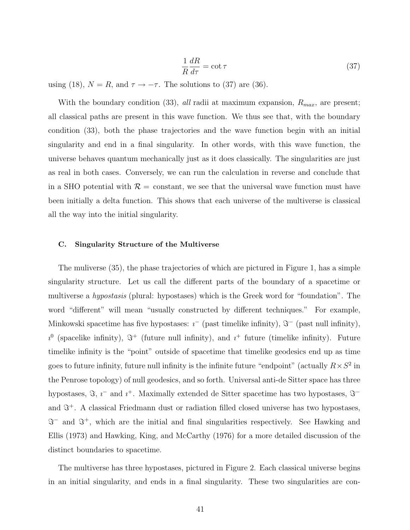$$
\frac{1}{R}\frac{dR}{d\tau} = \cot \tau \tag{37}
$$

using (18),  $N = R$ , and  $\tau \to -\tau$ . The solutions to (37) are (36).

With the boundary condition (33), all radii at maximum expansion,  $R_{max}$ , are present; all classical paths are present in this wave function. We thus see that, with the boundary condition (33), both the phase trajectories and the wave function begin with an initial singularity and end in a final singularity. In other words, with this wave function, the universe behaves quantum mechanically just as it does classically. The singularities are just as real in both cases. Conversely, we can run the calculation in reverse and conclude that in a SHO potential with  $\mathcal{R} =$  constant, we see that the universal wave function must have been initially a delta function. This shows that each universe of the multiverse is classical all the way into the initial singularity.

### C. Singularity Structure of the Multiverse

The muliverse (35), the phase trajectories of which are pictured in Figure 1, has a simple singularity structure. Let us call the different parts of the boundary of a spacetime or multiverse a hypostasis (plural: hypostases) which is the Greek word for "foundation". The word "different" will mean "usually constructed by different techniques." For example, Minkowski spacetime has five hypostases:  $i^{-}$  (past timelike infinity),  $\Im^{-}$  (past null infinity),  $i^0$  (spacelike infinity),  $\Im^+$  (future null infinity), and  $i^+$  future (timelike infinity). Future timelike infinity is the "point" outside of spacetime that timelike geodesics end up as time goes to future infinity, future null infinity is the infinite future "endpoint" (actually  $R \times S^2$  in the Penrose topology) of null geodesics, and so forth. Universal anti-de Sitter space has three hypostases,  $\Im$ ,  $i^-$  and  $i^+$ . Maximally extended de Sitter spacetime has two hypostases,  $\Im^{-}$ and  $\Im^+$ . A classical Friedmann dust or radiation filled closed universe has two hypostases,  $\Im^{-}$  and  $\Im^{+}$ , which are the initial and final singularities respectively. See Hawking and Ellis (1973) and Hawking, King, and McCarthy (1976) for a more detailed discussion of the distinct boundaries to spacetime.

The multiverse has three hypostases, pictured in Figure 2. Each classical universe begins in an initial singularity, and ends in a final singularity. These two singularities are con-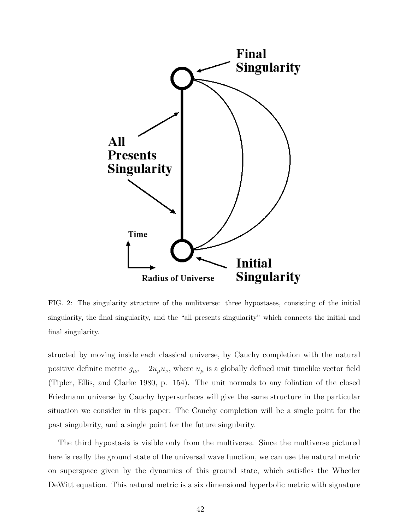

FIG. 2: The singularity structure of the mulitverse: three hypostases, consisting of the initial singularity, the final singularity, and the "all presents singularity" which connects the initial and final singularity.

structed by moving inside each classical universe, by Cauchy completion with the natural positive definite metric  $g_{\mu\nu} + 2u_{\mu}u_{\nu}$ , where  $u_{\mu}$  is a globally defined unit timelike vector field (Tipler, Ellis, and Clarke 1980, p. 154). The unit normals to any foliation of the closed Friedmann universe by Cauchy hypersurfaces will give the same structure in the particular situation we consider in this paper: The Cauchy completion will be a single point for the past singularity, and a single point for the future singularity.

The third hypostasis is visible only from the multiverse. Since the multiverse pictured here is really the ground state of the universal wave function, we can use the natural metric on superspace given by the dynamics of this ground state, which satisfies the Wheeler DeWitt equation. This natural metric is a six dimensional hyperbolic metric with signature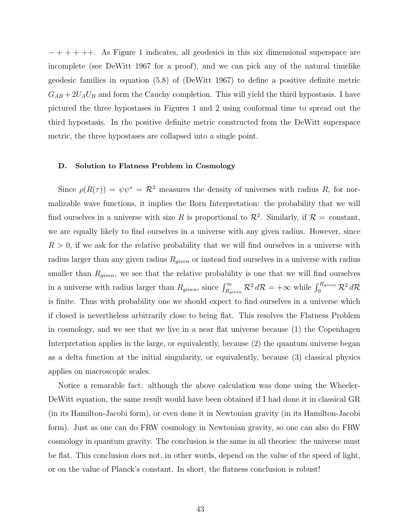$- + + + +$ . As Figure 1 indicates, all geodesics in this six dimensional superspace are incomplete (see DeWitt 1967 for a proof), and we can pick any of the natural timelike geodesic families in equation (5.8) of (DeWitt 1967) to define a positive definite metric  $G_{AB} + 2U_A U_B$  and form the Cauchy completion. This will yield the third hypostasis. I have pictured the three hypostases in Figures 1 and 2 using conformal time to spread out the third hypostasis. In the positive definite metric constructed from the DeWitt superspace metric, the three hypostases are collapsed into a single point.

#### D. Solution to Flatness Problem in Cosmology

Since  $\rho(R(\tau)) = \psi \psi^* = \mathcal{R}^2$  measures the density of universes with radius R, for normalizable wave functions, it implies the Born Interpretation: the probability that we will find ourselves in a universe with size R is proportional to  $\mathcal{R}^2$ . Similarly, if  $\mathcal{R} = \text{constant}$ , we are equally likely to find ourselves in a universe with any given radius. However, since  $R > 0$ , if we ask for the relative probability that we will find ourselves in a universe with radius larger than any given radius  $R_{given}$  or instead find ourselves in a universe with radius smaller than  $R_{given}$ , we see that the relative probability is one that we will find ourselves in a universe with radius larger than  $R_{given}$ , since  $\int_{R_{given}}^{\infty} \mathcal{R}^2 d\mathcal{R} = +\infty$  while  $\int_{0}^{R_{given}} \mathcal{R}^2 d\mathcal{R}$ is finite. Thus with probability one we should expect to find ourselves in a universe which if closed is nevertheless arbitrarily close to being flat. This resolves the Flatness Problem in cosmology, and we see that we live in a near flat universe because (1) the Copenhagen Interpretation applies in the large, or equivalently, because (2) the quantum universe began as a delta function at the initial singularity, or equivalently, because (3) classical physics applies on macroscopic scales.

Notice a remarable fact: although the above calculation was done using the Wheeler-DeWitt equation, the same result would have been obtained if I had done it in classical GR (in its Hamilton-Jacobi form), or even done it in Newtonian gravity (in its Hamilton-Jacobi form). Just as one can do FRW cosmology in Newtonian gravity, so one can also do FRW cosmology in quantum gravity. The conclusion is the same in all theories: the universe must be flat. This conclusion does not, in other words, depend on the value of the speed of light, or on the value of Planck's constant. In short, the flatness conclusion is robust!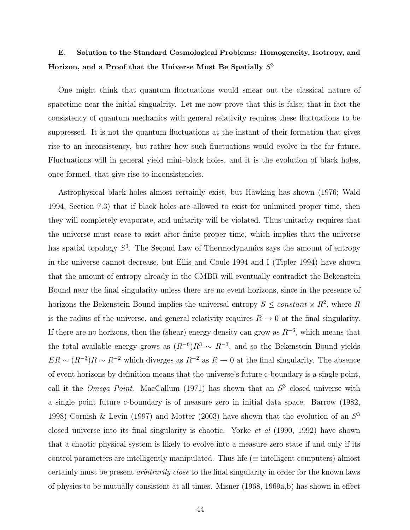# E. Solution to the Standard Cosmological Problems: Homogeneity, Isotropy, and Horizon, and a Proof that the Universe Must Be Spatially  $S^3$

One might think that quantum fluctuations would smear out the classical nature of spacetime near the initial singualrity. Let me now prove that this is false; that in fact the consistency of quantum mechanics with general relativity requires these fluctuations to be suppressed. It is not the quantum fluctuations at the instant of their formation that gives rise to an inconsistency, but rather how such fluctuations would evolve in the far future. Fluctuations will in general yield mini–black holes, and it is the evolution of black holes, once formed, that give rise to inconsistencies.

Astrophysical black holes almost certainly exist, but Hawking has shown (1976; Wald 1994, Section 7.3) that if black holes are allowed to exist for unlimited proper time, then they will completely evaporate, and unitarity will be violated. Thus unitarity requires that the universe must cease to exist after finite proper time, which implies that the universe has spatial topology  $S^3$ . The Second Law of Thermodynamics says the amount of entropy in the universe cannot decrease, but Ellis and Coule 1994 and I (Tipler 1994) have shown that the amount of entropy already in the CMBR will eventually contradict the Bekenstein Bound near the final singularity unless there are no event horizons, since in the presence of horizons the Bekenstein Bound implies the universal entropy  $S \leq constant \times R^2$ , where R is the radius of the universe, and general relativity requires  $R \to 0$  at the final singularity. If there are no horizons, then the (shear) energy density can grow as  $R^{-6}$ , which means that the total available energy grows as  $(R^{-6})R^3 \sim R^{-3}$ , and so the Bekenstein Bound yields  $ER \sim (R^{-3})R \sim R^{-2}$  which diverges as  $R^{-2}$  as  $R \to 0$  at the final singularity. The absence of event horizons by definition means that the universe's future c-boundary is a single point, call it the *Omega Point*. MacCallum (1971) has shown that an  $S<sup>3</sup>$  closed universe with a single point future c-boundary is of measure zero in initial data space. Barrow (1982, 1998) Cornish & Levin (1997) and Motter (2003) have shown that the evolution of an  $S^3$ closed universe into its final singularity is chaotic. Yorke et al (1990, 1992) have shown that a chaotic physical system is likely to evolve into a measure zero state if and only if its control parameters are intelligently manipulated. Thus life ( $\equiv$  intelligent computers) almost certainly must be present arbitrarily close to the final singularity in order for the known laws of physics to be mutually consistent at all times. Misner (1968, 1969a,b) has shown in effect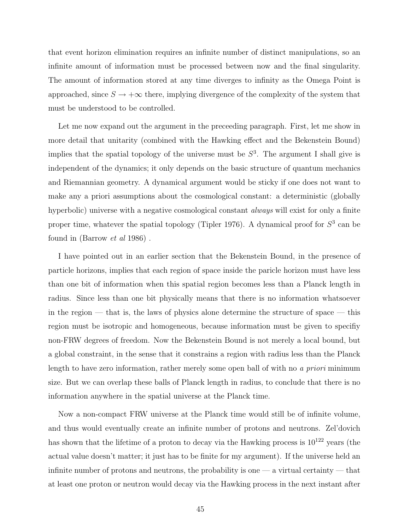that event horizon elimination requires an infinite number of distinct manipulations, so an infinite amount of information must be processed between now and the final singularity. The amount of information stored at any time diverges to infinity as the Omega Point is approached, since  $S \to +\infty$  there, implying divergence of the complexity of the system that must be understood to be controlled.

Let me now expand out the argument in the preceeding paragraph. First, let me show in more detail that unitarity (combined with the Hawking effect and the Bekenstein Bound) implies that the spatial topology of the universe must be  $S<sup>3</sup>$ . The argument I shall give is independent of the dynamics; it only depends on the basic structure of quantum mechanics and Riemannian geometry. A dynamical argument would be sticky if one does not want to make any a priori assumptions about the cosmological constant: a deterministic (globally hyperbolic) universe with a negative cosmological constant always will exist for only a finite proper time, whatever the spatial topology (Tipler 1976). A dynamical proof for  $S^3$  can be found in (Barrow et al 1986) .

I have pointed out in an earlier section that the Bekenstein Bound, in the presence of particle horizons, implies that each region of space inside the paricle horizon must have less than one bit of information when this spatial region becomes less than a Planck length in radius. Since less than one bit physically means that there is no information whatsoever in the region — that is, the laws of physics alone determine the structure of space — this region must be isotropic and homogeneous, because information must be given to specifiy non-FRW degrees of freedom. Now the Bekenstein Bound is not merely a local bound, but a global constraint, in the sense that it constrains a region with radius less than the Planck length to have zero information, rather merely some open ball of with no a *priori* minimum size. But we can overlap these balls of Planck length in radius, to conclude that there is no information anywhere in the spatial universe at the Planck time.

Now a non-compact FRW universe at the Planck time would still be of infinite volume, and thus would eventually create an infinite number of protons and neutrons. Zel'dovich has shown that the lifetime of a proton to decay via the Hawking process is  $10^{122}$  years (the actual value doesn't matter; it just has to be finite for my argument). If the universe held an infinite number of protons and neutrons, the probability is one  $-$  a virtual certainty  $-$  that at least one proton or neutron would decay via the Hawking process in the next instant after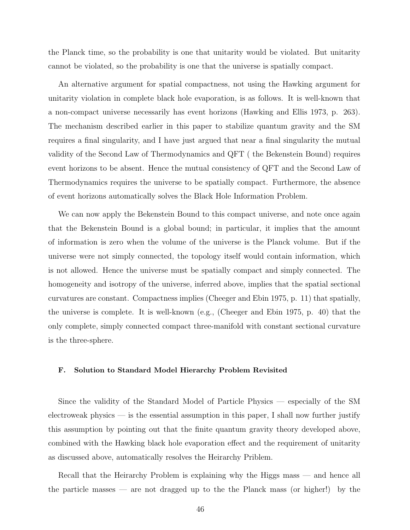the Planck time, so the probability is one that unitarity would be violated. But unitarity cannot be violated, so the probability is one that the universe is spatially compact.

An alternative argument for spatial compactness, not using the Hawking argument for unitarity violation in complete black hole evaporation, is as follows. It is well-known that a non-compact universe necessarily has event horizons (Hawking and Ellis 1973, p. 263). The mechanism described earlier in this paper to stabilize quantum gravity and the SM requires a final singularity, and I have just argued that near a final singularity the mutual validity of the Second Law of Thermodynamics and QFT ( the Bekenstein Bound) requires event horizons to be absent. Hence the mutual consistency of QFT and the Second Law of Thermodynamics requires the universe to be spatially compact. Furthermore, the absence of event horizons automatically solves the Black Hole Information Problem.

We can now apply the Bekenstein Bound to this compact universe, and note once again that the Bekenstein Bound is a global bound; in particular, it implies that the amount of information is zero when the volume of the universe is the Planck volume. But if the universe were not simply connected, the topology itself would contain information, which is not allowed. Hence the universe must be spatially compact and simply connected. The homogeneity and isotropy of the universe, inferred above, implies that the spatial sectional curvatures are constant. Compactness implies (Cheeger and Ebin 1975, p. 11) that spatially, the universe is complete. It is well-known (e.g., (Cheeger and Ebin 1975, p. 40) that the only complete, simply connected compact three-manifold with constant sectional curvature is the three-sphere.

#### F. Solution to Standard Model Hierarchy Problem Revisited

Since the validity of the Standard Model of Particle Physics — especially of the SM  $\alpha$  electroweak physics — is the essential assumption in this paper, I shall now further justify this assumption by pointing out that the finite quantum gravity theory developed above, combined with the Hawking black hole evaporation effect and the requirement of unitarity as discussed above, automatically resolves the Heirarchy Priblem.

Recall that the Heirarchy Problem is explaining why the Higgs mass — and hence all the particle masses — are not dragged up to the the Planck mass (or higher!) by the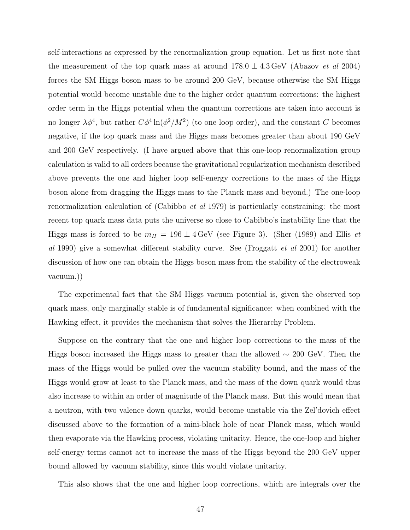self-interactions as expressed by the renormalization group equation. Let us first note that the measurement of the top quark mass at around  $178.0 \pm 4.3$  GeV (Abazov *et al* 2004) forces the SM Higgs boson mass to be around 200 GeV, because otherwise the SM Higgs potential would become unstable due to the higher order quantum corrections: the highest order term in the Higgs potential when the quantum corrections are taken into account is no longer  $\lambda \phi^4$ , but rather  $C\phi^4 \ln(\phi^2/M^2)$  (to one loop order), and the constant C becomes negative, if the top quark mass and the Higgs mass becomes greater than about 190 GeV and 200 GeV respectively. (I have argued above that this one-loop renormalization group calculation is valid to all orders because the gravitational regularization mechanism described above prevents the one and higher loop self-energy corrections to the mass of the Higgs boson alone from dragging the Higgs mass to the Planck mass and beyond.) The one-loop renormalization calculation of (Cabibbo et al 1979) is particularly constraining: the most recent top quark mass data puts the universe so close to Cabibbo's instability line that the Higgs mass is forced to be  $m_H = 196 \pm 4 \text{ GeV}$  (see Figure 3). (Sher (1989) and Ellis *et* al 1990) give a somewhat different stability curve. See (Froggatt et al 2001) for another discussion of how one can obtain the Higgs boson mass from the stability of the electroweak vacuum.))

The experimental fact that the SM Higgs vacuum potential is, given the observed top quark mass, only marginally stable is of fundamental significance: when combined with the Hawking effect, it provides the mechanism that solves the Hierarchy Problem.

Suppose on the contrary that the one and higher loop corrections to the mass of the Higgs boson increased the Higgs mass to greater than the allowed ∼ 200 GeV. Then the mass of the Higgs would be pulled over the vacuum stability bound, and the mass of the Higgs would grow at least to the Planck mass, and the mass of the down quark would thus also increase to within an order of magnitude of the Planck mass. But this would mean that a neutron, with two valence down quarks, would become unstable via the Zel'dovich effect discussed above to the formation of a mini-black hole of near Planck mass, which would then evaporate via the Hawking process, violating unitarity. Hence, the one-loop and higher self-energy terms cannot act to increase the mass of the Higgs beyond the 200 GeV upper bound allowed by vacuum stability, since this would violate unitarity.

This also shows that the one and higher loop corrections, which are integrals over the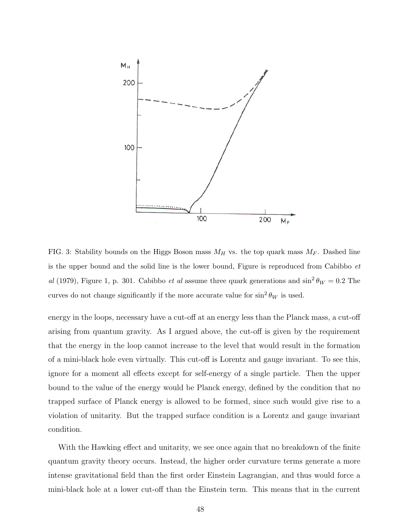

FIG. 3: Stability bounds on the Higgs Boson mass  $M_H$  vs. the top quark mass  $M_F$ . Dashed line is the upper bound and the solid line is the lower bound, Figure is reproduced from Cabibbo et al (1979), Figure 1, p. 301. Cabibbo *et al* assume three quark generations and  $\sin^2 \theta_W = 0.2$  The curves do not change significantly if the more accurate value for  $\sin^2 \theta_W$  is used.

energy in the loops, necessary have a cut-off at an energy less than the Planck mass, a cut-off arising from quantum gravity. As I argued above, the cut-off is given by the requirement that the energy in the loop cannot increase to the level that would result in the formation of a mini-black hole even virtually. This cut-off is Lorentz and gauge invariant. To see this, ignore for a moment all effects except for self-energy of a single particle. Then the upper bound to the value of the energy would be Planck energy, defined by the condition that no trapped surface of Planck energy is allowed to be formed, since such would give rise to a violation of unitarity. But the trapped surface condition is a Lorentz and gauge invariant condition.

With the Hawking effect and unitarity, we see once again that no breakdown of the finite quantum gravity theory occurs. Instead, the higher order curvature terms generate a more intense gravitational field than the first order Einstein Lagrangian, and thus would force a mini-black hole at a lower cut-off than the Einstein term. This means that in the current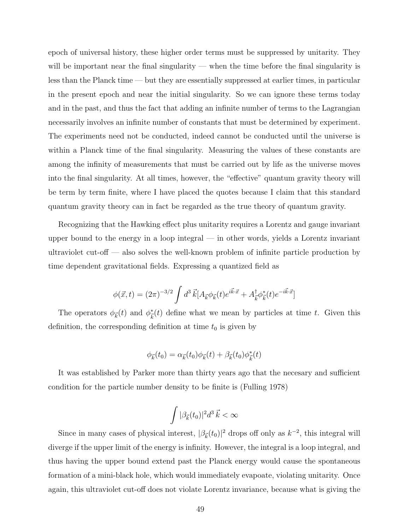epoch of universal history, these higher order terms must be suppressed by unitarity. They will be important near the final singularity — when the time before the final singularity is less than the Planck time — but they are essentially suppressed at earlier times, in particular in the present epoch and near the initial singularity. So we can ignore these terms today and in the past, and thus the fact that adding an infinite number of terms to the Lagrangian necessarily involves an infinite number of constants that must be determined by experiment. The experiments need not be conducted, indeed cannot be conducted until the universe is within a Planck time of the final singularity. Measuring the values of these constants are among the infinity of measurements that must be carried out by life as the universe moves into the final singularity. At all times, however, the "effective" quantum gravity theory will be term by term finite, where I have placed the quotes because I claim that this standard quantum gravity theory can in fact be regarded as the true theory of quantum gravity.

Recognizing that the Hawking effect plus unitarity requires a Lorentz and gauge invariant upper bound to the energy in a loop integral — in other words, yields a Lorentz invariant ultraviolet cut-off — also solves the well-known problem of infinite particle production by time dependent gravitational fields. Expressing a quantized field as

$$
\phi(\vec{x},t) = (2\pi)^{-3/2} \int d^3\vec{k} [A_{\vec{k}} \phi_{\vec{k}}(t) e^{i\vec{k}\cdot\vec{x}} + A_{\vec{k}}^{\dagger} \phi_{\vec{k}}^*(t) e^{-i\vec{k}\cdot\vec{x}}]
$$

The operators  $\phi_{\vec{k}}(t)$  and  $\phi_{\vec{k}}^*(t)$  define what we mean by particles at time t. Given this definition, the corresponding definition at time  $t_0$  is given by

$$
\phi_{\vec{k}}(t_0)=\alpha_{\vec{k}}(t_0)\phi_{\vec{k}}(t)+\beta_{\vec{k}}(t_0)\phi_{\vec{k}}^*(t)
$$

It was established by Parker more than thirty years ago that the necesary and sufficient condition for the particle number density to be finite is (Fulling 1978)

$$
\int |\beta_{\vec{k}}(t_0)|^2 d^3 \vec{k} < \infty
$$

Since in many cases of physical interest,  $|\beta_{\vec{k}}(t_0)|^2$  drops off only as  $k^{-2}$ , this integral will diverge if the upper limit of the energy is infinity. However, the integral is a loop integral, and thus having the upper bound extend past the Planck energy would cause the spontaneous formation of a mini-black hole, which would immediately evapoate, violating unitarity. Once again, this ultraviolet cut-off does not violate Lorentz invariance, because what is giving the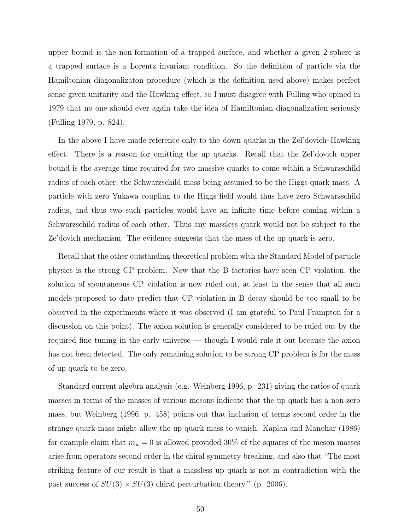upper bound is the non-formation of a trapped surface, and whether a given 2-sphere is a trapped surface is a Lorentz invariant condition. So the definition of particle via the Hamiltonian diagonalizaton procedure (which is the definition used above) makes perfect sense given unitarity and the Hawking effect, so I must disagree with Fulling who opined in 1979 that no one should ever again take the idea of Hamiltonian diagonalization seriously (Fulling 1979, p. 824).

In the above I have made reference only to the down quarks in the Zel'dovich–Hawking effect. There is a reason for omitting the up quarks. Recall that the Zel'dovich upper bound is the average time required for two massive quarks to come within a Schwarzschild radius of each other, the Schwarzschild mass being assumed to be the Higgs quark mass. A particle with zero Yukawa coupling to the Higgs field would thus have zero Schwarzschild radius, and thus two such particles would have an infinite time before coming within a Schwarzschild radius of each other. Thus any massless quark would not be subject to the Ze'dovich mechanism. The evidence suggests that the mass of the up quark is zero.

Recall that the other outstanding theoretical problem with the Standard Model of particle physics is the strong CP problem. Now that the B factories have seen CP violation, the solution of spontaneous CP violation is now ruled out, at least in the sense that all such models proposed to date predict that CP violation in B decay should be too small to be observed in the experiments where it was observed (I am grateful to Paul Frampton for a discussion on this point). The axion solution is generally considered to be ruled out by the required fine tuning in the early universe — though I would rule it out because the axion has not been detected. The only remaining solution to be strong CP problem is for the mass of up quark to be zero.

Standard current algebra analysis (e.g. Weinberg 1996, p. 231) giving the ratios of quark masses in terms of the masses of various mesons indicate that the up quark has a non-zero mass, but Weinberg (1996, p. 458) points out that inclusion of terms second order in the strange quark mass might allow the up quark mass to vanish. Kaplan and Manohar (1986) for example claim that  $m_u = 0$  is allowed provided 30% of the squares of the meson masses arise from operators second order in the chiral symmetry breaking, and also that "The most striking feature of our result is that a massless up quark is not in contradiction with the past success of  $SU(3) \times SU(3)$  chiral perturbation theory." (p. 2006).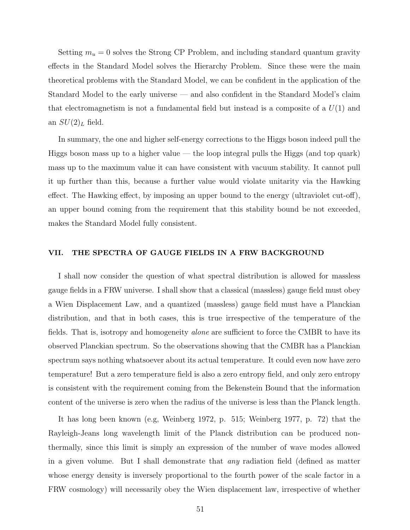Setting  $m_u = 0$  solves the Strong CP Problem, and including standard quantum gravity effects in the Standard Model solves the Hierarchy Problem. Since these were the main theoretical problems with the Standard Model, we can be confident in the application of the Standard Model to the early universe — and also confident in the Standard Model's claim that electromagnetism is not a fundamental field but instead is a composite of a  $U(1)$  and an  $SU(2)_L$  field.

In summary, the one and higher self-energy corrections to the Higgs boson indeed pull the Higgs boson mass up to a higher value — the loop integral pulls the Higgs (and top quark) mass up to the maximum value it can have consistent with vacuum stability. It cannot pull it up further than this, because a further value would violate unitarity via the Hawking effect. The Hawking effect, by imposing an upper bound to the energy (ultraviolet cut-off), an upper bound coming from the requirement that this stability bound be not exceeded, makes the Standard Model fully consistent.

### VII. THE SPECTRA OF GAUGE FIELDS IN A FRW BACKGROUND

I shall now consider the question of what spectral distribution is allowed for massless gauge fields in a FRW universe. I shall show that a classical (massless) gauge field must obey a Wien Displacement Law, and a quantized (massless) gauge field must have a Planckian distribution, and that in both cases, this is true irrespective of the temperature of the fields. That is, isotropy and homogeneity *alone* are sufficient to force the CMBR to have its observed Planckian spectrum. So the observations showing that the CMBR has a Planckian spectrum says nothing whatsoever about its actual temperature. It could even now have zero temperature! But a zero temperature field is also a zero entropy field, and only zero entropy is consistent with the requirement coming from the Bekenstein Bound that the information content of the universe is zero when the radius of the universe is less than the Planck length.

It has long been known (e.g, Weinberg 1972, p. 515; Weinberg 1977, p. 72) that the Rayleigh-Jeans long wavelength limit of the Planck distribution can be produced nonthermally, since this limit is simply an expression of the number of wave modes allowed in a given volume. But I shall demonstrate that any radiation field (defined as matter whose energy density is inversely proportional to the fourth power of the scale factor in a FRW cosmology) will necessarily obey the Wien displacement law, irrespective of whether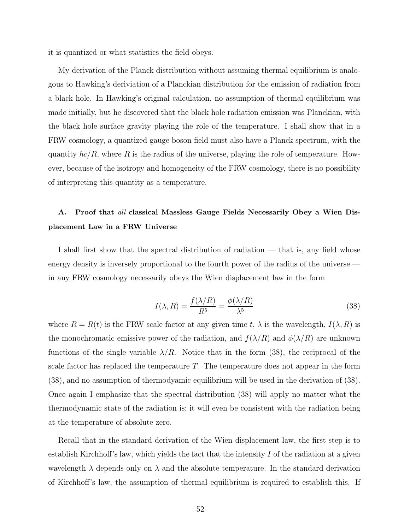it is quantized or what statistics the field obeys.

My derivation of the Planck distribution without assuming thermal equilibrium is analogous to Hawking's deriviation of a Planckian distribution for the emission of radiation from a black hole. In Hawking's original calculation, no assumption of thermal equilibrium was made initially, but he discovered that the black hole radiation emission was Planckian, with the black hole surface gravity playing the role of the temperature. I shall show that in a FRW cosmology, a quantized gauge boson field must also have a Planck spectrum, with the quantity  $\hbar c/R$ , where R is the radius of the universe, playing the role of temperature. However, because of the isotropy and homogeneity of the FRW cosmology, there is no possibility of interpreting this quantity as a temperature.

### A. Proof that all classical Massless Gauge Fields Necessarily Obey a Wien Displacement Law in a FRW Universe

I shall first show that the spectral distribution of radiation — that is, any field whose energy density is inversely proportional to the fourth power of the radius of the universe in any FRW cosmology necessarily obeys the Wien displacement law in the form

$$
I(\lambda, R) = \frac{f(\lambda/R)}{R^5} = \frac{\phi(\lambda/R)}{\lambda^5}
$$
\n(38)

where  $R = R(t)$  is the FRW scale factor at any given time t,  $\lambda$  is the wavelength,  $I(\lambda, R)$  is the monochromatic emissive power of the radiation, and  $f(\lambda/R)$  and  $\phi(\lambda/R)$  are unknown functions of the single variable  $\lambda/R$ . Notice that in the form (38), the reciprocal of the scale factor has replaced the temperature  $T$ . The temperature does not appear in the form (38), and no assumption of thermodyamic equilibrium will be used in the derivation of (38). Once again I emphasize that the spectral distribution (38) will apply no matter what the thermodynamic state of the radiation is; it will even be consistent with the radiation being at the temperature of absolute zero.

Recall that in the standard derivation of the Wien displacement law, the first step is to establish Kirchhoff's law, which yields the fact that the intensity  $I$  of the radiation at a given wavelength  $\lambda$  depends only on  $\lambda$  and the absolute temperature. In the standard derivation of Kirchhoff's law, the assumption of thermal equilibrium is required to establish this. If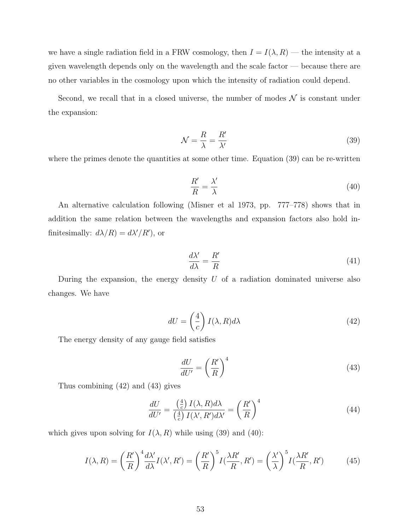we have a single radiation field in a FRW cosmology, then  $I = I(\lambda, R)$  — the intensity at a given wavelength depends only on the wavelength and the scale factor — because there are no other variables in the cosmology upon which the intensity of radiation could depend.

Second, we recall that in a closed universe, the number of modes  $\mathcal N$  is constant under the expansion:

$$
\mathcal{N} = \frac{R}{\lambda} = \frac{R'}{\lambda'}
$$
\n(39)

where the primes denote the quantities at some other time. Equation (39) can be re-written

$$
\frac{R'}{R} = \frac{\lambda'}{\lambda} \tag{40}
$$

An alternative calculation following (Misner et al 1973, pp. 777–778) shows that in addition the same relation between the wavelengths and expansion factors also hold infinitesimally:  $d\lambda/R$  =  $d\lambda'/R'$ , or

$$
\frac{d\lambda'}{d\lambda} = \frac{R'}{R} \tag{41}
$$

During the expansion, the energy density  $U$  of a radiation dominated universe also changes. We have

$$
dU = \left(\frac{4}{c}\right)I(\lambda, R)d\lambda\tag{42}
$$

The energy density of any gauge field satisfies

$$
\frac{dU}{dU'} = \left(\frac{R'}{R}\right)^4\tag{43}
$$

Thus combining (42) and (43) gives

$$
\frac{dU}{dU'} = \frac{\left(\frac{4}{c}\right)I(\lambda, R)d\lambda}{\left(\frac{4}{c}\right)I(\lambda', R')d\lambda'} = \left(\frac{R'}{R}\right)^4\tag{44}
$$

which gives upon solving for  $I(\lambda, R)$  while using (39) and (40):

$$
I(\lambda, R) = \left(\frac{R'}{R}\right)^4 \frac{d\lambda'}{d\lambda} I(\lambda', R') = \left(\frac{R'}{R}\right)^5 I(\frac{\lambda R'}{R}, R') = \left(\frac{\lambda'}{\lambda}\right)^5 I(\frac{\lambda R'}{R}, R') \tag{45}
$$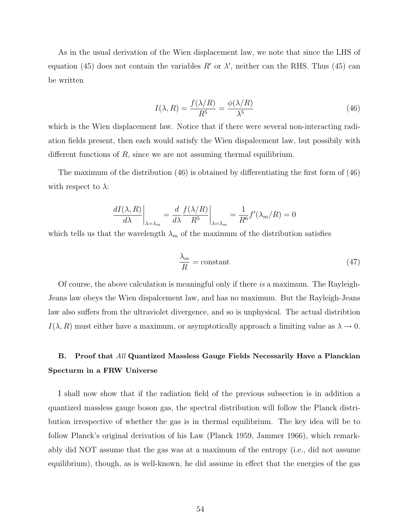As in the usual derivation of the Wien displacement law, we note that since the LHS of equation (45) does not contain the variables  $R'$  or  $\lambda'$ , neither can the RHS. Thus (45) can be written

$$
I(\lambda, R) = \frac{f(\lambda/R)}{R^5} = \frac{\phi(\lambda/R)}{\lambda^5}
$$
\n(46)

which is the Wien displacement law. Notice that if there were several non-interacting radiation fields present, then each would satisfy the Wien dispalcement law, but possibily with different functions of  $R$ , since we are not assuming thermal equilibrium.

The maximum of the distribution (46) is obtained by differentiating the first form of (46) with respect to  $\lambda$ :

$$
\left. \frac{dI(\lambda, R)}{d\lambda} \right|_{\lambda = \lambda_m} = \left. \frac{d}{d\lambda} \frac{f(\lambda/R)}{R^5} \right|_{\lambda = \lambda_m} = \frac{1}{R^6} f'(\lambda_m/R) = 0
$$

which tells us that the wavelength  $\lambda_m$  of the maximum of the distribution satisfies

$$
\frac{\lambda_m}{R} = \text{constant} \tag{47}
$$

Of course, the above calculation is meaningful only if there is a maximum. The Rayleigh-Jeans law obeys the Wien dispalcement law, and has no maximum. But the Rayleigh-Jeans law also suffers from the ultraviolet divergence, and so is unphysical. The actual distribtion  $I(\lambda, R)$  must either have a maximum, or asymptotically approach a limiting value as  $\lambda \to 0$ .

## B. Proof that All Quantized Massless Gauge Fields Necessarily Have a Planckian Specturm in a FRW Universe

I shall now show that if the radiation field of the previous subsection is in addition a quantized massless gauge boson gas, the spectral distribution will follow the Planck distribution irrespective of whether the gas is in thermal equilibrium. The key idea will be to follow Planck's original derivation of his Law (Planck 1959, Jammer 1966), which remarkably did NOT assume that the gas was at a maximum of the entropy (i.e., did not assume equilibrium), though, as is well-known, he did assume in effect that the energies of the gas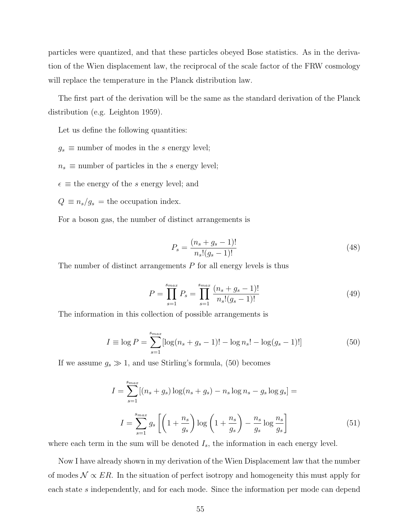particles were quantized, and that these particles obeyed Bose statistics. As in the derivation of the Wien displacement law, the reciprocal of the scale factor of the FRW cosmology will replace the temperature in the Planck distribution law.

The first part of the derivation will be the same as the standard derivation of the Planck distribution (e.g. Leighton 1959).

Let us define the following quantities:

- $g_s \equiv$  number of modes in the s energy level;
- $n_s \equiv$  number of particles in the s energy level;
- $\epsilon \equiv$  the energy of the s energy level; and
- $Q \equiv n_s/g_s$  = the occupation index.

For a boson gas, the number of distinct arrangements is

$$
P_s = \frac{(n_s + g_s - 1)!}{n_s!(g_s - 1)!} \tag{48}
$$

The number of distinct arrangements  $P$  for all energy levels is thus

$$
P = \prod_{s=1}^{s_{max}} P_s = \prod_{s=1}^{s_{max}} \frac{(n_s + g_s - 1)!}{n_s!(g_s - 1)!}
$$
(49)

The information in this collection of possible arrangements is

$$
I \equiv \log P = \sum_{s=1}^{s_{max}} [\log(n_s + g_s - 1)! - \log n_s! - \log(g_s - 1)!]
$$
 (50)

If we assume  $g_s \gg 1$ , and use Stirling's formula, (50) becomes

$$
I = \sum_{s=1}^{s_{max}} [(n_s + g_s) \log(n_s + g_s) - n_s \log n_s - g_s \log g_s] =
$$
  

$$
I = \sum_{s=1}^{s_{max}} g_s \left[ \left( 1 + \frac{n_s}{g_s} \right) \log \left( 1 + \frac{n_s}{g_s} \right) - \frac{n_s}{g_s} \log \frac{n_s}{g_s} \right]
$$
(51)

where each term in the sum will be denoted  $I_s$ , the information in each energy level.

Now I have already shown in my derivation of the Wien Displacement law that the number of modes  $\mathcal{N} \propto ER$ . In the situation of perfect isotropy and homogeneity this must apply for each state s independently, and for each mode. Since the information per mode can depend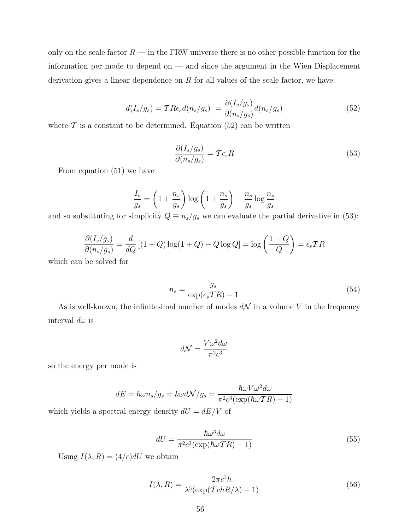only on the scale factor  $R$  — in the FRW universe there is no other possible function for the information per mode to depend on — and since the argument in the Wien Displacement derivation gives a linear dependence on  $R$  for all values of the scale factor, we have:

$$
d(I_s/g_s) = \mathcal{T} \cdot Re_s d(n_s/g_s) = \frac{\partial (I_s/g_s)}{\partial (n_s/g_s)} d(n_s/g_s)
$$
\n(52)

where  $\mathcal T$  is a constant to be determined. Equation (52) can be written

$$
\frac{\partial (I_s/g_s)}{\partial (n_s/g_s)} = \mathcal{T} \epsilon_s R \tag{53}
$$

From equation (51) we have

$$
\frac{I_s}{g_s} = \left(1 + \frac{n_s}{g_s}\right) \log\left(1 + \frac{n_s}{g_s}\right) - \frac{n_s}{g_s} \log\frac{n_s}{g_s}
$$

and so substituting for simplicity  $Q \equiv n_s/g_s$  we can evaluate the partial derivative in (53):

$$
\frac{\partial (I_s/g_s)}{\partial (n_s/g_s)} = \frac{d}{dQ} [(1+Q)\log(1+Q) - Q\log Q] = \log\left(\frac{1+Q}{Q}\right) = \epsilon_s TR
$$

which can be solved for

$$
n_s = \frac{g_s}{\exp(\epsilon_s T R) - 1} \tag{54}
$$

As is well-known, the infinitesimal number of modes  $dN$  in a volume V in the frequency interval  $d\omega$  is

$$
d\mathcal{N} = \frac{V\omega^2 d\omega}{\pi^2 c^3}
$$

so the energy per mode is

$$
dE = \hbar\omega n_s/g_s = \hbar\omega d\mathcal{N}/g_s = \frac{\hbar\omega V \omega^2 d\omega}{\pi^2 c^3 (\exp(\hbar\omega TR) - 1)}
$$

which yields a spectral energy density  $dU = dE/V$  of

$$
dU = \frac{\hbar\omega^3 d\omega}{\pi^2 c^3 (\exp(\hbar\omega T R) - 1)}
$$
\n(55)

Using  $I(\lambda, R) = (4/c)dU$  we obtain

$$
I(\lambda, R) = \frac{2\pi c^2 h}{\lambda^5 (\exp(\mathcal{T}chR/\lambda) - 1)}
$$
\n(56)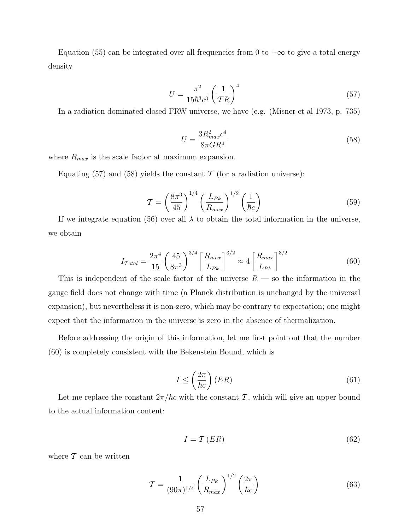Equation (55) can be integrated over all frequencies from 0 to  $+\infty$  to give a total energy density

$$
U = \frac{\pi^2}{15\hbar^3 c^3} \left(\frac{1}{TR}\right)^4\tag{57}
$$

In a radiation dominated closed FRW universe, we have (e.g. (Misner et al 1973, p. 735)

$$
U = \frac{3R_{max}^2 c^4}{8\pi G R^4} \tag{58}
$$

where  $R_{max}$  is the scale factor at maximum expansion.

Equating (57) and (58) yields the constant  $\mathcal T$  (for a radiation universe):

$$
\mathcal{T} = \left(\frac{8\pi^3}{45}\right)^{1/4} \left(\frac{L_{Pk}}{R_{max}}\right)^{1/2} \left(\frac{1}{\hbar c}\right)
$$
\n(59)

If we integrate equation (56) over all  $\lambda$  to obtain the total information in the universe, we obtain

$$
I_{Total} = \frac{2\pi^4}{15} \left(\frac{45}{8\pi^3}\right)^{3/4} \left[\frac{R_{max}}{L_{Pk}}\right]^{3/2} \approx 4 \left[\frac{R_{max}}{L_{Pk}}\right]^{3/2} \tag{60}
$$

This is independent of the scale factor of the universe  $R$  — so the information in the gauge field does not change with time (a Planck distribution is unchanged by the universal expansion), but nevertheless it is non-zero, which may be contrary to expectation; one might expect that the information in the universe is zero in the absence of thermalization.

Before addressing the origin of this information, let me first point out that the number (60) is completely consistent with the Bekenstein Bound, which is

$$
I \le \left(\frac{2\pi}{\hbar c}\right)(ER) \tag{61}
$$

Let me replace the constant  $2\pi/\hbar c$  with the constant T, which will give an upper bound to the actual information content:

$$
I = \mathcal{T}(ER) \tag{62}
$$

where  $\mathcal T$  can be written

$$
\mathcal{T} = \frac{1}{(90\pi)^{1/4}} \left(\frac{L_{Pk}}{R_{max}}\right)^{1/2} \left(\frac{2\pi}{\hbar c}\right) \tag{63}
$$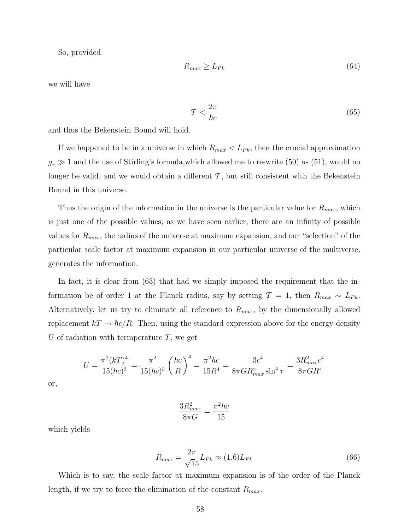So, provided

$$
R_{max} \ge L_{Pk} \tag{64}
$$

we will have

$$
\mathcal{T} < \frac{2\pi}{\hbar c} \tag{65}
$$

and thus the Bekenstein Bound will hold.

If we happened to be in a universe in which  $R_{max} < L_{Pk}$ , then the crucial approximation  $g_s \gg 1$  and the use of Stirling's formula, which allowed me to re-write (50) as (51), would no longer be valid, and we would obtain a different  $\mathcal{T}$ , but still consistent with the Bekenstein Bound in this universe.

Thus the origin of the information in the universe is the particular value for  $R_{max}$ , which is just one of the possible values; as we have seen earlier, there are an infinity of possible values for  $R_{max}$ , the radius of the universe at maximum expansion, and our "selection" of the particular scale factor at maximum expansion in our particular universe of the multiverse, generates the information.

In fact, it is clear from (63) that had we simply imposed the requirement that the information be of order 1 at the Planck radius, say by setting  $\mathcal{T} = 1$ , then  $R_{max} \sim L_{Pk}$ . Alternatively, let us try to eliminate all reference to  $R_{max}$ , by the dimensionally allowed replacement  $kT \to \hbar c/R$ . Then, using the standard expression above for the energy density U of radiation with termperature  $T$ , we get

$$
U = \frac{\pi^2 (kT)^4}{15(\hbar c)^3} = \frac{\pi^2}{15(\hbar c)^3} \left(\frac{\hbar c}{R}\right)^4 = \frac{\pi^2 \hbar c}{15R^4} = \frac{3c^4}{8\pi GR_{max}^2 \sin^4 \tau} = \frac{3R_{max}^2 c^4}{8\pi GR^4}
$$

or,

$$
\frac{3R_{max}^2}{8\pi G} = \frac{\pi^2\hbar c}{15}
$$

which yields

$$
R_{max} = \frac{2\pi}{\sqrt{15}} L_{Pk} \approx (1.6) L_{Pk} \tag{66}
$$

Which is to say, the scale factor at maximum expansion is of the order of the Planck length, if we try to force the elimination of the constant  $R_{max}$ .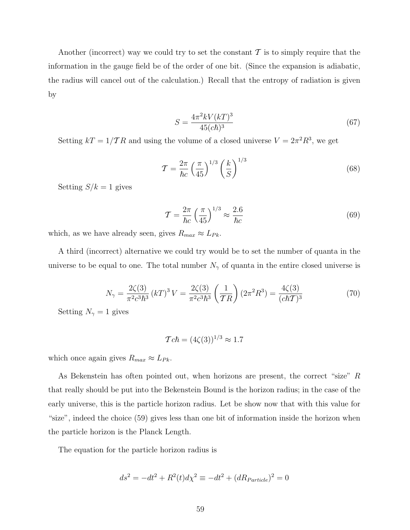Another (incorrect) way we could try to set the constant  $\mathcal T$  is to simply require that the information in the gauge field be of the order of one bit. (Since the expansion is adiabatic, the radius will cancel out of the calculation.) Recall that the entropy of radiation is given by

$$
S = \frac{4\pi^2 k V (kT)^3}{45 (c\hbar)^3} \tag{67}
$$

Setting  $kT = 1/TR$  and using the volume of a closed universe  $V = 2\pi^2 R^3$ , we get

$$
\mathcal{T} = \frac{2\pi}{\hbar c} \left(\frac{\pi}{45}\right)^{1/3} \left(\frac{k}{S}\right)^{1/3} \tag{68}
$$

Setting  $S/k = 1$  gives

$$
\mathcal{T} = \frac{2\pi}{\hbar c} \left(\frac{\pi}{45}\right)^{1/3} \approx \frac{2.6}{\hbar c} \tag{69}
$$

which, as we have already seen, gives  $R_{max} \approx L_{Pk}.$ 

A third (incorrect) alternative we could try would be to set the number of quanta in the universe to be equal to one. The total number  $N_{\gamma}$  of quanta in the entire closed universe is

$$
N_{\gamma} = \frac{2\zeta(3)}{\pi^2 c^3 \hbar^3} (kT)^3 V = \frac{2\zeta(3)}{\pi^2 c^3 \hbar^3} \left(\frac{1}{TR}\right) (2\pi^2 R^3) = \frac{4\zeta(3)}{(c\hbar T)^3}
$$
(70)

Setting  $N_{\gamma} = 1$  gives

$$
\mathcal{T}c\hbar = (4\zeta(3))^{1/3} \approx 1.7
$$

which once again gives  $R_{max} \approx L_{Pk}$ .

As Bekenstein has often pointed out, when horizons are present, the correct "size" R that really should be put into the Bekenstein Bound is the horizon radius; in the case of the early universe, this is the particle horizon radius. Let be show now that with this value for "size", indeed the choice (59) gives less than one bit of information inside the horizon when the particle horizon is the Planck Length.

The equation for the particle horizon radius is

$$
ds^{2} = -dt^{2} + R^{2}(t)d\chi^{2} \equiv -dt^{2} + (dR_{Particle})^{2} = 0
$$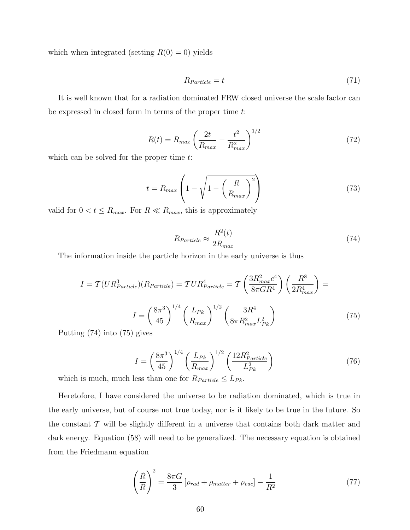which when integrated (setting  $R(0) = 0$ ) yields

$$
R_{Particle} = t \tag{71}
$$

It is well known that for a radiation dominated FRW closed universe the scale factor can be expressed in closed form in terms of the proper time t:

$$
R(t) = R_{max} \left( \frac{2t}{R_{max}} - \frac{t^2}{R_{max}^2} \right)^{1/2}
$$
 (72)

which can be solved for the proper time  $t$ :

$$
t = R_{max} \left( 1 - \sqrt{1 - \left(\frac{R}{R_{max}}\right)^2} \right) \tag{73}
$$

valid for  $0 < t \le R_{max}$ . For  $R \ll R_{max}$ , this is approximately

$$
R_{Particle} \approx \frac{R^2(t)}{2R_{max}} \tag{74}
$$

The information inside the particle horizon in the early universe is thus

$$
I = \mathcal{T}(UR_{Particle}^3)(R_{Particle}) = \mathcal{T}UR_{Particle}^4 = \mathcal{T}\left(\frac{3R_{max}^2c^4}{8\pi GR^4}\right)\left(\frac{R^8}{2R_{max}^4}\right) =
$$

$$
I = \left(\frac{8\pi^3}{45}\right)^{1/4}\left(\frac{L_{Pk}}{R_{max}}\right)^{1/2}\left(\frac{3R^4}{8\pi R_{max}^2L_{Pk}^2}\right)
$$
(75)

Putting (74) into (75) gives

$$
I = \left(\frac{8\pi^3}{45}\right)^{1/4} \left(\frac{L_{Pk}}{R_{max}}\right)^{1/2} \left(\frac{12R_{Particle}^2}{L_{Pk}^2}\right)
$$
(76)

which is much, much less than one for  $R_{Particle} \leq L_{Pk}$ .

Heretofore, I have considered the universe to be radiation dominated, which is true in the early universe, but of course not true today, nor is it likely to be true in the future. So the constant  $\mathcal T$  will be slightly different in a universe that contains both dark matter and dark energy. Equation (58) will need to be generalized. The necessary equation is obtained from the Friedmann equation

$$
\left(\frac{\dot{R}}{R}\right)^2 = \frac{8\pi G}{3} \left[\rho_{rad} + \rho_{matter} + \rho_{vac}\right] - \frac{1}{R^2} \tag{77}
$$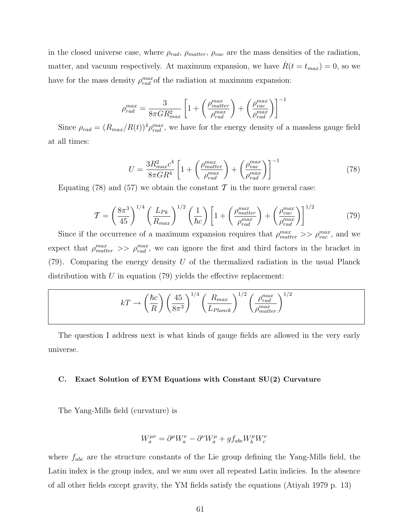in the closed universe case, where  $\rho_{rad}$ ,  $\rho_{matter}$ ,  $\rho_{vac}$  are the mass densities of the radiation, matter, and vacuum respectively. At maximum expansion, we have  $\dot{R}(t = t_{max}) = 0$ , so we have for the mass density  $\rho_{rad}^{max}$  of the radiation at maximum expansion:

$$
\rho_{rad}^{max} = \frac{3}{8\pi G R_{max}^2} \left[ 1 + \left( \frac{\rho_{matter}^{max}}{\rho_{rad}^{max}} \right) + \left( \frac{\rho_{vac}^{max}}{\rho_{rad}^{max}} \right) \right]^{-1}
$$

Since  $\rho_{rad} = (R_{max}/R(t))^4 \rho_{rad}^{max}$ , we have for the energy density of a massless gauge field at all times:

$$
U = \frac{3R_{max}^2 c^4}{8\pi G R^4} \left[ 1 + \left( \frac{\rho_{matter}^{max}}{\rho_{rad}^{max}} \right) + \left( \frac{\rho_{vac}^{max}}{\rho_{rad}^{max}} \right) \right]^{-1} \tag{78}
$$

Equating (78) and (57) we obtain the constant  $\mathcal T$  in the more general case:

$$
\mathcal{T} = \left(\frac{8\pi^3}{45}\right)^{1/4} \left(\frac{L_{Pk}}{R_{max}}\right)^{1/2} \left(\frac{1}{\hbar c}\right) \left[1 + \left(\frac{\rho_{matter}^{max}}{\rho_{rad}^{max}}\right) + \left(\frac{\rho_{vac}^{max}}{\rho_{rad}^{max}}\right)\right]^{1/2} \tag{79}
$$

Since if the occurrence of a maximum expansion requires that  $\rho_{matter}^{max} \gg \rho_{vac}^{max}$ , and we expect that  $\rho_{matter}^{max} >> \rho_{rad}^{max}$ , we can ignore the first and third factors in the bracket in (79). Comparing the energy density  $U$  of the thermalized radiation in the usual Planck distribution with  $U$  in equation (79) yields the effective replacement:

$$
kT \to \left(\frac{\hbar c}{R}\right) \left(\frac{45}{8\pi^3}\right)^{1/4} \left(\frac{R_{max}}{L_{Planck}}\right)^{1/2} \left(\frac{\rho_{rad}^{max}}{\rho_{matter}^{max}}\right)^{1/2}
$$

The question I address next is what kinds of gauge fields are allowed in the very early universe.

#### C. Exact Solution of EYM Equations with Constant SU(2) Curvature

The Yang-Mills field (curvature) is

$$
W^{\mu\nu}_a=\partial^\mu W^\nu_a-\partial^\nu W^\mu_a+gf_{abc}W^\mu_bW^\nu_c
$$

where  $f_{abc}$  are the structure constants of the Lie group defining the Yang-Mills field, the Latin index is the group index, and we sum over all repeated Latin indicies. In the absence of all other fields except gravity, the YM fields satisfy the equations (Atiyah 1979 p. 13)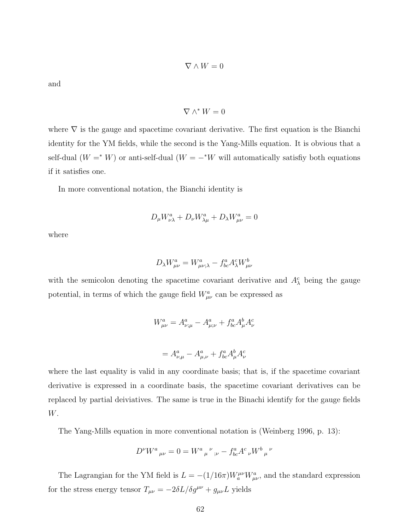and

$$
\nabla\wedge^*W=0
$$

where  $\nabla$  is the gauge and spacetime covariant derivative. The first equation is the Bianchi identity for the YM fields, while the second is the Yang-Mills equation. It is obvious that a self-dual ( $W = * W$ ) or anti-self-dual ( $W = -*W$  will automatically satisfiy both equations if it satisfies one.

In more conventional notation, the Bianchi identity is

$$
D_{\mu}W^{a}_{\nu\lambda} + D_{\nu}W^{a}_{\lambda\mu} + D_{\lambda}W^{a}_{\mu\nu} = 0
$$

where

$$
D_{\lambda}W^{a}_{\mu\nu} = W^{a}_{\mu\nu;\lambda} - f^{a}_{bc}A^{c}_{\lambda}W^{b}_{\mu\nu}
$$

with the semicolon denoting the spacetime covariant derivative and  $A_{\lambda}^{c}$  being the gauge potential, in terms of which the gauge field  $W_{\mu\nu}^a$  can be expressed as

$$
W^{a}_{\mu\nu} = A^{a}_{\nu;\mu} - A^{a}_{\mu;\nu} + f^{a}_{bc} A^{b}_{\mu} A^{c}_{\nu}
$$

$$
=A^a_{\nu,\mu}-A^a_{\mu,\nu}+f^a_{bc}A^b_\mu A^c_\nu
$$

where the last equality is valid in any coordinate basis; that is, if the spacetime covariant derivative is expressed in a coordinate basis, the spacetime covariant derivatives can be replaced by partial deiviatives. The same is true in the Binachi identify for the gauge fields W.

The Yang-Mills equation in more conventional notation is (Weinberg 1996, p. 13):

$$
D^{\nu}W^{a}{}_{\mu\nu} = 0 = W^{a}{}_{\mu}{}^{\nu}{}_{;\nu} - f^{a}_{bc}A^{c}{}_{\nu}W^{b}{}_{\mu}{}^{\nu}
$$

The Lagrangian for the YM field is  $L = -(1/16\pi)W_{a}^{\mu\nu}W_{\mu\nu}^{a}$ , and the standard expression for the stress energy tensor  $T_{\mu\nu}=-2\delta L/\delta g^{\mu\nu}+g_{\mu\nu}L$  yields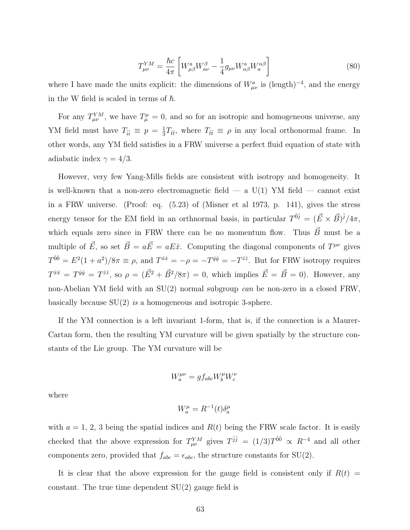$$
T_{\mu\nu}^{YM} = \frac{\hbar c}{4\pi} \left[ W_{\mu\beta}^a W_{a\nu}^\beta - \frac{1}{4} g_{\mu\nu} W_{\alpha\beta}^a W_a^{\alpha\beta} \right]
$$
(80)

where I have made the units explicit: the dimensions of  $W_{\mu\nu}^a$  is (length)<sup>-4</sup>, and the energy in the W field is scaled in terms of  $\hbar$ .

For any  $T_{\mu\nu}^{YM}$ , we have  $T_{\mu}^{\mu}=0$ , and so for an isotropic and homogeneous universe, any YM field must have  $T_{\hat{i}\hat{i}} \equiv p = \frac{1}{3}$  $\frac{1}{3}T_{\hat{t}\hat{t}}$ , where  $T_{\hat{t}\hat{t}} \equiv \rho$  in any local orthonormal frame. In other words, any YM field satisfies in a FRW universe a perfect fluid equation of state with adiabatic index  $\gamma = 4/3$ .

However, very few Yang-Mills fields are consistent with isotropy and homogeneity. It is well-known that a non-zero electromagnetic field  $-$  a U(1) YM field  $-$  cannot exist in a FRW universe. (Proof: eq. (5.23) of (Misner et al 1973, p. 141), gives the stress energy tensor for the EM field in an orthnormal basis, in particular  $T^{\hat{0}\hat{j}} = (\vec{E} \times \vec{B})^{\hat{j}}/4\pi$ , which equals zero since in FRW there can be no momentum flow. Thus  $\vec{B}$  must be a multiple of  $\vec{E}$ , so set  $\vec{B} = a\vec{E} = aE\hat{x}$ . Computing the diagonal components of  $T^{\mu\nu}$  gives  $T^{00} = E^2(1+a^2)/8\pi \equiv \rho$ , and  $T^{\hat{x}\hat{x}} = -\rho = -T^{\hat{y}\hat{y}} = -T^{\hat{z}\hat{z}}$ . But for FRW isotropy requires  $T^{\hat{x}\hat{x}} = T^{\hat{y}\hat{y}} = T^{\hat{z}\hat{z}}$ , so  $\rho = (\vec{E}^2 + \vec{B}^2/8\pi) = 0$ , which implies  $\vec{E} = \vec{B} = 0$ ). However, any non-Abelian YM field with an SU(2) normal subgroup can be non-zero in a closed FRW, basically because  $SU(2)$  is a homogeneous and isotropic 3-sphere.

If the YM connection is a left invariant 1-form, that is, if the connection is a Maurer-Cartan form, then the resulting YM curvature will be given spatially by the structure constants of the Lie group. The YM curvature will be

$$
W^{\mu\nu}_a = gf_{abc}W^{\mu}_bW^{\nu}_c
$$

where

$$
W_a^{\mu} = R^{-1}(t)\delta_a^{\mu}
$$

with  $a = 1, 2, 3$  being the spatial indices and  $R(t)$  being the FRW scale factor. It is easily checked that the above expression for  $T_{\mu\nu}^{YM}$  gives  $T^{\hat{j}\hat{j}} = (1/3)T^{\hat{0}\hat{0}} \propto R^{-4}$  and all other components zero, provided that  $f_{abc} = \epsilon_{abc}$ , the structure constants for SU(2).

It is clear that the above expression for the gauge field is consistent only if  $R(t)$  = constant. The true time dependent SU(2) gauge field is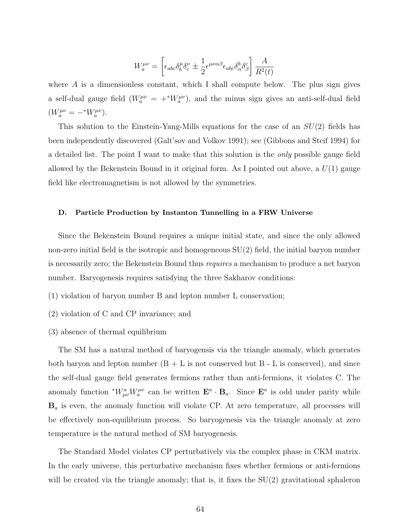$$
W^{\mu\nu}_a = \left[ \epsilon_{abc} \delta^{\mu}_b \delta^{\nu}_c \pm \frac{1}{2} \epsilon^{\mu\nu\alpha\beta} \epsilon_{abc} \delta^b_\alpha \delta^c_\beta \right] \frac{A}{R^2(t)}
$$

where  $A$  is a dimensionless constant, which I shall compute below. The plus sign gives a self-dual gauge field  $(W_a^{\mu\nu} = +^*W_a^{\mu\nu})$ , and the minus sign gives an anti-self-dual field  $(W_a^{\mu\nu} = -{}^*W_a^{\mu\nu}).$ 

This solution to the Einstein-Yang-Mills equations for the case of an  $SU(2)$  fields has been independently discovered (Galt'sov and Volkov 1991); see (Gibbons and Steif 1994) for a detailed list. The point I want to make that this solution is the only possible gauge field allowed by the Bekenstein Bound in it original form. As I pointed out above, a  $U(1)$  gauge field like electromagnetism is not allowed by the symmetries.

#### D. Particle Production by Instanton Tunnelling in a FRW Universe

Since the Bekenstein Bound requires a unique initial state, and since the only allowed non-zero initial field is the isotropic and homogeneous  $SU(2)$  field, the initial baryon number is necessarily zero; the Bekenstein Bound thus requires a mechanism to produce a net baryon number. Baryogenesis requires satisfying the three Sakharov conditions:

- (1) violation of baryon number B and lepton number L conservation;
- (2) violation of C and CP invariance; and
- (3) absence of thermal equilibrium

The SM has a natural method of baryogensis via the triangle anomaly, which generates both baryon and lepton number  $(B + L)$  is not conserved but B - L is conserved), and since the self-dual gauge field generates fermions rather than anti-fermions, it violates C. The anomaly function  $^*W^a_{\mu\nu}W_a^{\mu\nu}$  can be written  $\mathbf{E}^a \cdot \mathbf{B}_a$ . Since  $\mathbf{E}^a$  is odd under parity while  **is even, the anomaly function will violate CP. At zero temperature, all processes will** be effectively non-equilibrium process. So baryogenesis via the triangle anomaly at zero temperature is the natural method of SM baryogenesis.

The Standard Model violates CP perturbatively via the complex phase in CKM matrix. In the early universe, this perturbative mechanism fixes whether fermions or anti-fermions will be created via the triangle anomaly; that is, it fixes the  $SU(2)$  gravitational sphaleron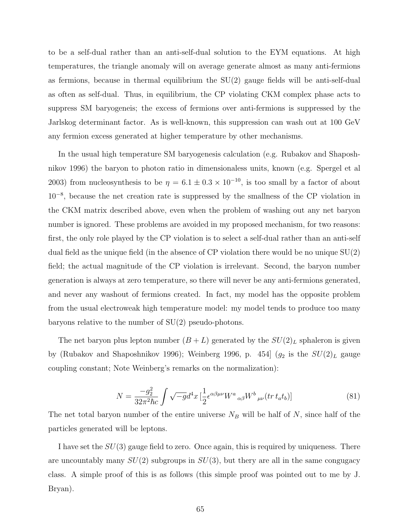to be a self-dual rather than an anti-self-dual solution to the EYM equations. At high temperatures, the triangle anomaly will on average generate almost as many anti-fermions as fermions, because in thermal equilibrium the  $SU(2)$  gauge fields will be anti-self-dual as often as self-dual. Thus, in equilibrium, the CP violating CKM complex phase acts to suppress SM baryogeneis; the excess of fermions over anti-fermions is suppressed by the Jarlskog determinant factor. As is well-known, this suppression can wash out at 100 GeV any fermion excess generated at higher temperature by other mechanisms.

In the usual high temperature SM baryogenesis calculation (e.g. Rubakov and Shaposhnikov 1996) the baryon to photon ratio in dimensionaless units, known (e.g. Spergel et al 2003) from nucleosynthesis to be  $\eta = 6.1 \pm 0.3 \times 10^{-10}$ , is too small by a factor of about 10<sup>−</sup><sup>8</sup> , because the net creation rate is suppressed by the smallness of the CP violation in the CKM matrix described above, even when the problem of washing out any net baryon number is ignored. These problems are avoided in my proposed mechanism, for two reasons: first, the only role played by the CP violation is to select a self-dual rather than an anti-self dual field as the unique field (in the absence of CP violation there would be no unique SU(2) field; the actual magnitude of the CP violation is irrelevant. Second, the baryon number generation is always at zero temperature, so there will never be any anti-fermions generated, and never any washout of fermions created. In fact, my model has the opposite problem from the usual electroweak high temperature model: my model tends to produce too many baryons relative to the number of SU(2) pseudo-photons.

The net baryon plus lepton number  $(B+L)$  generated by the  $SU(2)_L$  sphaleron is given by (Rubakov and Shaposhnikov 1996); Weinberg 1996, p. 454  $(g_2$  is the  $SU(2)_L$  gauge coupling constant; Note Weinberg's remarks on the normalization):

$$
N = \frac{-g_2^2}{32\pi^2\hbar c} \int \sqrt{-g}d^4x \left[\frac{1}{2}\epsilon^{\alpha\beta\mu\nu}W^a{}_{\alpha\beta}W^b{}_{\mu\nu}(tr\,t_at_b)\right]
$$
(81)

The net total baryon number of the entire universe  $N_B$  will be half of N, since half of the particles generated will be leptons.

I have set the  $SU(3)$  gauge field to zero. Once again, this is required by uniqueness. There are uncountably many  $SU(2)$  subgroups in  $SU(3)$ , but thery are all in the same congugacy class. A simple proof of this is as follows (this simple proof was pointed out to me by J. Bryan).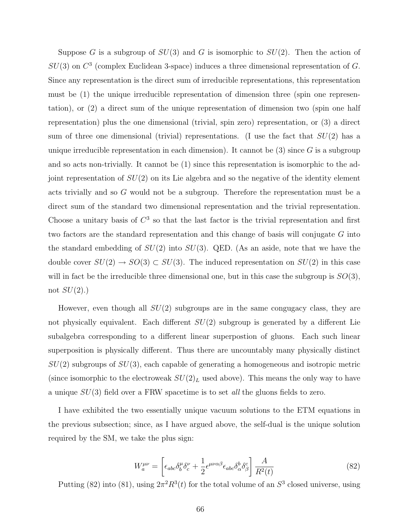Suppose G is a subgroup of  $SU(3)$  and G is isomorphic to  $SU(2)$ . Then the action of  $SU(3)$  on  $C<sup>3</sup>$  (complex Euclidean 3-space) induces a three dimensional representation of G. Since any representation is the direct sum of irreducible representations, this representation must be (1) the unique irreducible representation of dimension three (spin one representation), or (2) a direct sum of the unique representation of dimension two (spin one half representation) plus the one dimensional (trivial, spin zero) representation, or (3) a direct sum of three one dimensional (trivial) representations. (I use the fact that  $SU(2)$  has a unique irreducible representation in each dimension). It cannot be  $(3)$  since G is a subgroup and so acts non-trivially. It cannot be (1) since this representation is isomorphic to the adjoint representation of  $SU(2)$  on its Lie algebra and so the negative of the identity element acts trivially and so G would not be a subgroup. Therefore the representation must be a direct sum of the standard two dimensional representation and the trivial representation. Choose a unitary basis of  $C^3$  so that the last factor is the trivial representation and first two factors are the standard representation and this change of basis will conjugate G into the standard embedding of  $SU(2)$  into  $SU(3)$ . QED. (As an aside, note that we have the double cover  $SU(2) \rightarrow SO(3) \subset SU(3)$ . The induced representation on  $SU(2)$  in this case will in fact be the irreducible three dimensional one, but in this case the subgroup is  $SO(3)$ , not  $SU(2)$ .)

However, even though all  $SU(2)$  subgroups are in the same congugacy class, they are not physically equivalent. Each different  $SU(2)$  subgroup is generated by a different Lie subalgebra corresponding to a different linear superpostion of gluons. Each such linear superposition is physically different. Thus there are uncountably many physically distinct  $SU(2)$  subgroups of  $SU(3)$ , each capable of generating a homogeneous and isotropic metric (since isomorphic to the electroweak  $SU(2)_L$  used above). This means the only way to have a unique SU(3) field over a FRW spacetime is to set all the gluons fields to zero.

I have exhibited the two essentially unique vacuum solutions to the ETM equations in the previous subsection; since, as I have argued above, the self-dual is the unique solution required by the SM, we take the plus sign:

$$
W_a^{\mu\nu} = \left[ \epsilon_{abc} \delta_b^{\mu} \delta_c^{\nu} + \frac{1}{2} \epsilon^{\mu\nu\alpha\beta} \epsilon_{abc} \delta_\alpha^b \delta_\beta^c \right] \frac{A}{R^2(t)} \tag{82}
$$

Putting (82) into (81), using  $2\pi^2 R^3(t)$  for the total volume of an  $S^3$  closed universe, using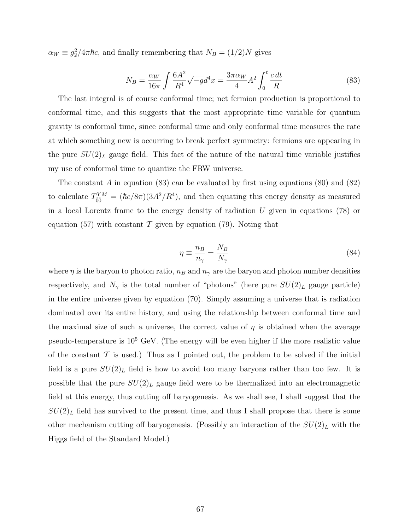$\alpha_W \equiv g_2^2/4\pi\hbar c$ , and finally remembering that  $N_B = (1/2)N$  gives

$$
N_B = \frac{\alpha_W}{16\pi} \int \frac{6A^2}{R^4} \sqrt{-g} d^4 x = \frac{3\pi \alpha_W}{4} A^2 \int_0^t \frac{c \, dt}{R} \tag{83}
$$

The last integral is of course conformal time; net fermion production is proportional to conformal time, and this suggests that the most appropriate time variable for quantum gravity is conformal time, since conformal time and only conformal time measures the rate at which something new is occurring to break perfect symmetry: fermions are appearing in the pure  $SU(2)_L$  gauge field. This fact of the nature of the natural time variable justifies my use of conformal time to quantize the FRW universe.

The constant A in equation (83) can be evaluated by first using equations (80) and (82) to calculate  $T_{\hat{0}\hat{0}}^{YM} = (\hbar c/8\pi)(3A^2/R^4)$ , and then equating this energy density as measured in a local Lorentz frame to the energy density of radiation  $U$  given in equations (78) or equation (57) with constant  $\mathcal T$  given by equation (79). Noting that

$$
\eta \equiv \frac{n_B}{n_\gamma} = \frac{N_B}{N_\gamma} \tag{84}
$$

where  $\eta$  is the baryon to photon ratio,  $n_B$  and  $n_\gamma$  are the baryon and photon number densities respectively, and  $N_{\gamma}$  is the total number of "photons" (here pure  $SU(2)_L$  gauge particle) in the entire universe given by equation (70). Simply assuming a universe that is radiation dominated over its entire history, and using the relationship between conformal time and the maximal size of such a universe, the correct value of  $\eta$  is obtained when the average pseudo-temperature is  $10^5$  GeV. (The energy will be even higher if the more realistic value of the constant  $\mathcal T$  is used.) Thus as I pointed out, the problem to be solved if the initial field is a pure  $SU(2)_L$  field is how to avoid too many baryons rather than too few. It is possible that the pure  $SU(2)_L$  gauge field were to be thermalized into an electromagnetic field at this energy, thus cutting off baryogenesis. As we shall see, I shall suggest that the  $SU(2)_L$  field has survived to the present time, and thus I shall propose that there is some other mechanism cutting off baryogenesis. (Possibly an interaction of the  $SU(2)_L$  with the Higgs field of the Standard Model.)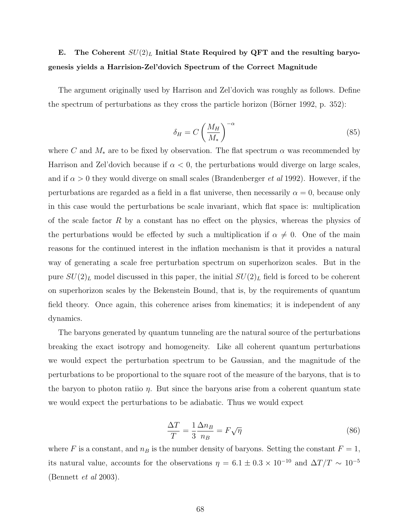# E. The Coherent  $SU(2)_L$  Initial State Required by QFT and the resulting baryogenesis yields a Harrision-Zel'dovich Spectrum of the Correct Magnitude

The argument originally used by Harrison and Zel'dovich was roughly as follows. Define the spectrum of perturbations as they cross the particle horizon (Börner 1992, p. 352):

$$
\delta_H = C \left(\frac{M_H}{M_*}\right)^{-\alpha} \tag{85}
$$

where C and  $M_*$  are to be fixed by observation. The flat spectrum  $\alpha$  was recommended by Harrison and Zel'dovich because if  $\alpha < 0$ , the perturbations would diverge on large scales, and if  $\alpha > 0$  they would diverge on small scales (Brandenberger *et al* 1992). However, if the perturbations are regarded as a field in a flat universe, then necessarily  $\alpha = 0$ , because only in this case would the perturbations be scale invariant, which flat space is: multiplication of the scale factor  $R$  by a constant has no effect on the physics, whereas the physics of the perturbations would be effected by such a multiplication if  $\alpha \neq 0$ . One of the main reasons for the continued interest in the inflation mechanism is that it provides a natural way of generating a scale free perturbation spectrum on superhorizon scales. But in the pure  $SU(2)_L$  model discussed in this paper, the initial  $SU(2)_L$  field is forced to be coherent on superhorizon scales by the Bekenstein Bound, that is, by the requirements of quantum field theory. Once again, this coherence arises from kinematics; it is independent of any dynamics.

The baryons generated by quantum tunneling are the natural source of the perturbations breaking the exact isotropy and homogeneity. Like all coherent quantum perturbations we would expect the perturbation spectrum to be Gaussian, and the magnitude of the perturbations to be proportional to the square root of the measure of the baryons, that is to the baryon to photon ratiio  $\eta$ . But since the baryons arise from a coherent quantum state we would expect the perturbations to be adiabatic. Thus we would expect

$$
\frac{\Delta T}{T} = \frac{1}{3} \frac{\Delta n_B}{n_B} = F \sqrt{\eta}
$$
\n(86)

where F is a constant, and  $n_B$  is the number density of baryons. Setting the constant  $F = 1$ , its natural value, accounts for the observations  $\eta\,=\,6.1\pm0.3\times10^{-10}$  and  $\Delta T/T\,\sim\,10^{-5}$ (Bennett et al 2003).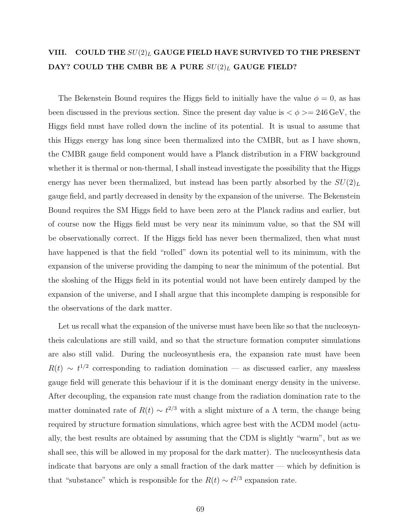# VIII. COULD THE  $SU(2)_L$  GAUGE FIELD HAVE SURVIVED TO THE PRESENT DAY? COULD THE CMBR BE A PURE  $SU(2)_L$  GAUGE FIELD?

The Bekenstein Bound requires the Higgs field to initially have the value  $\phi = 0$ , as has been discussed in the previous section. Since the present day value is  $\langle \phi \rangle = 246 \,\text{GeV}$ , the Higgs field must have rolled down the incline of its potential. It is usual to assume that this Higgs energy has long since been thermalized into the CMBR, but as I have shown, the CMBR gauge field component would have a Planck distribution in a FRW background whether it is thermal or non-thermal, I shall instead investigate the possibility that the Higgs energy has never been thermalized, but instead has been partly absorbed by the  $SU(2)_L$ gauge field, and partly decreased in density by the expansion of the universe. The Bekenstein Bound requires the SM Higgs field to have been zero at the Planck radius and earlier, but of course now the Higgs field must be very near its minimum value, so that the SM will be observationally correct. If the Higgs field has never been thermalized, then what must have happened is that the field "rolled" down its potential well to its minimum, with the expansion of the universe providing the damping to near the minimum of the potential. But the sloshing of the Higgs field in its potential would not have been entirely damped by the expansion of the universe, and I shall argue that this incomplete damping is responsible for the observations of the dark matter.

Let us recall what the expansion of the universe must have been like so that the nucleosyntheis calculations are still vaild, and so that the structure formation computer simulations are also still valid. During the nucleosynthesis era, the expansion rate must have been  $R(t) \sim t^{1/2}$  corresponding to radiation domination — as discussed earlier, any massless gauge field will generate this behaviour if it is the dominant energy density in the universe. After decoupling, the expansion rate must change from the radiation domination rate to the matter dominated rate of  $R(t) \sim t^{2/3}$  with a slight mixture of a  $\Lambda$  term, the change being required by structure formation simulations, which agree best with the ΛCDM model (actually, the best results are obtained by assuming that the CDM is slightly "warm", but as we shall see, this will be allowed in my proposal for the dark matter). The nucleosynthesis data indicate that baryons are only a small fraction of the dark matter — which by definition is that "substance" which is responsible for the  $R(t) \sim t^{2/3}$  expansion rate.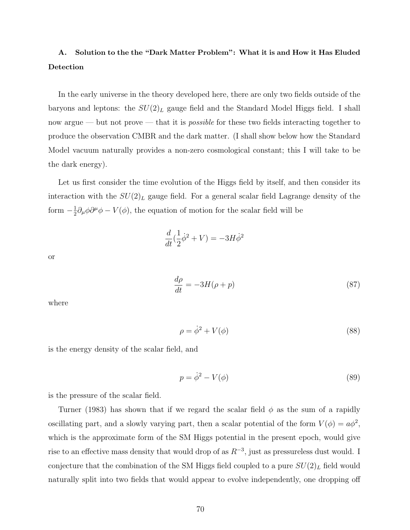### A. Solution to the the "Dark Matter Problem": What it is and How it Has Eluded Detection

In the early universe in the theory developed here, there are only two fields outside of the baryons and leptons: the  $SU(2)_L$  gauge field and the Standard Model Higgs field. I shall now argue — but not prove — that it is *possible* for these two fields interacting together to produce the observation CMBR and the dark matter. (I shall show below how the Standard Model vacuum naturally provides a non-zero cosmological constant; this I will take to be the dark energy).

Let us first consider the time evolution of the Higgs field by itself, and then consider its interaction with the  $SU(2)_L$  gauge field. For a general scalar field Lagrange density of the form  $-\frac{1}{2}$  $\frac{1}{2}\partial_{\mu}\phi\partial^{\mu}\phi - V(\phi)$ , the equation of motion for the scalar field will be

$$
\frac{d}{dt}(\frac{1}{2}\dot{\phi}^2 + V) = -3H\dot{\phi}^2
$$

or

$$
\frac{d\rho}{dt} = -3H(\rho + p) \tag{87}
$$

where

$$
\rho = \dot{\phi}^2 + V(\phi) \tag{88}
$$

is the energy density of the scalar field, and

$$
p = \dot{\phi}^2 - V(\phi) \tag{89}
$$

is the pressure of the scalar field.

Turner (1983) has shown that if we regard the scalar field  $\phi$  as the sum of a rapidly oscillating part, and a slowly varying part, then a scalar potential of the form  $V(\phi) = a\phi^2$ , which is the approximate form of the SM Higgs potential in the present epoch, would give rise to an effective mass density that would drop of as  $R^{-3}$ , just as pressureless dust would. I conjecture that the combination of the SM Higgs field coupled to a pure  $SU(2)_L$  field would naturally split into two fields that would appear to evolve independently, one dropping off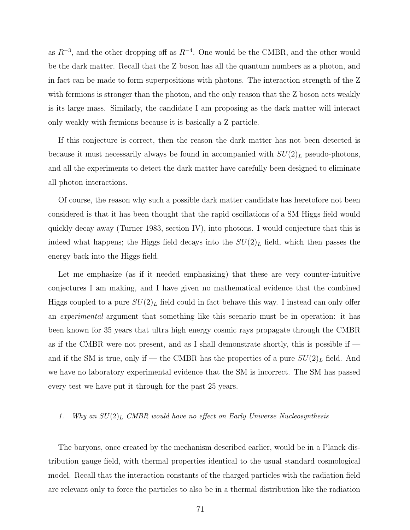as  $R^{-3}$ , and the other dropping off as  $R^{-4}$ . One would be the CMBR, and the other would be the dark matter. Recall that the Z boson has all the quantum numbers as a photon, and in fact can be made to form superpositions with photons. The interaction strength of the Z with fermions is stronger than the photon, and the only reason that the Z boson acts weakly is its large mass. Similarly, the candidate I am proposing as the dark matter will interact only weakly with fermions because it is basically a Z particle.

If this conjecture is correct, then the reason the dark matter has not been detected is because it must necessarily always be found in accompanied with  $SU(2)_L$  pseudo-photons, and all the experiments to detect the dark matter have carefully been designed to eliminate all photon interactions.

Of course, the reason why such a possible dark matter candidate has heretofore not been considered is that it has been thought that the rapid oscillations of a SM Higgs field would quickly decay away (Turner 1983, section IV), into photons. I would conjecture that this is indeed what happens; the Higgs field decays into the  $SU(2)_L$  field, which then passes the energy back into the Higgs field.

Let me emphasize (as if it needed emphasizing) that these are very counter-intuitive conjectures I am making, and I have given no mathematical evidence that the combined Higgs coupled to a pure  $SU(2)_L$  field could in fact behave this way. I instead can only offer an experimental argument that something like this scenario must be in operation: it has been known for 35 years that ultra high energy cosmic rays propagate through the CMBR as if the CMBR were not present, and as I shall demonstrate shortly, this is possible if and if the SM is true, only if — the CMBR has the properties of a pure  $SU(2)_L$  field. And we have no laboratory experimental evidence that the SM is incorrect. The SM has passed every test we have put it through for the past 25 years.

### 1. Why an  $SU(2)_L$  CMBR would have no effect on Early Universe Nucleosynthesis

The baryons, once created by the mechanism described earlier, would be in a Planck distribution gauge field, with thermal properties identical to the usual standard cosmological model. Recall that the interaction constants of the charged particles with the radiation field are relevant only to force the particles to also be in a thermal distribution like the radiation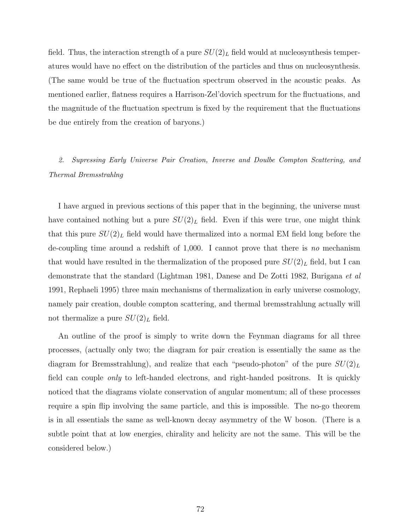field. Thus, the interaction strength of a pure  $SU(2)_L$  field would at nucleosynthesis temperatures would have no effect on the distribution of the particles and thus on nucleosynthesis. (The same would be true of the fluctuation spectrum observed in the acoustic peaks. As mentioned earlier, flatness requires a Harrison-Zel'dovich spectrum for the fluctuations, and the magnitude of the fluctuation spectrum is fixed by the requirement that the fluctuations be due entirely from the creation of baryons.)

2. Supressing Early Universe Pair Creation, Inverse and Doulbe Compton Scattering, and Thermal Bremsstrahlng

I have argued in previous sections of this paper that in the beginning, the universe must have contained nothing but a pure  $SU(2)_L$  field. Even if this were true, one might think that this pure  $SU(2)_L$  field would have thermalized into a normal EM field long before the de-coupling time around a redshift of 1,000. I cannot prove that there is no mechanism that would have resulted in the thermalization of the proposed pure  $SU(2)_L$  field, but I can demonstrate that the standard (Lightman 1981, Danese and De Zotti 1982, Burigana et al 1991, Rephaeli 1995) three main mechanisms of thermalization in early universe cosmology, namely pair creation, double compton scattering, and thermal bremsstrahlung actually will not thermalize a pure  $SU(2)_L$  field.

An outline of the proof is simply to write down the Feynman diagrams for all three processes, (actually only two; the diagram for pair creation is essentially the same as the diagram for Bremsstrahlung), and realize that each "pseudo-photon" of the pure  $SU(2)_L$ field can couple only to left-handed electrons, and right-handed positrons. It is quickly noticed that the diagrams violate conservation of angular momentum; all of these processes require a spin flip involving the same particle, and this is impossible. The no-go theorem is in all essentials the same as well-known decay asymmetry of the W boson. (There is a subtle point that at low energies, chirality and helicity are not the same. This will be the considered below.)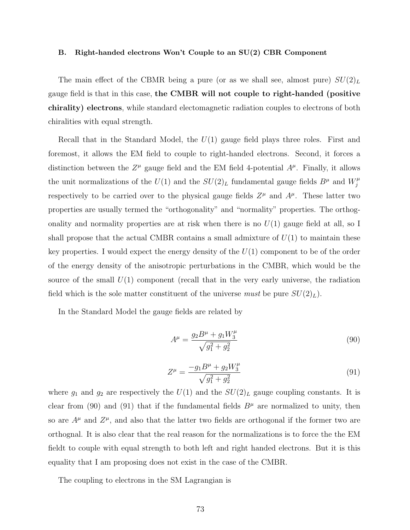#### B. Right-handed electrons Won't Couple to an SU(2) CBR Component

The main effect of the CBMR being a pure (or as we shall see, almost pure)  $SU(2)_L$ gauge field is that in this case, the CMBR will not couple to right-handed (positive chirality) electrons, while standard electomagnetic radiation couples to electrons of both chiralities with equal strength.

Recall that in the Standard Model, the  $U(1)$  gauge field plays three roles. First and foremost, it allows the EM field to couple to right-handed electrons. Second, it forces a distinction between the  $Z^{\mu}$  gauge field and the EM field 4-potential  $A^{\mu}$ . Finally, it allows the unit normalizations of the  $U(1)$  and the  $SU(2)_L$  fundamental gauge fields  $B^{\mu}$  and  $W_j^{\mu}$ j respectively to be carried over to the physical gauge fields  $Z^{\mu}$  and  $A^{\mu}$ . These latter two properties are usually termed the "orthogonality" and "normality" properties. The orthogonality and normality properties are at risk when there is no  $U(1)$  gauge field at all, so I shall propose that the actual CMBR contains a small admixture of  $U(1)$  to maintain these key properties. I would expect the energy density of the  $U(1)$  component to be of the order of the energy density of the anisotropic perturbations in the CMBR, which would be the source of the small  $U(1)$  component (recall that in the very early universe, the radiation field which is the sole matter constituent of the universe must be pure  $SU(2)<sub>L</sub>$ .

In the Standard Model the gauge fields are related by

$$
A^{\mu} = \frac{g_2 B^{\mu} + g_1 W_3^{\mu}}{\sqrt{g_1^2 + g_2^2}} \tag{90}
$$

$$
Z^{\mu} = \frac{-g_1 B^{\mu} + g_2 W_3^{\mu}}{\sqrt{g_1^2 + g_2^2}} \tag{91}
$$

where  $g_1$  and  $g_2$  are respectively the  $U(1)$  and the  $SU(2)_L$  gauge coupling constants. It is clear from (90) and (91) that if the fundamental fields  $B^{\mu}$  are normalized to unity, then so are  $A^{\mu}$  and  $Z^{\mu}$ , and also that the latter two fields are orthogonal if the former two are orthognal. It is also clear that the real reason for the normalizations is to force the the EM fieldt to couple with equal strength to both left and right handed electrons. But it is this equality that I am proposing does not exist in the case of the CMBR.

The coupling to electrons in the SM Lagrangian is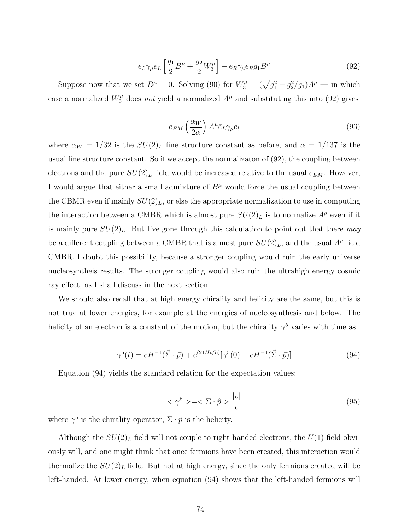$$
\bar{e}_L \gamma_\mu e_L \left[ \frac{g_1}{2} B^\mu + \frac{g_2}{2} W_3^\mu \right] + \bar{e}_R \gamma_\mu e_R g_1 B^\mu \tag{92}
$$

Suppose now that we set  $B^{\mu} = 0$ . Solving (90) for  $W_3^{\mu} = (\sqrt{g_1^2 + g_2^2}/g_1)A^{\mu}$  — in which case a normalized  $W_j^{\mu}$  does not yield a normalized  $A^{\mu}$  and substituting this into (92) gives

$$
e_{EM} \left(\frac{\alpha_W}{2\alpha}\right) A^\mu \bar{e}_L \gamma_\mu e_l \tag{93}
$$

where  $\alpha_W = 1/32$  is the  $SU(2)_L$  fine structure constant as before, and  $\alpha = 1/137$  is the usual fine structure constant. So if we accept the normalizaton of (92), the coupling between electrons and the pure  $SU(2)_L$  field would be increased relative to the usual  $e_{EM}$ . However, I would argue that either a small admixture of  $B^{\mu}$  would force the usual coupling between the CBMR even if mainly  $SU(2)_L$ , or else the appropriate normalization to use in computing the interaction between a CMBR which is almost pure  $SU(2)_L$  is to normalize  $A^{\mu}$  even if it is mainly pure  $SU(2)<sub>L</sub>$ . But I've gone through this calculation to point out that there may be a different coupling between a CMBR that is almost pure  $SU(2)_L$ , and the usual  $A^{\mu}$  field CMBR. I doubt this possibility, because a stronger coupling would ruin the early universe nucleosyntheis results. The stronger coupling would also ruin the ultrahigh energy cosmic ray effect, as I shall discuss in the next section.

We should also recall that at high energy chirality and helicity are the same, but this is not true at lower energies, for example at the energies of nucleosynthesis and below. The helicity of an electron is a constant of the motion, but the chirality  $\gamma^5$  varies with time as

$$
\gamma^5(t) = cH^{-1}(\vec{\Sigma} \cdot \vec{p}) + e^{(21Ht/\hbar)}[\gamma^5(0) - cH^{-1}(\vec{\Sigma} \cdot \vec{p})]
$$
(94)

Equation (94) yields the standard relation for the expectation values:

$$
\langle \gamma^5 \rangle = \langle \Sigma \cdot \hat{p} \rangle \frac{|v|}{c} \tag{95}
$$

where  $\gamma^5$  is the chirality operator,  $\Sigma \cdot \hat{p}$  is the helicity.

Although the  $SU(2)_L$  field will not couple to right-handed electrons, the  $U(1)$  field obviously will, and one might think that once fermions have been created, this interaction would thermalize the  $SU(2)_L$  field. But not at high energy, since the only fermions created will be left-handed. At lower energy, when equation (94) shows that the left-handed fermions will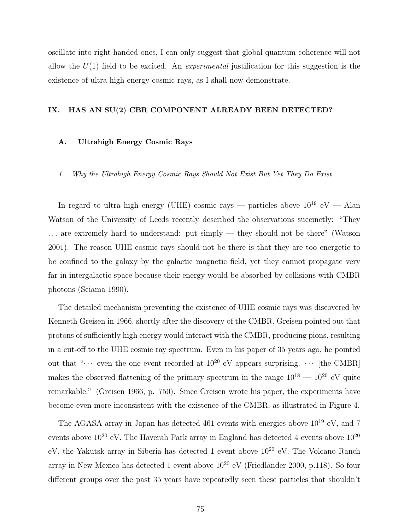oscillate into right-handed ones, I can only suggest that global quantum coherence will not allow the  $U(1)$  field to be excited. An *experimental* justification for this suggestion is the existence of ultra high energy cosmic rays, as I shall now demonstrate.

## IX. HAS AN SU(2) CBR COMPONENT ALREADY BEEN DETECTED?

### A. Ultrahigh Energy Cosmic Rays

1. Why the Ultrahigh Energy Cosmic Rays Should Not Exist But Yet They Do Exist

In regard to ultra high energy (UHE) cosmic rays — particles above  $10^{19}$  eV — Alan Watson of the University of Leeds recently described the observations succinctly: "They ... are extremely hard to understand: put simply — they should not be there" (Watson 2001). The reason UHE cosmic rays should not be there is that they are too energetic to be confined to the galaxy by the galactic magnetic field, yet they cannot propagate very far in intergalactic space because their energy would be absorbed by collisions with CMBR photons (Sciama 1990).

The detailed mechanism preventing the existence of UHE cosmic rays was discovered by Kenneth Greisen in 1966, shortly after the discovery of the CMBR. Greisen pointed out that protons of sufficiently high energy would interact with the CMBR, producing pions, resulting in a cut-off to the UHE cosmic ray spectrum. Even in his paper of 35 years ago, he pointed out that " $\cdots$  even the one event recorded at  $10^{20}$  eV appears surprising.  $\cdots$  [the CMBR] makes the observed flattening of the primary spectrum in the range  $10^{18} - 10^{20}$  eV quite remarkable." (Greisen 1966, p. 750). Since Greisen wrote his paper, the experiments have become even more inconsistent with the existence of the CMBR, as illustrated in Figure 4.

The AGASA array in Japan has detected 461 events with energies above  $10^{19}$  eV, and 7 events above  $10^{20}$  eV. The Haverah Park array in England has detected 4 events above  $10^{20}$ eV, the Yakutsk array in Siberia has detected 1 event above  $10^{20}$  eV. The Volcano Ranch array in New Mexico has detected 1 event above  $10^{20}$  eV (Friedlander 2000, p.118). So four different groups over the past 35 years have repeatedly seen these particles that shouldn't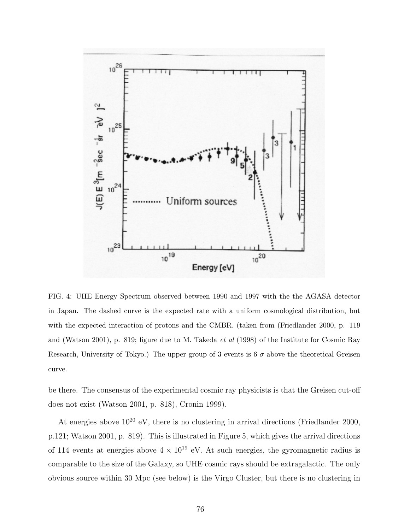

FIG. 4: UHE Energy Spectrum observed between 1990 and 1997 with the the AGASA detector in Japan. The dashed curve is the expected rate with a uniform cosmological distribution, but with the expected interaction of protons and the CMBR. (taken from (Friedlander 2000, p. 119 and (Watson 2001), p. 819; figure due to M. Takeda et al (1998) of the Institute for Cosmic Ray Research, University of Tokyo.) The upper group of 3 events is 6  $\sigma$  above the theoretical Greisen curve.

be there. The consensus of the experimental cosmic ray physicists is that the Greisen cut-off does not exist (Watson 2001, p. 818), Cronin 1999).

At energies above  $10^{20}$  eV, there is no clustering in arrival directions (Friedlander 2000, p.121; Watson 2001, p. 819). This is illustrated in Figure 5, which gives the arrival directions of 114 events at energies above  $4 \times 10^{19}$  eV. At such energies, the gyromagnetic radius is comparable to the size of the Galaxy, so UHE cosmic rays should be extragalactic. The only obvious source within 30 Mpc (see below) is the Virgo Cluster, but there is no clustering in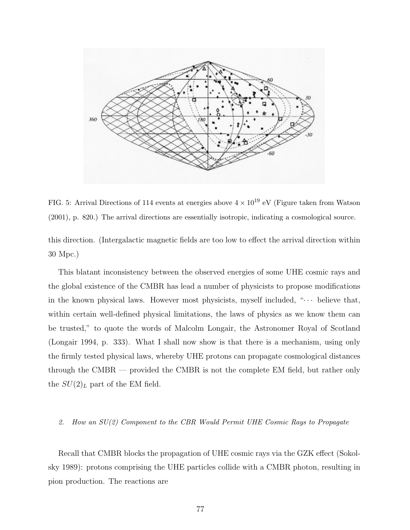

FIG. 5: Arrival Directions of 114 events at energies above  $4 \times 10^{19}$  eV (Figure taken from Watson (2001), p. 820.) The arrival directions are essentially isotropic, indicating a cosmological source.

this direction. (Intergalactic magnetic fields are too low to effect the arrival direction within 30 Mpc.)

This blatant inconsistency between the observed energies of some UHE cosmic rays and the global existence of the CMBR has lead a number of physicists to propose modifications in the known physical laws. However most physicists, myself included, " $\cdots$  believe that, within certain well-defined physical limitations, the laws of physics as we know them can be trusted," to quote the words of Malcolm Longair, the Astronomer Royal of Scotland (Longair 1994, p. 333). What I shall now show is that there is a mechanism, using only the firmly tested physical laws, whereby UHE protons can propagate cosmological distances through the CMBR — provided the CMBR is not the complete EM field, but rather only the  $SU(2)_L$  part of the EM field.

#### 2. How an SU(2) Component to the CBR Would Permit UHE Cosmic Rays to Propagate

Recall that CMBR blocks the propagation of UHE cosmic rays via the GZK effect (Sokolsky 1989): protons comprising the UHE particles collide with a CMBR photon, resulting in pion production. The reactions are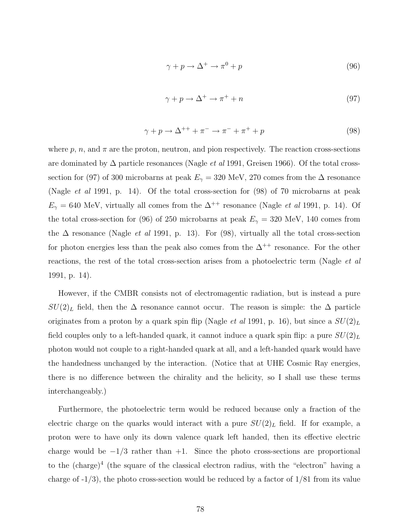$$
\gamma + p \to \Delta^+ \to \pi^0 + p \tag{96}
$$

$$
\gamma + p \to \Delta^+ \to \pi^+ + n \tag{97}
$$

$$
\gamma + p \rightarrow \Delta^{++} + \pi^- \rightarrow \pi^- + \pi^+ + p \tag{98}
$$

where p, n, and  $\pi$  are the proton, neutron, and pion respectively. The reaction cross-sections are dominated by  $\Delta$  particle resonances (Nagle *et al* 1991, Greisen 1966). Of the total crosssection for (97) of 300 microbarns at peak  $E_{\gamma} = 320$  MeV, 270 comes from the  $\Delta$  resonance (Nagle et al 1991, p. 14). Of the total cross-section for (98) of 70 microbarns at peak  $E_{\gamma} = 640$  MeV, virtually all comes from the  $\Delta^{++}$  resonance (Nagle *et al* 1991, p. 14). Of the total cross-section for (96) of 250 microbarns at peak  $E_{\gamma} = 320$  MeV, 140 comes from the  $\Delta$  resonance (Nagle *et al* 1991, p. 13). For (98), virtually all the total cross-section for photon energies less than the peak also comes from the  $\Delta^{++}$  resonance. For the other reactions, the rest of the total cross-section arises from a photoelectric term (Nagle *et al*) 1991, p. 14).

However, if the CMBR consists not of electromagentic radiation, but is instead a pure  $SU(2)_L$  field, then the  $\Delta$  resonance cannot occur. The reason is simple: the  $\Delta$  particle originates from a proton by a quark spin flip (Nagle *et al* 1991, p. 16), but since a  $SU(2)_L$ field couples only to a left-handed quark, it cannot induce a quark spin flip: a pure  $SU(2)_L$ photon would not couple to a right-handed quark at all, and a left-handed quark would have the handedness unchanged by the interaction. (Notice that at UHE Cosmic Ray energies, there is no difference between the chirality and the helicity, so I shall use these terms interchangeably.)

Furthermore, the photoelectric term would be reduced because only a fraction of the electric charge on the quarks would interact with a pure  $SU(2)_L$  field. If for example, a proton were to have only its down valence quark left handed, then its effective electric charge would be  $-1/3$  rather than  $+1$ . Since the photo cross-sections are proportional to the (charge)<sup>4</sup> (the square of the classical electron radius, with the "electron" having a charge of  $-1/3$ , the photo cross-section would be reduced by a factor of  $1/81$  from its value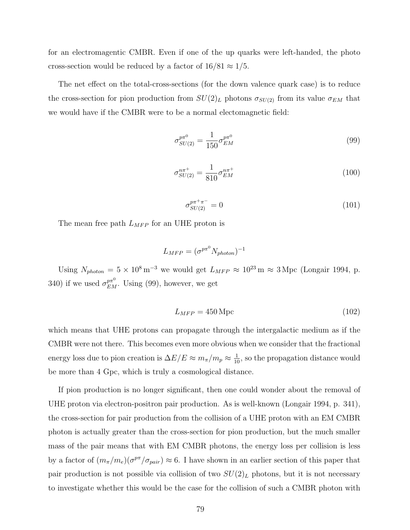for an electromagentic CMBR. Even if one of the up quarks were left-handed, the photo cross-section would be reduced by a factor of  $16/81 \approx 1/5$ .

The net effect on the total-cross-sections (for the down valence quark case) is to reduce the cross-section for pion production from  $SU(2)_L$  photons  $\sigma_{SU(2)}$  from its value  $\sigma_{EM}$  that we would have if the CMBR were to be a normal electomagnetic field:

$$
\sigma_{SU(2)}^{p\pi^0} = \frac{1}{150} \sigma_{EM}^{p\pi^0} \tag{99}
$$

$$
\sigma_{SU(2)}^{n\pi^+} = \frac{1}{810} \sigma_{EM}^{n\pi^+} \tag{100}
$$

$$
\sigma_{SU(2)}^{p\pi^+\pi^-} = 0 \tag{101}
$$

The mean free path  $L_{MFP}$  for an UHE proton is

$$
L_{MFP} = (\sigma^{p\pi^0} N_{photon})^{-1}
$$

Using  $N_{photon} = 5 \times 10^8 \,\text{m}^{-3}$  we would get  $L_{MFP} \approx 10^{23} \,\text{m} \approx 3 \,\text{Mpc}$  (Longair 1994, p. 340) if we used  $\sigma_{EM}^{p\pi^0}$ . Using (99), however, we get

$$
L_{MFP} = 450 \,\text{Mpc} \tag{102}
$$

which means that UHE protons can propagate through the intergalactic medium as if the CMBR were not there. This becomes even more obvious when we consider that the fractional energy loss due to pion creation is  $\Delta E/E \approx m_{\pi}/m_{p} \approx \frac{1}{10}$ , so the propagation distance would be more than 4 Gpc, which is truly a cosmological distance.

If pion production is no longer significant, then one could wonder about the removal of UHE proton via electron-positron pair production. As is well-known (Longair 1994, p. 341), the cross-section for pair production from the collision of a UHE proton with an EM CMBR photon is actually greater than the cross-section for pion production, but the much smaller mass of the pair means that with EM CMBR photons, the energy loss per collision is less by a factor of  $(m_{\pi}/m_e)(\sigma^{p\pi}/\sigma_{pair}) \approx 6$ . I have shown in an earlier section of this paper that pair production is not possible via collision of two  $SU(2)_L$  photons, but it is not necessary to investigate whether this would be the case for the collision of such a CMBR photon with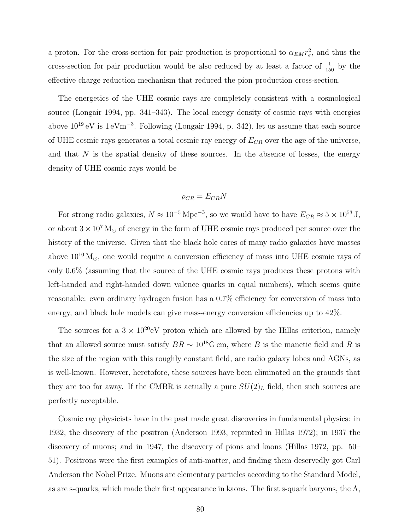a proton. For the cross-section for pair production is proportional to  $\alpha_{EM} r_e^2$ , and thus the cross-section for pair production would be also reduced by at least a factor of  $\frac{1}{150}$  by the effective charge reduction mechanism that reduced the pion production cross-section.

The energetics of the UHE cosmic rays are completely consistent with a cosmological source (Longair 1994, pp. 341–343). The local energy density of cosmic rays with energies above  $10^{19}$  eV is  $1 \text{ eVm}^{-3}$ . Following (Longair 1994, p. 342), let us assume that each source of UHE cosmic rays generates a total cosmic ray energy of  $E_{CR}$  over the age of the universe, and that  $N$  is the spatial density of these sources. In the absence of losses, the energy density of UHE cosmic rays would be

$$
\rho_{CR} = E_{CR} N
$$

For strong radio galaxies,  $N \approx 10^{-5}$  Mpc<sup>-3</sup>, so we would have to have  $E_{CR} \approx 5 \times 10^{53}$  J, or about  $3 \times 10^7$  M<sub>o</sub> of energy in the form of UHE cosmic rays produced per source over the history of the universe. Given that the black hole cores of many radio galaxies have masses above  $10^{10}$  M<sub> $\odot$ </sub>, one would require a conversion efficiency of mass into UHE cosmic rays of only 0.6% (assuming that the source of the UHE cosmic rays produces these protons with left-handed and right-handed down valence quarks in equal numbers), which seems quite reasonable: even ordinary hydrogen fusion has a 0.7% efficiency for conversion of mass into energy, and black hole models can give mass-energy conversion efficiencies up to 42%.

The sources for a  $3 \times 10^{20}$ eV proton which are allowed by the Hillas criterion, namely that an allowed source must satisfy  $BR \sim 10^{18}$ G cm, where B is the manetic field and R is the size of the region with this roughly constant field, are radio galaxy lobes and AGNs, as is well-known. However, heretofore, these sources have been eliminated on the grounds that they are too far away. If the CMBR is actually a pure  $SU(2)_L$  field, then such sources are perfectly acceptable.

Cosmic ray physicists have in the past made great discoveries in fundamental physics: in 1932, the discovery of the positron (Anderson 1993, reprinted in Hillas 1972); in 1937 the discovery of muons; and in 1947, the discovery of pions and kaons (Hillas 1972, pp. 50– 51). Positrons were the first examples of anti-matter, and finding them deservedly got Carl Anderson the Nobel Prize. Muons are elementary particles according to the Standard Model, as are s-quarks, which made their first appearance in kaons. The first s-quark baryons, the  $\Lambda$ ,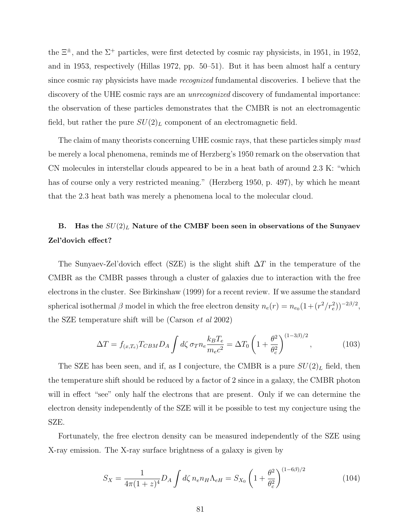the  $\Xi^{\pm}$ , and the  $\Sigma^{+}$  particles, were first detected by cosmic ray physicists, in 1951, in 1952, and in 1953, respectively (Hillas 1972, pp. 50–51). But it has been almost half a century since cosmic ray physicists have made recognized fundamental discoveries. I believe that the discovery of the UHE cosmic rays are an *unrecognized* discovery of fundamental importance: the observation of these particles demonstrates that the CMBR is not an electromagentic field, but rather the pure  $SU(2)_L$  component of an electromagnetic field.

The claim of many theorists concerning UHE cosmic rays, that these particles simply must be merely a local phenomena, reminds me of Herzberg's 1950 remark on the observation that CN molecules in interstellar clouds appeared to be in a heat bath of around 2.3 K: "which has of course only a very restricted meaning." (Herzberg 1950, p. 497), by which he meant that the 2.3 heat bath was merely a phenomena local to the molecular cloud.

# B. Has the  $SU(2)_L$  Nature of the CMBF been seen in observations of the Sunyaev Zel'dovich effect?

The Sunyaev-Zel'dovich effect (SZE) is the slight shift  $\Delta T$  in the temperature of the CMBR as the CMBR passes through a cluster of galaxies due to interaction with the free electrons in the cluster. See Birkinshaw (1999) for a recent review. If we assume the standard spherical isothermal  $\beta$  model in which the free electron density  $n_e(r) = n_{e_0}(1 + (r^2/r_e^2))^{-2\beta/2}$ , the SZE temperature shift will be (Carson et al 2002)

$$
\Delta T = f_{(x,T_e)} T_{CBM} D_A \int d\zeta \,\sigma_T n_e \frac{k_B T_e}{m_e c^2} = \Delta T_0 \left( 1 + \frac{\theta^2}{\theta_c^2} \right)^{(1-3\beta)/2},\tag{103}
$$

The SZE has been seen, and if, as I conjecture, the CMBR is a pure  $SU(2)_L$  field, then the temperature shift should be reduced by a factor of 2 since in a galaxy, the CMBR photon will in effect "see" only half the electrons that are present. Only if we can determine the electron density independently of the SZE will it be possible to test my conjecture using the SZE.

Fortunately, the free electron density can be measured independently of the SZE using X-ray emission. The X-ray surface brightness of a galaxy is given by

$$
S_X = \frac{1}{4\pi (1+z)^4} D_A \int d\zeta \, n_e n_H \Lambda_{eH} = S_{X_0} \left( 1 + \frac{\theta^2}{\theta_e^2} \right)^{(1-6\beta)/2} \tag{104}
$$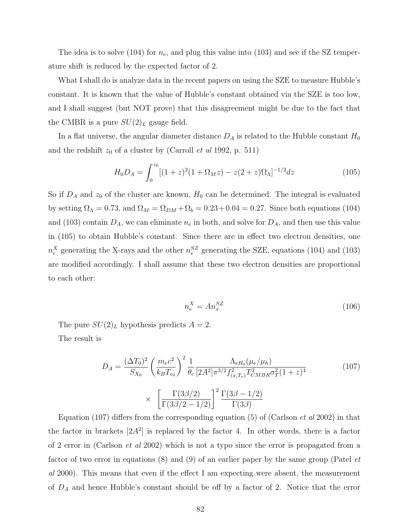The idea is to solve (104) for  $n_e$ , and plug this value into (103) and see if the SZ temperature shift is reduced by the expected factor of 2.

What I shall do is analyze data in the recent papers on using the SZE to measure Hubble's constant. It is known that the value of Hubble's constant obtained via the SZE is too low, and I shall suggest (but NOT prove) that this disagreement might be due to the fact that the CMBR is a pure  $SU(2)_L$  gauge field.

In a flat universe, the angular diameter distance  $D_A$  is related to the Hubble constant  $H_0$ and the redshift  $z_0$  of a cluster by (Carroll *et al* 1992, p. 511)

$$
H_0 D_A = \int_0^{z_0} [(1+z)^2 (1+\Omega_M z) - z(2+z)\Omega_\Lambda]^{-1/2} dz \tag{105}
$$

So if  $D_A$  and  $z_0$  of the cluster are known,  $H_0$  can be determined. The integral is evaluated by setting  $\Omega_{\Lambda} = 0.73$ , and  $\Omega_M = \Omega_{DM} + \Omega_b = 0.23 + 0.04 = 0.27$ . Since both equations (104) and (103) contain  $D_A$ , we can eliminate  $n_e$  in both, and solve for  $D_A$ , and then use this value in (105) to obtain Hubble's constant. Since there are in effect two electron densities, one  $n_e^X$  generating the X-rays and the other  $n_e^{SZ}$  generating the SZE, equations (104) and (103) are modified accordingly. I shall assume that these two electron densities are proportional to each other:

$$
n_e^X = A n_x^{SZ} \tag{106}
$$

The pure  $SU(2)_L$  hypothesis predicts  $A = 2$ . The result is

$$
D_A = \frac{(\Delta T_0)^2}{S_{X_0}} \left(\frac{m_e c^2}{k_B T_{e_0}}\right)^2 \frac{1}{\theta_c} \frac{\Lambda_{eH_0}(\mu_e/\mu_h)}{[2A^2] \pi^{3/2} f_{(x,T_e)}^2 T_{CMBR}^2 \sigma_T^2 (1+z)^4}
$$
(107)  

$$
\times \left[\frac{\Gamma(3\beta/2)}{\Gamma(3\beta/2 - 1/2)}\right]^2 \frac{\Gamma(3\beta - 1/2)}{\Gamma(3\beta)}
$$

Equation (107) differs from the corresponding equation (5) of (Carlson *et al* 2002) in that the factor in brackets  $[2A^2]$  is replaced by the factor 4. In other words, there is a factor of 2 error in (Carlson et al 2002) which is not a typo since the error is propagated from a factor of two error in equations (8) and (9) of an earlier paper by the same group (Patel et al 2000). This means that even if the effect I am expecting were absent, the measurement of  $D_A$  and hence Hubble's constant should be off by a factor of 2. Notice that the error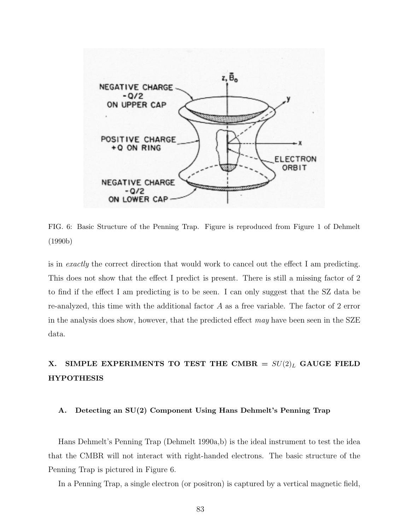

FIG. 6: Basic Structure of the Penning Trap. Figure is reproduced from Figure 1 of Dehmelt (1990b)

is in exactly the correct direction that would work to cancel out the effect I am predicting. This does not show that the effect I predict is present. There is still a missing factor of 2 to find if the effect I am predicting is to be seen. I can only suggest that the SZ data be re-analyzed, this time with the additional factor A as a free variable. The factor of 2 error in the analysis does show, however, that the predicted effect may have been seen in the  $SZE$ data.

# X. SIMPLE EXPERIMENTS TO TEST THE CMBR =  $SU(2)_L$  GAUGE FIELD HYPOTHESIS

### A. Detecting an SU(2) Component Using Hans Dehmelt's Penning Trap

Hans Dehmelt's Penning Trap (Dehmelt 1990a,b) is the ideal instrument to test the idea that the CMBR will not interact with right-handed electrons. The basic structure of the Penning Trap is pictured in Figure 6.

In a Penning Trap, a single electron (or positron) is captured by a vertical magnetic field,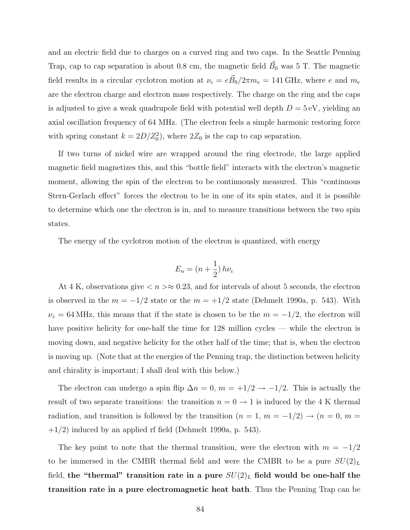and an electric field due to charges on a curved ring and two caps. In the Seattle Penning Trap, cap to cap separation is about 0.8 cm, the magnetic field  $\vec{B}_0$  was 5 T. The magnetic field results in a circular cyclotron motion at  $\nu_c = e\vec{B}_0/2\pi m_e = 141 \text{ GHz}$ , where e and  $m_e$ are the electron charge and electron mass respectively. The charge on the ring and the caps is adjusted to give a weak quadrupole field with potential well depth  $D = 5$  eV, yielding an axial oscillation frequency of 64 MHz. (The electron feels a simple harmonic restoring force with spring constant  $k = 2D/Z_0^2$ , where  $2Z_0$  is the cap to cap separation.

If two turns of nickel wire are wrapped around the ring electrode, the large applied magnetic field magnetizes this, and this "bottle field" interacts with the electron's magnetic moment, allowing the spin of the electron to be continuously measured. This "continuous Stern-Gerlach effect" forces the electron to be in one of its spin states, and it is possible to determine which one the electron is in, and to measure transitions between the two spin states.

The energy of the cyclotron motion of the electron is quantized, with energy

$$
E_n = (n + \frac{1}{2}) h\nu_c
$$

At 4 K, observations give  $\langle n \rangle \approx 0.23$ , and for intervals of about 5 seconds, the electron is observed in the  $m = -1/2$  state or the  $m = +1/2$  state (Dehmelt 1990a, p. 543). With  $\nu_z = 64 \text{ MHz}$ , this means that if the state is chosen to be the  $m = -1/2$ , the electron will have positive helicity for one-half the time for 128 million cycles — while the electron is moving down, and negative helicity for the other half of the time; that is, when the electron is moving up. (Note that at the energies of the Penning trap, the distinction between helicity and chirality is important; I shall deal with this below.)

The electron can undergo a spin flip  $\Delta n = 0$ ,  $m = +1/2 \rightarrow -1/2$ . This is actually the result of two separate transitions: the transition  $n = 0 \rightarrow 1$  is induced by the 4 K thermal radiation, and transition is followed by the transition  $(n = 1, m = -1/2) \rightarrow (n = 0, m =$  $+1/2$ ) induced by an applied rf field (Dehmelt 1990a, p. 543).

The key point to note that the thermal transition, were the electron with  $m = -1/2$ to be immersed in the CMBR thermal field and were the CMBR to be a pure  $SU(2)_L$ field, the "thermal" transition rate in a pure  $SU(2)_L$  field would be one-half the transition rate in a pure electromagnetic heat bath. Thus the Penning Trap can be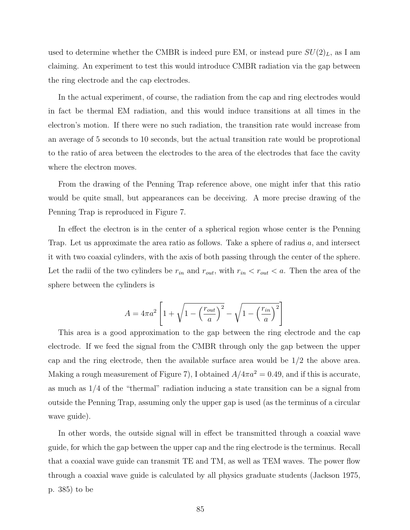used to determine whether the CMBR is indeed pure EM, or instead pure  $SU(2)_L$ , as I am claiming. An experiment to test this would introduce CMBR radiation via the gap between the ring electrode and the cap electrodes.

In the actual experiment, of course, the radiation from the cap and ring electrodes would in fact be thermal EM radiation, and this would induce transitions at all times in the electron's motion. If there were no such radiation, the transition rate would increase from an average of 5 seconds to 10 seconds, but the actual transition rate would be proprotional to the ratio of area between the electrodes to the area of the electrodes that face the cavity where the electron moves.

From the drawing of the Penning Trap reference above, one might infer that this ratio would be quite small, but appearances can be deceiving. A more precise drawing of the Penning Trap is reproduced in Figure 7.

In effect the electron is in the center of a spherical region whose center is the Penning Trap. Let us approximate the area ratio as follows. Take a sphere of radius a, and intersect it with two coaxial cylinders, with the axis of both passing through the center of the sphere. Let the radii of the two cylinders be  $r_{in}$  and  $r_{out}$ , with  $r_{in} < r_{out} < a$ . Then the area of the sphere between the cylinders is

$$
A = 4\pi a^2 \left[ 1 + \sqrt{1 - \left(\frac{r_{out}}{a}\right)^2} - \sqrt{1 - \left(\frac{r_{in}}{a}\right)^2} \right]
$$

This area is a good approximation to the gap between the ring electrode and the cap electrode. If we feed the signal from the CMBR through only the gap between the upper cap and the ring electrode, then the available surface area would be 1/2 the above area. Making a rough measurement of Figure 7), I obtained  $A/4\pi a^2 = 0.49$ , and if this is accurate, as much as 1/4 of the "thermal" radiation inducing a state transition can be a signal from outside the Penning Trap, assuming only the upper gap is used (as the terminus of a circular wave guide).

In other words, the outside signal will in effect be transmitted through a coaxial wave guide, for which the gap between the upper cap and the ring electrode is the terminus. Recall that a coaxial wave guide can transmit TE and TM, as well as TEM waves. The power flow through a coaxial wave guide is calculated by all physics graduate students (Jackson 1975, p. 385) to be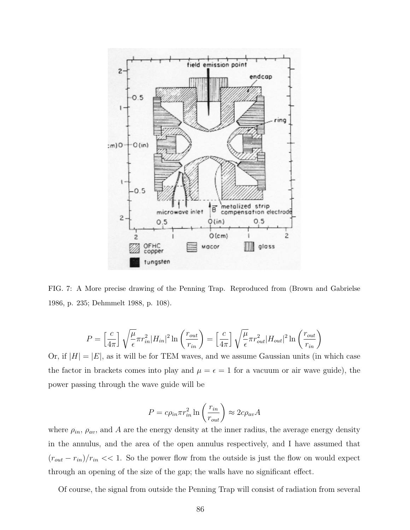

FIG. 7: A More precise drawing of the Penning Trap. Reproduced from (Brown and Gabrielse 1986, p. 235; Dehmmelt 1988, p. 108).

$$
P = \left[\frac{c}{4\pi}\right] \sqrt{\frac{\mu}{\epsilon}} \pi r_{in}^2 |H_{in}|^2 \ln\left(\frac{r_{out}}{r_{in}}\right) = \left[\frac{c}{4\pi}\right] \sqrt{\frac{\mu}{\epsilon}} \pi r_{out}^2 |H_{out}|^2 \ln\left(\frac{r_{out}}{r_{in}}\right)
$$

Or, if  $|H| = |E|$ , as it will be for TEM waves, and we assume Gaussian units (in which case the factor in brackets comes into play and  $\mu = \epsilon = 1$  for a vacuum or air wave guide), the power passing through the wave guide will be

$$
P = c\rho_{in} \pi r_{in}^2 \ln\left(\frac{r_{in}}{r_{out}}\right) \approx 2c\rho_{av}A
$$

where  $\rho_{in}$ ,  $\rho_{av}$ , and A are the energy density at the inner radius, the average energy density in the annulus, and the area of the open annulus respectively, and I have assumed that  $(r_{out} - r_{in})/r_{in} \ll 1$ . So the power flow from the outside is just the flow on would expect through an opening of the size of the gap; the walls have no significant effect.

Of course, the signal from outside the Penning Trap will consist of radiation from several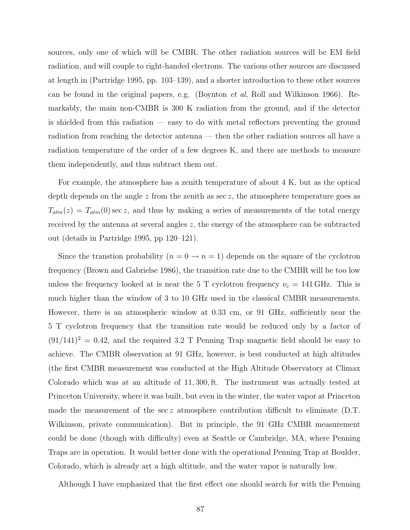sources, only one of which will be CMBR. The other radiation sources will be EM field radiation, and will couple to right-handed electrons. The various other sources are discussed at length in (Partridge 1995, pp. 103–139), and a shorter introduction to these other sources can be found in the original papers, e.g. (Boynton *et al*, Roll and Wilkinson 1966). Remarkably, the main non-CMBR is 300 K radiation from the ground, and if the detector is shielded from this radiation — easy to do with metal reflectors preventing the ground radiation from reaching the detector antenna — then the other radiation sources all have a radiation temperature of the order of a few degrees K, and there are methods to measure them independently, and thus subtract them out.

For example, the atmosphere has a zenith temperature of about 4 K, but as the optical depth depends on the angle z from the zenith as sec z, the atmosphere temperature goes as  $T_{atm}(z) = T_{atm}(0) \sec z$ , and thus by making a series of measurements of the total energy received by the antenna at several angles z, the energy of the atmosphere can be subtracted out (details in Partridge 1995, pp 120–121).

Since the transtion probability  $(n = 0 \rightarrow n = 1)$  depends on the square of the cyclotron frequency (Brown and Gabrielse 1986), the transition rate due to the CMBR will be too low unless the frequency looked at is near the 5 T cyclotron frequency  $\nu_c = 141 \text{ GHz}$ . This is much higher than the window of 3 to 10 GHz used in the classical CMBR measurements. However, there is an atmospheric window at 0.33 cm, or 91 GHz, sufficiently near the 5 T cyclotron frequency that the transition rate would be reduced only by a factor of  $(91/141)^2 = 0.42$ , and the required 3.2 T Penning Trap magnetic field should be easy to achieve. The CMBR observation at 91 GHz, however, is best conducted at high altitudes (the first CMBR measurement was conducted at the High Altitude Observatory at Climax Colorado which was at an altitude of 11, 300, ft. The instrument was actually tested at Princeton University, where it was built, but even in the winter, the water vapor at Princeton made the measurement of the sec z atmosphere contribution difficult to eliminate  $(D.T)$ . Wilkinson, private communication). But in principle, the 91 GHz CMBR measurement could be done (though with difficulty) even at Seattle or Cambridge, MA, where Penning Traps are in operation. It would better done with the operational Penning Trap at Boulder, Colorado, which is already art a high altitude, and the water vapor is naturally low.

Although I have emphasized that the first effect one should search for with the Penning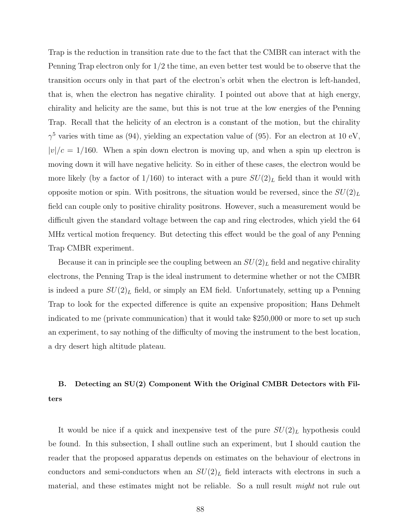Trap is the reduction in transition rate due to the fact that the CMBR can interact with the Penning Trap electron only for 1/2 the time, an even better test would be to observe that the transition occurs only in that part of the electron's orbit when the electron is left-handed, that is, when the electron has negative chirality. I pointed out above that at high energy, chirality and helicity are the same, but this is not true at the low energies of the Penning Trap. Recall that the helicity of an electron is a constant of the motion, but the chirality  $\gamma^5$  varies with time as (94), yielding an expectation value of (95). For an electron at 10 eV,  $|v|/c = 1/160$ . When a spin down electron is moving up, and when a spin up electron is moving down it will have negative helicity. So in either of these cases, the electron would be more likely (by a factor of  $1/160$ ) to interact with a pure  $SU(2)_L$  field than it would with opposite motion or spin. With positrons, the situation would be reversed, since the  $SU(2)_L$ field can couple only to positive chirality positrons. However, such a measurement would be difficult given the standard voltage between the cap and ring electrodes, which yield the 64 MHz vertical motion frequency. But detecting this effect would be the goal of any Penning Trap CMBR experiment.

Because it can in principle see the coupling between an  $SU(2)_L$  field and negative chirality electrons, the Penning Trap is the ideal instrument to determine whether or not the CMBR is indeed a pure  $SU(2)_L$  field, or simply an EM field. Unfortunately, setting up a Penning Trap to look for the expected difference is quite an expensive proposition; Hans Dehmelt indicated to me (private communication) that it would take \$250,000 or more to set up such an experiment, to say nothing of the difficulty of moving the instrument to the best location, a dry desert high altitude plateau.

# B. Detecting an SU(2) Component With the Original CMBR Detectors with Filters

It would be nice if a quick and inexpensive test of the pure  $SU(2)_L$  hypothesis could be found. In this subsection, I shall outline such an experiment, but I should caution the reader that the proposed apparatus depends on estimates on the behaviour of electrons in conductors and semi-conductors when an  $SU(2)_L$  field interacts with electrons in such a material, and these estimates might not be reliable. So a null result might not rule out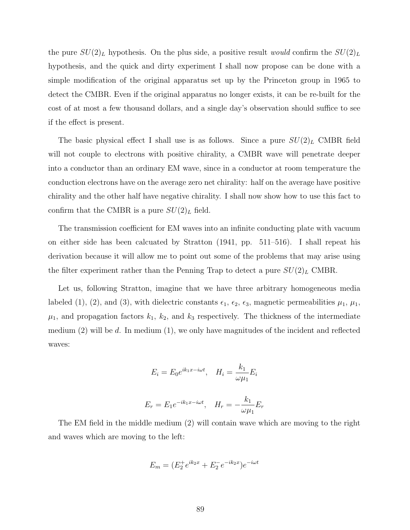the pure  $SU(2)_L$  hypothesis. On the plus side, a positive result would confirm the  $SU(2)_L$ hypothesis, and the quick and dirty experiment I shall now propose can be done with a simple modification of the original apparatus set up by the Princeton group in 1965 to detect the CMBR. Even if the original apparatus no longer exists, it can be re-built for the cost of at most a few thousand dollars, and a single day's observation should suffice to see if the effect is present.

The basic physical effect I shall use is as follows. Since a pure  $SU(2)_L$  CMBR field will not couple to electrons with positive chirality, a CMBR wave will penetrate deeper into a conductor than an ordinary EM wave, since in a conductor at room temperature the conduction electrons have on the average zero net chirality: half on the average have positive chirality and the other half have negative chirality. I shall now show how to use this fact to confirm that the CMBR is a pure  $SU(2)_L$  field.

The transmission coefficient for EM waves into an infinite conducting plate with vacuum on either side has been calcuated by Stratton (1941, pp. 511–516). I shall repeat his derivation because it will allow me to point out some of the problems that may arise using the filter experiment rather than the Penning Trap to detect a pure  $SU(2)_L$  CMBR.

Let us, following Stratton, imagine that we have three arbitrary homogeneous media labeled (1), (2), and (3), with dielectric constants  $\epsilon_1$ ,  $\epsilon_2$ ,  $\epsilon_3$ , magnetic permeabilities  $\mu_1$ ,  $\mu_1$ ,  $\mu_1$ , and propagation factors  $k_1$ ,  $k_2$ , and  $k_3$  respectively. The thickness of the intermediate medium  $(2)$  will be d. In medium  $(1)$ , we only have magnitudes of the incident and reflected waves:

$$
E_i = E_0 e^{ik_1 x - i\omega t}, \quad H_i = \frac{k_1}{\omega \mu_1} E_i
$$

$$
E_r = E_1 e^{-ik_1x - i\omega t}, \quad H_r = -\frac{k_1}{\omega \mu_1} E_r
$$

The EM field in the middle medium (2) will contain wave which are moving to the right and waves which are moving to the left:

$$
E_m = (E_2^+ e^{ik_2x} + E_2^- e^{-ik_2x})e^{-i\omega t}
$$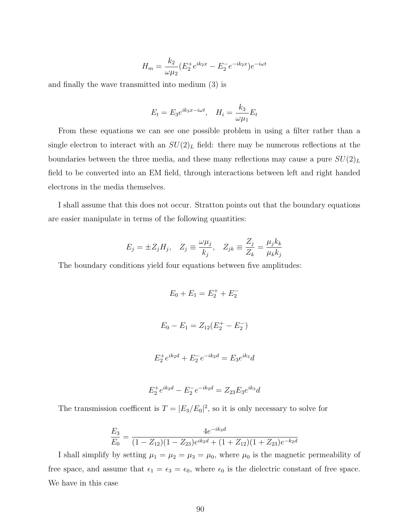$$
H_m = \frac{k_2}{\omega \mu_2} (E_2^+ e^{ik_2 x} - E_2^- e^{-ik_2 x}) e^{-i\omega t}
$$

and finally the wave transmitted into medium (3) is

$$
E_t = E_3 e^{ik_3 x - i\omega t}, \quad H_i = \frac{k_3}{\omega \mu_1} E_t
$$

From these equations we can see one possible problem in using a filter rather than a single electron to interact with an  $SU(2)_L$  field: there may be numerous reflections at the boundaries between the three media, and these many reflections may cause a pure  $SU(2)_L$ field to be converted into an EM field, through interactions between left and right handed electrons in the media themselves.

I shall assume that this does not occur. Stratton points out that the boundary equations are easier manipulate in terms of the following quantities:

$$
E_j = \pm Z_j H_j, \quad Z_j \equiv \frac{\omega \mu_j}{k_j}, \quad Z_{jk} \equiv \frac{Z_j}{Z_k} = \frac{\mu_j k_k}{\mu_k k_j}
$$

The boundary conditions yield four equations between five amplitudes:

$$
E_0 + E_1 = E_2^+ + E_2^-
$$
  
\n
$$
E_0 - E_1 = Z_{12}(E_2^+ - E_2^-)
$$
  
\n
$$
E_2^+ e^{ik_2d} + E_2^- e^{-ik_2d} = E_3 e^{ik_3} d
$$

$$
E_2^+e^{ik_2d} - E_2^-e^{-ik_2d} = Z_{23}E_3e^{ik_3}d
$$

The transmission coefficent is  $T = |E_3/E_0|^2$ , so it is only necessary to solve for

$$
\frac{E_3}{E_0} = \frac{4e^{-ik_3d}}{(1 - Z_{12})(1 - Z_{23})e^{ik_2d} + (1 + Z_{12})(1 + Z_{23})e^{-k_2d}}
$$

I shall simplify by setting  $\mu_1 = \mu_2 = \mu_3 = \mu_0$ , where  $\mu_0$  is the magnetic permeability of free space, and assume that  $\epsilon_1 = \epsilon_3 = \epsilon_0$ , where  $\epsilon_0$  is the dielectric constant of free space. We have in this case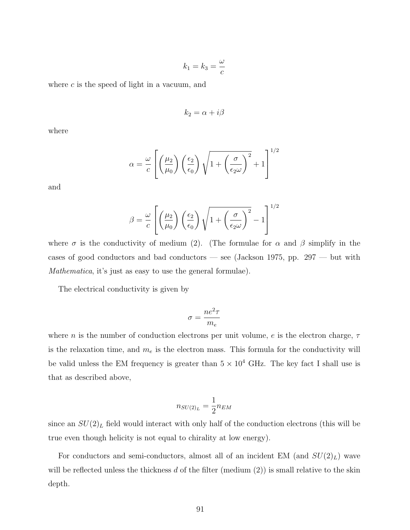$$
k_1 = k_3 = \frac{\omega}{c}
$$

where  $c$  is the speed of light in a vacuum, and

$$
k_2 = \alpha + i\beta
$$

where

$$
\alpha = \frac{\omega}{c} \left[ \left( \frac{\mu_2}{\mu_0} \right) \left( \frac{\epsilon_2}{\epsilon_0} \right) \sqrt{1 + \left( \frac{\sigma}{\epsilon_2 \omega} \right)^2} + 1 \right]^{1/2}
$$

and

$$
\beta = \frac{\omega}{c} \left[ \left( \frac{\mu_2}{\mu_0} \right) \left( \frac{\epsilon_2}{\epsilon_0} \right) \sqrt{1 + \left( \frac{\sigma}{\epsilon_2 \omega} \right)^2} - 1 \right]^{1/2}
$$

where  $\sigma$  is the conductivity of medium (2). (The formulae for  $\alpha$  and  $\beta$  simplify in the cases of good conductors and bad conductors — see (Jackson 1975, pp. 297 — but with Mathematica, it's just as easy to use the general formulae).

The electrical conductivity is given by

$$
\sigma = \frac{ne^2\tau}{m_e}
$$

where *n* is the number of conduction electrons per unit volume, *e* is the electron charge,  $\tau$ is the relaxation time, and  $m_e$  is the electron mass. This formula for the conductivity will be valid unless the EM frequency is greater than  $5 \times 10^4$  GHz. The key fact I shall use is that as described above,

$$
n_{SU(2)_L} = \frac{1}{2} n_{EM}
$$

since an  $SU(2)_L$  field would interact with only half of the conduction electrons (this will be true even though helicity is not equal to chirality at low energy).

For conductors and semi-conductors, almost all of an incident EM (and  $SU(2)<sub>L</sub>$ ) wave will be reflected unless the thickness d of the filter (medium  $(2)$ ) is small relative to the skin depth.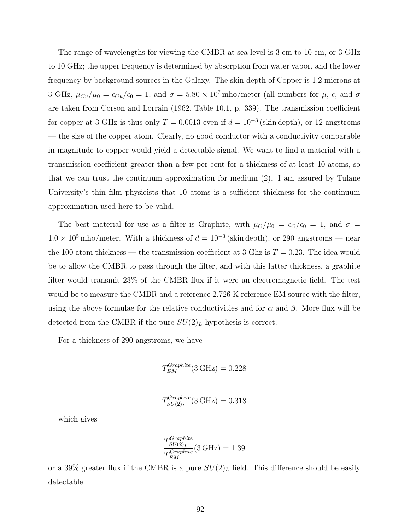The range of wavelengths for viewing the CMBR at sea level is 3 cm to 10 cm, or 3 GHz to 10 GHz; the upper frequency is determined by absorption from water vapor, and the lower frequency by background sources in the Galaxy. The skin depth of Copper is 1.2 microns at 3 GHz,  $\mu_{Cu}/\mu_0 = \epsilon_{Cu}/\epsilon_0 = 1$ , and  $\sigma = 5.80 \times 10^7$  mho/meter (all numbers for  $\mu$ ,  $\epsilon$ , and  $\sigma$ are taken from Corson and Lorrain (1962, Table 10.1, p. 339). The transmission coefficient for copper at 3 GHz is thus only  $T = 0.0013$  even if  $d = 10^{-3}$  (skin depth), or 12 angstroms — the size of the copper atom. Clearly, no good conductor with a conductivity comparable in magnitude to copper would yield a detectable signal. We want to find a material with a transmission coefficient greater than a few per cent for a thickness of at least 10 atoms, so that we can trust the continuum approximation for medium (2). I am assured by Tulane University's thin film physicists that 10 atoms is a sufficient thickness for the continuum approximation used here to be valid.

The best material for use as a filter is Graphite, with  $\mu_C/\mu_0 = \epsilon_C/\epsilon_0 = 1$ , and  $\sigma =$  $1.0 \times 10^5$  mho/meter. With a thickness of  $d = 10^{-3}$  (skin depth), or 290 angstroms — near the 100 atom thickness — the transmission coefficient at 3 Ghz is  $T = 0.23$ . The idea would be to allow the CMBR to pass through the filter, and with this latter thickness, a graphite filter would transmit 23% of the CMBR flux if it were an electromagnetic field. The test would be to measure the CMBR and a reference 2.726 K reference EM source with the filter, using the above formulae for the relative conductivities and for  $\alpha$  and  $\beta$ . More flux will be detected from the CMBR if the pure  $SU(2)_L$  hypothesis is correct.

For a thickness of 290 angstroms, we have

$$
T_{EM}^{Graphite} (3\,\text{GHz}) = 0.228
$$

$$
T_{SU(2)_L}^{Graphite} (3\,\text{GHz}) = 0.318
$$

which gives

$$
\frac{T_{SU(2)_L}^{Graphite}}{T_{EM}^{Graphite}}(3 \text{ GHz}) = 1.39
$$

or a 39% greater flux if the CMBR is a pure  $SU(2)_L$  field. This difference should be easily detectable.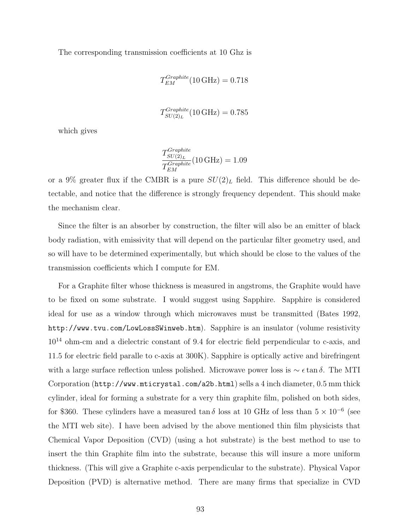The corresponding transmission coefficients at 10 Ghz is

$$
T_{EM}^{Graphite} (10 \,\text{GHz}) = 0.718
$$

$$
T_{SU(2)_L}^{Graphite} (10 \,\text{GHz}) = 0.785
$$

which gives

$$
\frac{T_{SU(2)_L}^{Graphite}}{T_{EM}^{Graphite}}(10\,\text{GHz}) = 1.09
$$

or a 9% greater flux if the CMBR is a pure  $SU(2)_L$  field. This difference should be detectable, and notice that the difference is strongly frequency dependent. This should make the mechanism clear.

Since the filter is an absorber by construction, the filter will also be an emitter of black body radiation, with emissivity that will depend on the particular filter geometry used, and so will have to be determined experimentally, but which should be close to the values of the transmission coefficients which I compute for EM.

For a Graphite filter whose thickness is measured in angstroms, the Graphite would have to be fixed on some substrate. I would suggest using Sapphire. Sapphire is considered ideal for use as a window through which microwaves must be transmitted (Bates 1992, http://www.tvu.com/LowLossSWinweb.htm). Sapphire is an insulator (volume resistivity  $10^{14}$  ohm-cm and a dielectric constant of 9.4 for electric field perpendicular to c-axis, and 11.5 for electric field paralle to c-axis at 300K). Sapphire is optically active and birefringent with a large surface reflection unless polished. Microwave power loss is  $\sim \epsilon \tan \delta$ . The MTI Corporation (http://www.mticrystal.com/a2b.html) sells a 4 inch diameter, 0.5 mm thick cylinder, ideal for forming a substrate for a very thin graphite film, polished on both sides, for \$360. These cylinders have a measured tan  $\delta$  loss at 10 GHz of less than  $5 \times 10^{-6}$  (see the MTI web site). I have been advised by the above mentioned thin film physicists that Chemical Vapor Deposition (CVD) (using a hot substrate) is the best method to use to insert the thin Graphite film into the substrate, because this will insure a more uniform thickness. (This will give a Graphite c-axis perpendicular to the substrate). Physical Vapor Deposition (PVD) is alternative method. There are many firms that specialize in CVD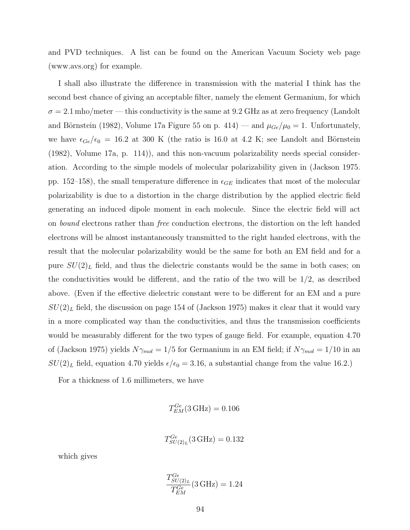and PVD techniques. A list can be found on the American Vacuum Society web page (www.avs.org) for example.

I shall also illustrate the difference in transmission with the material I think has the second best chance of giving an acceptable filter, namely the element Germanium, for which  $\sigma = 2.1$  mho/meter — this conductivity is the same at 9.2 GHz as at zero frequency (Landolt and Börnstein (1982), Volume 17a Figure 55 on p. 414) — and  $\mu_{Ge}/\mu_0 = 1$ . Unfortunately, we have  $\epsilon_{Ge}/\epsilon_0 = 16.2$  at 300 K (the ratio is 16.0 at 4.2 K; see Landolt and Börnstein (1982), Volume 17a, p. 114)), and this non-vacuum polarizability needs special consideration. According to the simple models of molecular polarizability given in (Jackson 1975. pp. 152–158), the small temperature difference in  $\epsilon_{GE}$  indicates that most of the molecular polarizability is due to a distortion in the charge distribution by the applied electric field generating an induced dipole moment in each molecule. Since the electric field will act on bound electrons rather than free conduction electrons, the distortion on the left handed electrons will be almost instantaneously transmitted to the right handed electrons, with the result that the molecular polarizability would be the same for both an EM field and for a pure  $SU(2)_L$  field, and thus the dielectric constants would be the same in both cases; on the conductivities would be different, and the ratio of the two will be  $1/2$ , as described above. (Even if the effective dielectric constant were to be different for an EM and a pure  $SU(2)_L$  field, the discussion on page 154 of (Jackson 1975) makes it clear that it would vary in a more complicated way than the conductivities, and thus the transmission coefficients would be measurably different for the two types of gauge field. For example, equation 4.70 of (Jackson 1975) yields  $N \gamma_{mol} = 1/5$  for Germanium in an EM field; if  $N \gamma_{mol} = 1/10$  in an  $SU(2)_L$  field, equation 4.70 yields  $\epsilon/\epsilon_0 = 3.16$ , a substantial change from the value 16.2.)

For a thickness of 1.6 millimeters, we have

$$
T_{EM}^{Ge}(3\,\mathrm{GHz})=0.106
$$

$$
T_{SU(2)_L}^{Ge}(3\,\text{GHz}) = 0.132
$$

which gives

$$
\frac{T_{SU(2)_L}^{Ge}}{T_{EM}^{Ge}}(3\,\text{GHz}) = 1.24
$$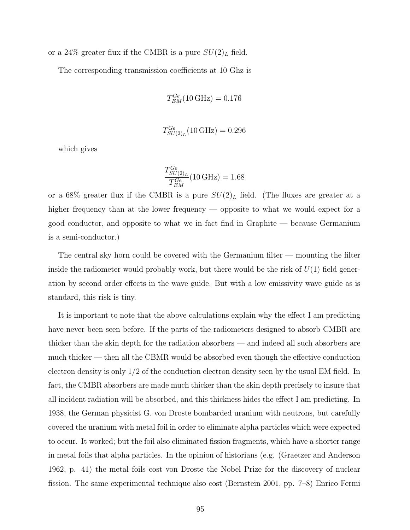or a 24% greater flux if the CMBR is a pure  $SU(2)_L$  field.

The corresponding transmission coefficients at 10 Ghz is

$$
T_{EM}^{Ge}(10\,\text{GHz}) = 0.176
$$

$$
T_{SU(2)_L}^{Ge}(10\,\text{GHz}) = 0.296
$$

which gives

$$
\frac{T_{SU(2)_L}^{Ge}}{T_{EM}^{Ge}}(10\,\text{GHz}) = 1.68
$$

or a 68% greater flux if the CMBR is a pure  $SU(2)_L$  field. (The fluxes are greater at a higher frequency than at the lower frequency — opposite to what we would expect for a good conductor, and opposite to what we in fact find in Graphite — because Germanium is a semi-conductor.)

The central sky horn could be covered with the Germanium filter — mounting the filter inside the radiometer would probably work, but there would be the risk of  $U(1)$  field generation by second order effects in the wave guide. But with a low emissivity wave guide as is standard, this risk is tiny.

It is important to note that the above calculations explain why the effect I am predicting have never been seen before. If the parts of the radiometers designed to absorb CMBR are thicker than the skin depth for the radiation absorbers — and indeed all such absorbers are much thicker — then all the CBMR would be absorbed even though the effective conduction electron density is only 1/2 of the conduction electron density seen by the usual EM field. In fact, the CMBR absorbers are made much thicker than the skin depth precisely to insure that all incident radiation will be absorbed, and this thickness hides the effect I am predicting. In 1938, the German physicist G. von Droste bombarded uranium with neutrons, but carefully covered the uranium with metal foil in order to eliminate alpha particles which were expected to occur. It worked; but the foil also eliminated fission fragments, which have a shorter range in metal foils that alpha particles. In the opinion of historians (e.g. (Graetzer and Anderson 1962, p. 41) the metal foils cost von Droste the Nobel Prize for the discovery of nuclear fission. The same experimental technique also cost (Bernstein 2001, pp. 7–8) Enrico Fermi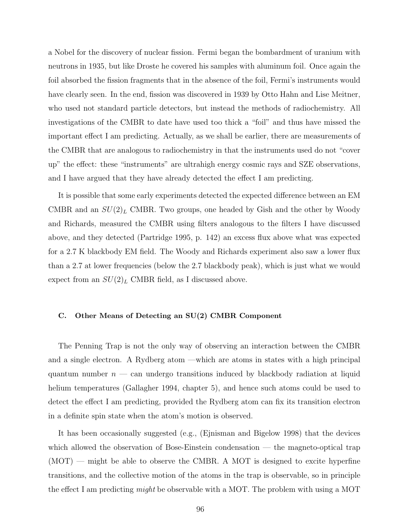a Nobel for the discovery of nuclear fission. Fermi began the bombardment of uranium with neutrons in 1935, but like Droste he covered his samples with aluminum foil. Once again the foil absorbed the fission fragments that in the absence of the foil, Fermi's instruments would have clearly seen. In the end, fission was discovered in 1939 by Otto Hahn and Lise Meitner, who used not standard particle detectors, but instead the methods of radiochemistry. All investigations of the CMBR to date have used too thick a "foil" and thus have missed the important effect I am predicting. Actually, as we shall be earlier, there are measurements of the CMBR that are analogous to radiochemistry in that the instruments used do not "cover up" the effect: these "instruments" are ultrahigh energy cosmic rays and SZE observations, and I have argued that they have already detected the effect I am predicting.

It is possible that some early experiments detected the expected difference between an EM CMBR and an  $SU(2)_L$  CMBR. Two groups, one headed by Gish and the other by Woody and Richards, measured the CMBR using filters analogous to the filters I have discussed above, and they detected (Partridge 1995, p. 142) an excess flux above what was expected for a 2.7 K blackbody EM field. The Woody and Richards experiment also saw a lower flux than a 2.7 at lower frequencies (below the 2.7 blackbody peak), which is just what we would expect from an  $SU(2)_L$  CMBR field, as I discussed above.

### C. Other Means of Detecting an SU(2) CMBR Component

The Penning Trap is not the only way of observing an interaction between the CMBR and a single electron. A Rydberg atom —which are atoms in states with a high principal quantum number  $n$  — can undergo transitions induced by blackbody radiation at liquid helium temperatures (Gallagher 1994, chapter 5), and hence such atoms could be used to detect the effect I am predicting, provided the Rydberg atom can fix its transition electron in a definite spin state when the atom's motion is observed.

It has been occasionally suggested (e.g., (Ejnisman and Bigelow 1998) that the devices which allowed the observation of Bose-Einstein condensation — the magneto-optical trap  $(MOT)$  — might be able to observe the CMBR. A MOT is designed to excite hyperfine transitions, and the collective motion of the atoms in the trap is observable, so in principle the effect I am predicting *might* be observable with a MOT. The problem with using a MOT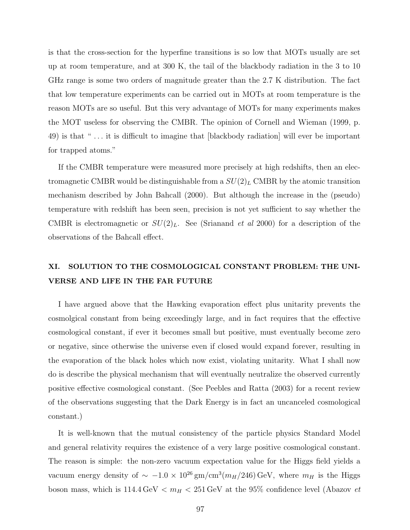is that the cross-section for the hyperfine transitions is so low that MOTs usually are set up at room temperature, and at 300 K, the tail of the blackbody radiation in the 3 to 10 GHz range is some two orders of magnitude greater than the 2.7 K distribution. The fact that low temperature experiments can be carried out in MOTs at room temperature is the reason MOTs are so useful. But this very advantage of MOTs for many experiments makes the MOT useless for observing the CMBR. The opinion of Cornell and Wieman (1999, p. 49) is that " . . . it is difficult to imagine that [blackbody radiation] will ever be important for trapped atoms."

If the CMBR temperature were measured more precisely at high redshifts, then an electromagnetic CMBR would be distinguishable from a  $SU(2)_L$  CMBR by the atomic transition mechanism described by John Bahcall (2000). But although the increase in the (pseudo) temperature with redshift has been seen, precision is not yet sufficient to say whether the CMBR is electromagnetic or  $SU(2)_L$ . See (Srianand *et al* 2000) for a description of the observations of the Bahcall effect.

# XI. SOLUTION TO THE COSMOLOGICAL CONSTANT PROBLEM: THE UNI-VERSE AND LIFE IN THE FAR FUTURE

I have argued above that the Hawking evaporation effect plus unitarity prevents the cosmolgical constant from being exceedingly large, and in fact requires that the effective cosmological constant, if ever it becomes small but positive, must eventually become zero or negative, since otherwise the universe even if closed would expand forever, resulting in the evaporation of the black holes which now exist, violating unitarity. What I shall now do is describe the physical mechanism that will eventually neutralize the observed currently positive effective cosmological constant. (See Peebles and Ratta (2003) for a recent review of the observations suggesting that the Dark Energy is in fact an uncanceled cosmological constant.)

It is well-known that the mutual consistency of the particle physics Standard Model and general relativity requires the existence of a very large positive cosmological constant. The reason is simple: the non-zero vacuum expectation value for the Higgs field yields a vacuum energy density of  $\sim -1.0 \times 10^{26}$  gm/cm<sup>3</sup>( $m_H/246$ ) GeV, where  $m_H$  is the Higgs boson mass, which is  $114.4 \,\text{GeV} < m_H < 251 \,\text{GeV}$  at the 95% confidence level (Abazov *et*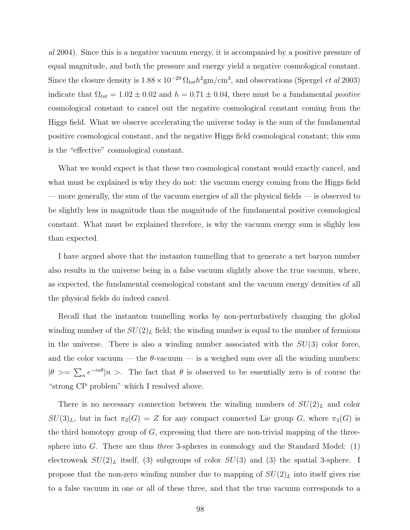al 2004). Since this is a negative vacuum energy, it is accompanied by a positive pressure of equal magnitude, and both the pressure and energy yield a negative cosmological constant. Since the closure density is  $1.88 \times 10^{-29} \Omega_{tot} h^2 g m / cm^3$ , and observations (Spergel *et al* 2003) indicate that  $\Omega_{tot} = 1.02 \pm 0.02$  and  $h = 0.71 \pm 0.04$ , there must be a fundamental *positive* cosmological constant to cancel out the negative cosmological constant coming from the Higgs field. What we observe accelerating the universe today is the sum of the fundamental positive cosmological constant, and the negative Higgs field cosmological constant; this sum is the "effective" cosmological constant.

What we would expect is that these two cosmological constant would exactly cancel, and what must be explained is why they do not: the vacuum energy coming from the Higgs field — more generally, the sum of the vacuum energies of all the physical fields — is observed to be slightly less in magnitude than the magnitude of the fundamental positive cosmological constant. What must be explained therefore, is why the vacuum energy sum is slighly less than expected.

I have argued above that the instanton tunnelling that to generate a net baryon number also results in the universe being in a false vacuum slightly above the true vacuum, where, as expected, the fundamental cosmological constant and the vacuum energy densities of all the physical fields do indeed cancel.

Recall that the instanton tunnelling works by non-perturbatively changing the global winding number of the  $SU(2)_L$  field; the winding number is equal to the number of fermions in the universe. There is also a winding number associated with the  $SU(3)$  color force, and the color vacuum — the  $\theta$ -vacuum — is a weighed sum over all the winding numbers:  $|\theta\rangle = \sum_n e^{-in\theta} |n\rangle$ . The fact that  $\theta$  is observed to be essentially zero is of course the "strong CP problem" which I resolved above.

There is no necessary connection between the winding numbers of  $SU(2)_L$  and color  $SU(3)<sub>L</sub>$ , but in fact  $\pi_3(G) = Z$  for any compact connected Lie group G, where  $\pi_3(G)$  is the third homotopy group of  $G$ , expressing that there are non-trivial mapping of the threesphere into G. There are thus *three* 3-spheres in cosmology and the Standard Model:  $(1)$ electroweak  $SU(2)_L$  itself, (3) subgroups of color  $SU(3)$  and (3) the spatial 3-sphere. I propose that the non-zero winding number due to mapping of  $SU(2)_L$  into itself gives rise to a false vacuum in one or all of these three, and that the true vacuum corresponds to a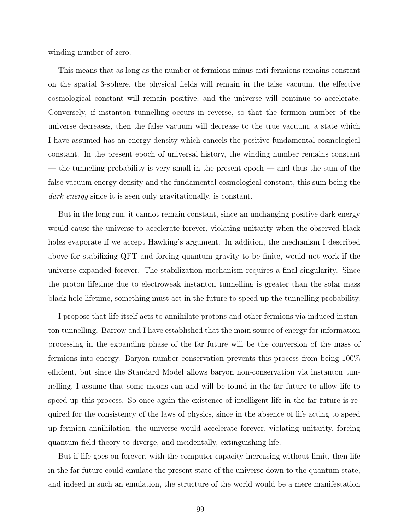winding number of zero.

This means that as long as the number of fermions minus anti-fermions remains constant on the spatial 3-sphere, the physical fields will remain in the false vacuum, the effective cosmological constant will remain positive, and the universe will continue to accelerate. Conversely, if instanton tunnelling occurs in reverse, so that the fermion number of the universe decreases, then the false vacuum will decrease to the true vacuum, a state which I have assumed has an energy density which cancels the positive fundamental cosmological constant. In the present epoch of universal history, the winding number remains constant — the tunneling probability is very small in the present epoch — and thus the sum of the false vacuum energy density and the fundamental cosmological constant, this sum being the dark energy since it is seen only gravitationally, is constant.

But in the long run, it cannot remain constant, since an unchanging positive dark energy would cause the universe to accelerate forever, violating unitarity when the observed black holes evaporate if we accept Hawking's argument. In addition, the mechanism I described above for stabilizing QFT and forcing quantum gravity to be finite, would not work if the universe expanded forever. The stabilization mechanism requires a final singularity. Since the proton lifetime due to electroweak instanton tunnelling is greater than the solar mass black hole lifetime, something must act in the future to speed up the tunnelling probability.

I propose that life itself acts to annihilate protons and other fermions via induced instanton tunnelling. Barrow and I have established that the main source of energy for information processing in the expanding phase of the far future will be the conversion of the mass of fermions into energy. Baryon number conservation prevents this process from being 100% efficient, but since the Standard Model allows baryon non-conservation via instanton tunnelling, I assume that some means can and will be found in the far future to allow life to speed up this process. So once again the existence of intelligent life in the far future is required for the consistency of the laws of physics, since in the absence of life acting to speed up fermion annihilation, the universe would accelerate forever, violating unitarity, forcing quantum field theory to diverge, and incidentally, extinguishing life.

But if life goes on forever, with the computer capacity increasing without limit, then life in the far future could emulate the present state of the universe down to the quantum state, and indeed in such an emulation, the structure of the world would be a mere manifestation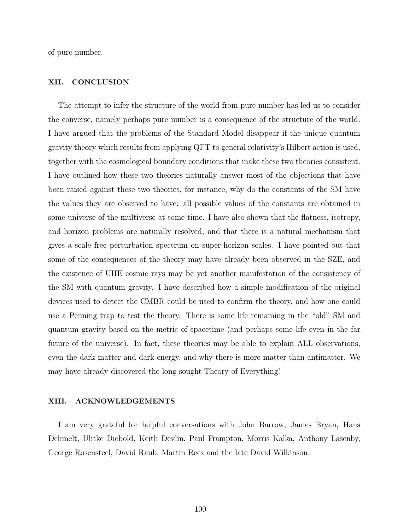of pure number.

## XII. CONCLUSION

The attempt to infer the structure of the world from pure number has led us to consider the converse, namely perhaps pure number is a consequence of the structure of the world. I have argued that the problems of the Standard Model disappear if the unique quantum gravity theory which results from applying QFT to general relativity's Hilbert action is used, together with the cosmological boundary conditions that make these two theories consistent. I have outlined how these two theories naturally answer most of the objections that have been raised against these two theories, for instance, why do the constants of the SM have the values they are observed to have: all possible values of the constants are obtained in some universe of the multiverse at some time. I have also shown that the flatness, isotropy, and horizon problems are naturally resolved, and that there is a natural mechanism that gives a scale free perturbation spectrum on super-horizon scales. I have pointed out that some of the consequences of the theory may have already been observed in the SZE, and the existence of UHE cosmic rays may be yet another manifestation of the consistency of the SM with quantum gravity. I have described how a simple modification of the original devices used to detect the CMBR could be used to confirm the theory, and how one could use a Penning trap to test the theory. There is some life remaining in the "old" SM and quantum gravity based on the metric of spacetime (and perhaps some life even in the far future of the universe). In fact, these theories may be able to explain ALL observations, even the dark matter and dark energy, and why there is more matter than antimatter. We may have already discovered the long sought Theory of Everything!

### XIII. ACKNOWLEDGEMENTS

I am very grateful for helpful conversations with John Barrow, James Bryan, Hans Dehmelt, Ulrike Diebold, Keith Devlin, Paul Frampton, Morris Kalka, Anthony Lasenby, George Rosensteel, David Raub, Martin Rees and the late David Wilkinson.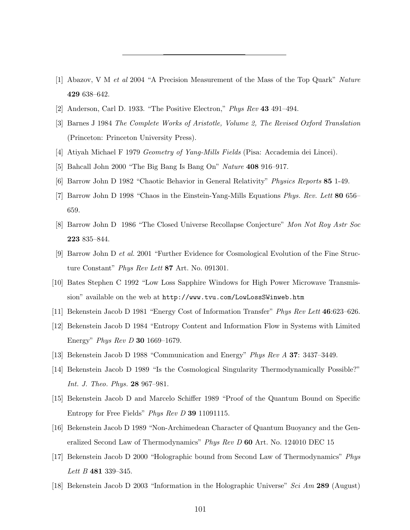- [1] Abazov, V M et al 2004 "A Precision Measurement of the Mass of the Top Quark" Nature 429 638–642.
- [2] Anderson, Carl D. 1933. "The Positive Electron," Phys Rev 43 491–494.
- [3] Barnes J 1984 The Complete Works of Aristotle, Volume 2, The Revised Oxford Translation (Princeton: Princeton University Press).
- [4] Atiyah Michael F 1979 Geometry of Yang-Mills Fields (Pisa: Accademia dei Lincei).
- [5] Bahcall John 2000 "The Big Bang Is Bang On" Nature 408 916–917.
- [6] Barrow John D 1982 "Chaotic Behavior in General Relativity" Physics Reports 85 1-49.
- [7] Barrow John D 1998 "Chaos in the Einstein-Yang-Mills Equations Phys. Rev. Lett 80 656– 659.
- [8] Barrow John D 1986 "The Closed Universe Recollapse Conjecture" Mon Not Roy Astr Soc 223 835–844.
- [9] Barrow John D et al. 2001 "Further Evidence for Cosmological Evolution of the Fine Structure Constant" Phys Rev Lett 87 Art. No. 091301.
- [10] Bates Stephen C 1992 "Low Loss Sapphire Windows for High Power Microwave Transmission" available on the web at http://www.tvu.com/LowLossSWinweb.htm
- [11] Bekenstein Jacob D 1981 "Energy Cost of Information Transfer" Phys Rev Lett 46:623–626.
- [12] Bekenstein Jacob D 1984 "Entropy Content and Information Flow in Systems with Limited Energy" Phys Rev D 30 1669–1679.
- [13] Bekenstein Jacob D 1988 "Communication and Energy" Phys Rev A 37: 3437–3449.
- [14] Bekenstein Jacob D 1989 "Is the Cosmological Singularity Thermodynamically Possible?" Int. J. Theo. Phys. 28 967–981.
- [15] Bekenstein Jacob D and Marcelo Schiffer 1989 "Proof of the Quantum Bound on Specific Entropy for Free Fields" Phys Rev D 39 11091115.
- [16] Bekenstein Jacob D 1989 "Non-Archimedean Character of Quantum Buoyancy and the Generalized Second Law of Thermodynamics" Phys Rev D 60 Art. No. 124010 DEC 15
- [17] Bekenstein Jacob D 2000 "Holographic bound from Second Law of Thermodynamics" Phys Lett B 481 339-345.
- [18] Bekenstein Jacob D 2003 "Information in the Holographic Universe" Sci Am 289 (August)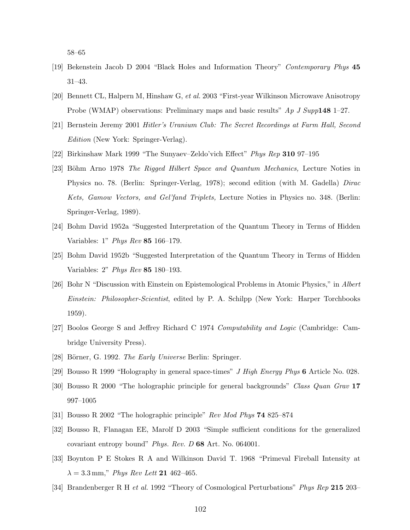58–65

- [19] Bekenstein Jacob D 2004 "Black Holes and Information Theory" Contemporary Phys 45 31–43.
- [20] Bennett CL, Halpern M, Hinshaw G, et al. 2003 "First-year Wilkinson Microwave Anisotropy Probe (WMAP) observations: Preliminary maps and basic results"  $Ap \, J \, Supp148 \, 1-27$ .
- [21] Bernstein Jeremy 2001 Hitler's Uranium Club: The Secret Recordings at Farm Hall, Second Edition (New York: Springer-Verlag).
- [22] Birkinshaw Mark 1999 "The Sunyaev–Zeldo'vich Effect" Phys Rep 310 97–195
- [23] Böhm Arno 1978 The Rigged Hilbert Space and Quantum Mechanics, Lecture Noties in Physics no. 78. (Berlin: Springer-Verlag, 1978); second edition (with M. Gadella) Dirac Kets, Gamow Vectors, and Gel'fand Triplets, Lecture Noties in Physics no. 348. (Berlin: Springer-Verlag, 1989).
- [24] Bohm David 1952a "Suggested Interpretation of the Quantum Theory in Terms of Hidden Variables: 1" Phys Rev 85 166–179.
- [25] Bohm David 1952b "Suggested Interpretation of the Quantum Theory in Terms of Hidden Variables: 2" Phys Rev 85 180–193.
- [26] Bohr N "Discussion with Einstein on Epistemological Problems in Atomic Physics," in Albert Einstein: Philosopher-Scientist, edited by P. A. Schilpp (New York: Harper Torchbooks 1959).
- [27] Boolos George S and Jeffrey Richard C 1974 Computability and Logic (Cambridge: Cambridge University Press).
- [28] Börner, G. 1992. The Early Universe Berlin: Springer.
- [29] Bousso R 1999 "Holography in general space-times" J High Energy Phys 6 Article No. 028.
- [30] Bousso R 2000 "The holographic principle for general backgrounds" Class Quan Grav 17 997–1005
- [31] Bousso R 2002 "The holographic principle" Rev Mod Phys 74 825–874
- [32] Bousso R, Flanagan EE, Marolf D 2003 "Simple sufficient conditions for the generalized covariant entropy bound" Phys. Rev. D 68 Art. No. 064001.
- [33] Boynton P E Stokes R A and Wilkinson David T. 1968 "Primeval Fireball Intensity at  $\lambda = 3.3 \,\mathrm{mm}$ ," Phys Rev Lett 21 462–465.
- [34] Brandenberger R H et al. 1992 "Theory of Cosmological Perturbations" Phys Rep 215 203–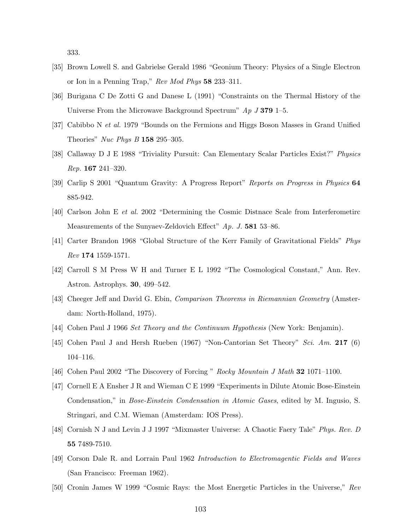333.

- [35] Brown Lowell S. and Gabrielse Gerald 1986 "Geonium Theory: Physics of a Single Electron or Ion in a Penning Trap," Rev Mod Phys 58 233–311.
- [36] Burigana C De Zotti G and Danese L (1991) "Constraints on the Thermal History of the Universe From the Microwave Background Spectrum"  $Ap \, J \, 379 \, 1-5$ .
- [37] Cabibbo N et al. 1979 "Bounds on the Fermions and Higgs Boson Masses in Grand Unified Theories" Nuc Phys B 158 295–305.
- [38] Callaway D J E 1988 "Triviality Pursuit: Can Elementary Scalar Particles Exist?" Physics Rep. 167 241–320.
- [39] Carlip S 2001 "Quantum Gravity: A Progress Report" Reports on Progress in Physics 64 885-942.
- [40] Carlson John E et al. 2002 "Determining the Cosmic Distnace Scale from Interferometirc Measurements of the Sunyaev-Zeldovich Effect" Ap. J. 581 53-86.
- [41] Carter Brandon 1968 "Global Structure of the Kerr Family of Gravitational Fields" Phys Rev 174 1559-1571.
- [42] Carroll S M Press W H and Turner E L 1992 "The Cosmological Constant," Ann. Rev. Astron. Astrophys. 30, 499–542.
- [43] Cheeger Jeff and David G. Ebin, Comparison Theorems in Riemannian Geometry (Amsterdam: North-Holland, 1975).
- [44] Cohen Paul J 1966 Set Theory and the Continuum Hypothesis (New York: Benjamin).
- [45] Cohen Paul J and Hersh Rueben (1967) "Non-Cantorian Set Theory" Sci. Am. 217 (6) 104–116.
- [46] Cohen Paul 2002 "The Discovery of Forcing " Rocky Mountain J Math 32 1071–1100.
- [47] Cornell E A Ensher J R and Wieman C E 1999 "Experiments in Dilute Atomic Bose-Einstein Condensation," in Bose-Einstein Condensation in Atomic Gases, edited by M. Ingusio, S. Stringari, and C.M. Wieman (Amsterdam: IOS Press).
- [48] Cornish N J and Levin J J 1997 "Mixmaster Universe: A Chaotic Faery Tale" Phys. Rev. D 55 7489-7510.
- [49] Corson Dale R. and Lorrain Paul 1962 Introduction to Electromagentic Fields and Waves (San Francisco: Freeman 1962).
- [50] Cronin James W 1999 "Cosmic Rays: the Most Energetic Particles in the Universe," Rev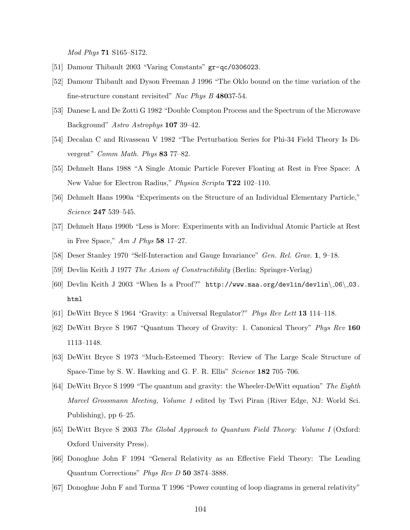Mod Phys 71 S165–S172.

- [51] Damour Thibault 2003 "Varing Constants" gr-qc/0306023.
- [52] Damour Thibault and Dyson Freeman J 1996 "The Oklo bound on the time variation of the fine-structure constant revisited" Nuc Phys B 48037-54.
- [53] Danese L and De Zotti G 1982 "Double Compton Process and the Spectrum of the Microwave Background" Astro Astrophys 107 39–42.
- [54] Decalan C and Rivasseau V 1982 "The Perturbation Series for Phi-34 Field Theory Is Divergent" Comm Math. Phys 83 77–82.
- [55] Dehmelt Hans 1988 "A Single Atomic Particle Forever Floating at Rest in Free Space: A New Value for Electron Radius," Physica Scripta T22 102–110.
- [56] Dehmelt Hans 1990a "Experiments on the Structure of an Individual Elementary Particle," Science 247 539–545.
- [57] Dehmelt Hans 1990b "Less is More: Experiments with an Individual Atomic Particle at Rest in Free Space,"  $Am\,J\,Phys$  58 17–27.
- [58] Deser Stanley 1970 "Self-Interaction and Gauge Invariance" Gen. Rel. Grav. 1, 9–18.
- [59] Devlin Keith J 1977 The Axiom of Constructibility (Berlin: Springer-Verlag)
- [60] Devlin Keith J 2003 "When Is a Proof?" http://www.maa.org/devlin/devlin\ 06\ 03. html
- [61] DeWitt Bryce S 1964 "Gravity: a Universal Regulator?" Phys Rev Lett 13 114–118.
- [62] DeWitt Bryce S 1967 "Quantum Theory of Gravity: 1. Canonical Theory" Phys Rev 160 1113–1148.
- [63] DeWitt Bryce S 1973 "Much-Esteemed Theory: Review of The Large Scale Structure of Space-Time by S. W. Hawking and G. F. R. Ellis" Science 182 705–706.
- [64] DeWitt Bryce S 1999 "The quantum and gravity: the Wheeler-DeWitt equation" The Eighth Marcel Grossmann Meeting, Volume 1 edited by Tsvi Piran (River Edge, NJ: World Sci. Publishing), pp 6–25.
- [65] DeWitt Bryce S 2003 The Global Approach to Quantum Field Theory: Volume I (Oxford: Oxford University Press).
- [66] Donoghue John F 1994 "General Relativity as an Effective Field Theory: The Leading Quantum Corrections" Phys Rev D 50 3874–3888.
- [67] Donoghue John F and Torma T 1996 "Power counting of loop diagrams in general relativity"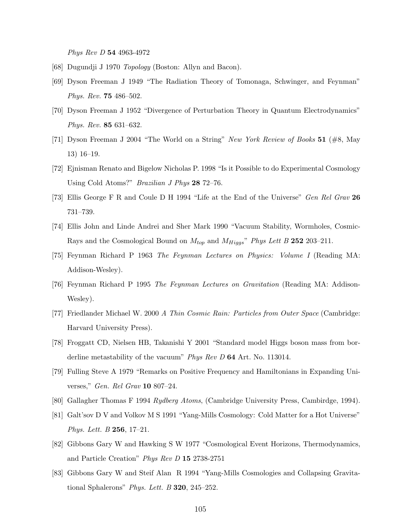Phys Rev D 54 4963-4972

- [68] Dugundji J 1970 Topology (Boston: Allyn and Bacon).
- [69] Dyson Freeman J 1949 "The Radiation Theory of Tomonaga, Schwinger, and Feynman" Phys. Rev. 75 486–502.
- [70] Dyson Freeman J 1952 "Divergence of Perturbation Theory in Quantum Electrodynamics" Phys. Rev. 85 631–632.
- [71] Dyson Freeman J 2004 "The World on a String" New York Review of Books  $51$  (#8, May 13) 16–19.
- [72] Ejnisman Renato and Bigelow Nicholas P. 1998 "Is it Possible to do Experimental Cosmology Using Cold Atoms?" Brazilian J Phys 28 72–76.
- [73] Ellis George F R and Coule D H 1994 "Life at the End of the Universe" Gen Rel Grav 26 731–739.
- [74] Ellis John and Linde Andrei and Sher Mark 1990 "Vacuum Stability, Wormholes, Cosmic-Rays and the Cosmological Bound on  $M_{top}$  and  $M_{Higgs}$ " Phys Lett B 252 203–211.
- [75] Feynman Richard P 1963 The Feynman Lectures on Physics: Volume I (Reading MA: Addison-Wesley).
- [76] Feynman Richard P 1995 The Feynman Lectures on Gravitation (Reading MA: Addison-Wesley).
- [77] Friedlander Michael W. 2000 A Thin Cosmic Rain: Particles from Outer Space (Cambridge: Harvard University Press).
- [78] Froggatt CD, Nielsen HB, Takanishi Y 2001 "Standard model Higgs boson mass from borderline metastability of the vacuum" Phys Rev D 64 Art. No. 113014.
- [79] Fulling Steve A 1979 "Remarks on Positive Frequency and Hamiltonians in Expanding Universes," Gen. Rel Grav 10 807–24.
- [80] Gallagher Thomas F 1994 Rydberg Atoms, (Cambridge University Press, Cambirdge, 1994).
- [81] Galt'sov D V and Volkov M S 1991 "Yang-Mills Cosmology: Cold Matter for a Hot Universe" Phys. Lett. B 256, 17–21.
- [82] Gibbons Gary W and Hawking S W 1977 "Cosmological Event Horizons, Thermodynamics, and Particle Creation" Phys Rev D 15 2738-2751
- [83] Gibbons Gary W and Steif Alan R 1994 "Yang-Mills Cosmologies and Collapsing Gravitational Sphalerons" Phys. Lett. B  $320$ ,  $245-252$ .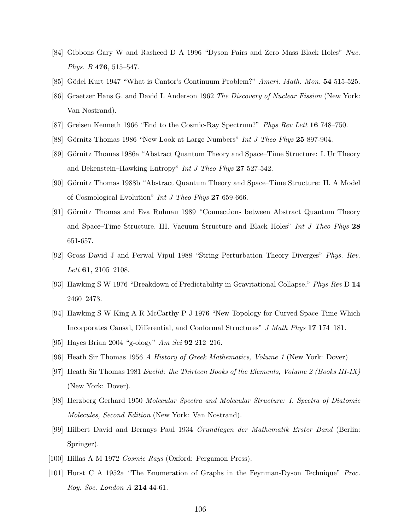- [84] Gibbons Gary W and Rasheed D A 1996 "Dyson Pairs and Zero Mass Black Holes" Nuc. Phys. B 476, 515–547.
- [85] Gödel Kurt 1947 "What is Cantor's Continuum Problem?" Ameri. Math. Mon. 54 515-525.
- [86] Graetzer Hans G. and David L Anderson 1962 The Discovery of Nuclear Fission (New York: Van Nostrand).
- [87] Greisen Kenneth 1966 "End to the Cosmic-Ray Spectrum?" Phys Rev Lett 16 748–750.
- [88] Görnitz Thomas 1986 "New Look at Large Numbers" Int J Theo Phys 25 897-904.
- [89] Görnitz Thomas 1986a "Abstract Quantum Theory and Space–Time Structure: I. Ur Theory and Bekenstein–Hawking Entropy" Int J Theo Phys 27 527-542.
- [90] Görnitz Thomas 1988b "Abstract Quantum Theory and Space–Time Structure: II. A Model of Cosmological Evolution" Int J Theo Phys 27 659-666.
- [91] Görnitz Thomas and Eva Ruhnau 1989 "Connections between Abstract Quantum Theory and Space–Time Structure. III. Vacuum Structure and Black Holes" Int J Theo Phys 28 651-657.
- [92] Gross David J and Perwal Vipul 1988 "String Perturbation Theory Diverges" Phys. Rev. Lett **61**, 2105–2108.
- [93] Hawking S W 1976 "Breakdown of Predictability in Gravitational Collapse," Phys Rev D 14 2460–2473.
- [94] Hawking S W King A R McCarthy P J 1976 "New Topology for Curved Space-Time Which Incorporates Causal, Differential, and Conformal Structures" J Math Phys 17 174–181.
- [95] Hayes Brian 2004 "g-ology" Am Sci 92 212–216.
- [96] Heath Sir Thomas 1956 A History of Greek Mathematics, Volume 1 (New York: Dover)
- [97] Heath Sir Thomas 1981 Euclid: the Thirteen Books of the Elements, Volume 2 (Books III-IX) (New York: Dover).
- [98] Herzberg Gerhard 1950 Molecular Spectra and Molecular Structure: I. Spectra of Diatomic Molecules, Second Edition (New York: Van Nostrand).
- [99] Hilbert David and Bernays Paul 1934 Grundlagen der Mathematik Erster Band (Berlin: Springer).
- [100] Hillas A M 1972 *Cosmic Rays* (Oxford: Pergamon Press).
- [101] Hurst C A 1952a "The Enumeration of Graphs in the Feynman-Dyson Technique" Proc. Roy. Soc. London A 214 44-61.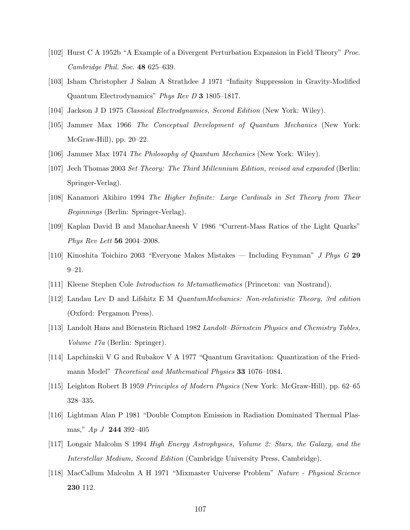- [102] Hurst C A 1952b "A Example of a Divergent Perturbation Expansion in Field Theory" Proc. Cambridge Phil. Soc. 48 625–639.
- [103] Isham Christopher J Salam A Strathdee J 1971 "Infinity Suppression in Gravity-Modified Quantum Electrodynamics" Phys Rev D 3 1805–1817.
- [104] Jackson J D 1975 Classical Electrodynamics, Second Edition (New York: Wiley).
- [105] Jammer Max 1966 The Conceptual Development of Quantum Mechanics (New York: McGraw-Hill), pp. 20–22.
- [106] Jammer Max 1974 The Philosophy of Quantum Mechanics (New York: Wiley).
- [107] Jech Thomas 2003 Set Theory: The Third Millennium Edition, revised and expanded (Berlin: Springer-Verlag).
- [108] Kanamori Akihiro 1994 The Higher Infinite: Large Cardinals in Set Theory from Their Beginnings (Berlin: Springer-Verlag).
- [109] Kaplan David B and ManoharAneesh V 1986 "Current-Mass Ratios of the Light Quarks" Phys Rev Lett 56 2004–2008.
- [110] Kinoshita Toichiro 2003 "Everyone Makes Mistakes Including Feynman" J Phys G 29 9–21.
- [111] Kleene Stephen Cole Introduction to Metamathematics (Princeton: van Nostrand).
- [112] Landau Lev D and Lifshitz E M QuantumMechanics: Non-relativistic Theory, 3rd edition (Oxford: Pergamon Press).
- [113] Landolt Hans and Börnstein Richard 1982 Landolt–Börnstein Physics and Chemistry Tables, Volume 17a (Berlin: Springer).
- [114] Lapchinskii V G and Rubakov V A 1977 "Quantum Gravitation: Quantization of the Friedmann Model" Theoretical and Mathematical Physics 33 1076–1084.
- [115] Leighton Robert B 1959 Principles of Modern Physics (New York: McGraw-Hill), pp. 62–65 328–335.
- [116] Lightman Alan P 1981 "Double Compton Emission in Radiation Dominated Thermal Plasmas," Ap J 244 392–405
- [117] Longair Malcolm S 1994 High Energy Astrophysics, Volume 2: Stars, the Galaxy, and the Interstellar Medium, Second Edition (Cambridge University Press, Cambridge).
- [118] MacCallum Malcolm A H 1971 "Mixmaster Universe Problem" Nature Physical Science 230 112.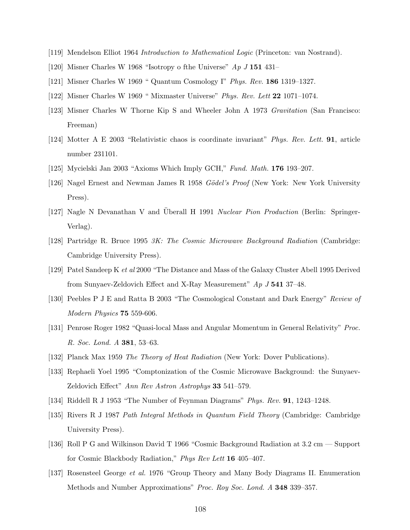- [119] Mendelson Elliot 1964 Introduction to Mathematical Logic (Princeton: van Nostrand).
- [120] Misner Charles W 1968 "Isotropy o fthe Universe"  $Ap$  J 151 431–
- [121] Misner Charles W 1969 " Quantum Cosmology I" Phys. Rev. 186 1319–1327.
- [122] Misner Charles W 1969 " Mixmaster Universe" Phys. Rev. Lett 22 1071–1074.
- [123] Misner Charles W Thorne Kip S and Wheeler John A 1973 Gravitation (San Francisco: Freeman)
- [124] Motter A E 2003 "Relativistic chaos is coordinate invariant" Phys. Rev. Lett. 91, article number 231101.
- [125] Mycielski Jan 2003 "Axioms Which Imply GCH," Fund. Math. 176 193–207.
- [126] Nagel Ernest and Newman James R 1958 Gödel's Proof (New York: New York University Press).
- [127] Nagle N Devanathan V and Überall H 1991 Nuclear Pion Production (Berlin: Springer-Verlag).
- [128] Partridge R. Bruce 1995 3K: The Cosmic Microwave Background Radiation (Cambridge: Cambridge University Press).
- [129] Patel Sandeep K et al 2000 "The Distance and Mass of the Galaxy Cluster Abell 1995 Derived from Sunyaev-Zeldovich Effect and X-Ray Measurement" Ap J 541 37–48.
- [130] Peebles P J E and Ratta B 2003 "The Cosmological Constant and Dark Energy" Review of Modern Physics 75 559-606.
- [131] Penrose Roger 1982 "Quasi-local Mass and Angular Momentum in General Relativity" Proc. R. Soc. Lond. A 381, 53–63.
- [132] Planck Max 1959 The Theory of Heat Radiation (New York: Dover Publications).
- [133] Rephaeli Yoel 1995 "Comptonization of the Cosmic Microwave Background: the Sunyaev-Zeldovich Effect" Ann Rev Astron Astrophys 33 541–579.
- [134] Riddell R J 1953 "The Number of Feynman Diagrams" Phys. Rev. 91, 1243–1248.
- [135] Rivers R J 1987 Path Integral Methods in Quantum Field Theory (Cambridge: Cambridge University Press).
- [136] Roll P G and Wilkinson David T 1966 "Cosmic Background Radiation at 3.2 cm Support for Cosmic Blackbody Radiation," Phys Rev Lett 16 405–407.
- [137] Rosensteel George et al. 1976 "Group Theory and Many Body Diagrams II. Enumeration Methods and Number Approximations" Proc. Roy Soc. Lond. A 348 339–357.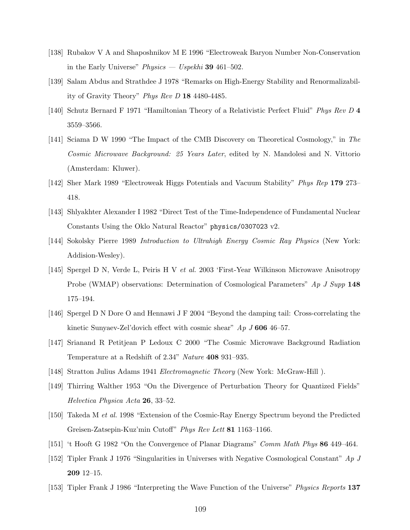- [138] Rubakov V A and Shaposhnikov M E 1996 "Electroweak Baryon Number Non-Conservation in the Early Universe"  $Physics - Usekhi$  39 461–502.
- [139] Salam Abdus and Strathdee J 1978 "Remarks on High-Energy Stability and Renormalizability of Gravity Theory" Phys Rev D 18 4480-4485.
- [140] Schutz Bernard F 1971 "Hamiltonian Theory of a Relativistic Perfect Fluid" Phys Rev D 4 3559–3566.
- [141] Sciama D W 1990 "The Impact of the CMB Discovery on Theoretical Cosmology," in The Cosmic Microwave Background: 25 Years Later, edited by N. Mandolesi and N. Vittorio (Amsterdam: Kluwer).
- [142] Sher Mark 1989 "Electroweak Higgs Potentials and Vacuum Stability" Phys Rep 179 273– 418.
- [143] Shlyakhter Alexander I 1982 "Direct Test of the Time-Independence of Fundamental Nuclear Constants Using the Oklo Natural Reactor" physics/0307023 v2.
- [144] Sokolsky Pierre 1989 Introduction to Ultrahigh Energy Cosmic Ray Physics (New York: Addision-Wesley).
- [145] Spergel D N, Verde L, Peiris H V et al. 2003 'First-Year Wilkinson Microwave Anisotropy Probe (WMAP) observations: Determination of Cosmological Parameters" Ap J Supp 148 175–194.
- [146] Spergel D N Dore O and Hennawi J F 2004 "Beyond the damping tail: Cross-correlating the kinetic Sunyaev-Zel'dovich effect with cosmic shear"  $Ap \, J \, 606 \, 46-57$ .
- [147] Srianand R Petitjean P Ledoux C 2000 "The Cosmic Microwave Background Radiation Temperature at a Redshift of 2.34" Nature 408 931–935.
- [148] Stratton Julius Adams 1941 Electromagnetic Theory (New York: McGraw-Hill ).
- [149] Thirring Walther 1953 "On the Divergence of Perturbation Theory for Quantized Fields" Helvetica Physica Acta 26, 33–52.
- [150] Takeda M et al. 1998 "Extension of the Cosmic-Ray Energy Spectrum beyond the Predicted Greisen-Zatsepin-Kuz'min Cutoff" Phys Rev Lett 81 1163–1166.
- [151] 't Hooft G 1982 "On the Convergence of Planar Diagrams" Comm Math Phys 86 449–464.
- [152] Tipler Frank J 1976 "Singularities in Universes with Negative Cosmological Constant" Ap J 209 12–15.
- [153] Tipler Frank J 1986 "Interpreting the Wave Function of the Universe" Physics Reports 137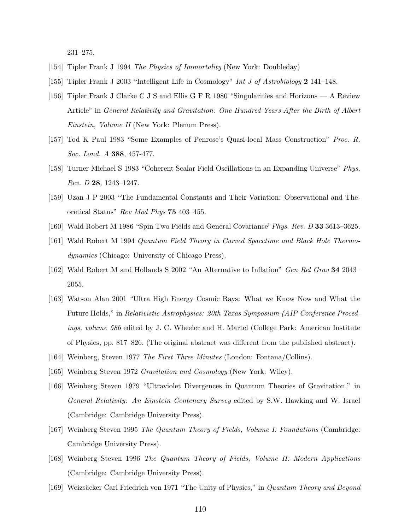231–275.

- [154] Tipler Frank J 1994 The Physics of Immortality (New York: Doubleday)
- [155] Tipler Frank J 2003 "Intelligent Life in Cosmology" Int J of Astrobiology 2 141–148.
- [156] Tipler Frank J Clarke C J S and Ellis G F R 1980 "Singularities and Horizons A Review Article" in General Relativity and Gravitation: One Hundred Years After the Birth of Albert Einstein, Volume II (New York: Plenum Press).
- [157] Tod K Paul 1983 "Some Examples of Penrose's Quasi-local Mass Construction" Proc. R. Soc. Lond. A 388, 457-477.
- [158] Turner Michael S 1983 "Coherent Scalar Field Oscillations in an Expanding Universe" Phys. Rev. D 28, 1243–1247.
- [159] Uzan J P 2003 "The Fundamental Constants and Their Variation: Observational and Theoretical Status" Rev Mod Phys 75 403–455.
- [160] Wald Robert M 1986 "Spin Two Fields and General Covariance"Phys. Rev. D 33 3613–3625.
- [161] Wald Robert M 1994 Quantum Field Theory in Curved Spacetime and Black Hole Thermodynamics (Chicago: University of Chicago Press).
- [162] Wald Robert M and Hollands S 2002 "An Alternative to Inflation" Gen Rel Grav 34 2043– 2055.
- [163] Watson Alan 2001 "Ultra High Energy Cosmic Rays: What we Know Now and What the Future Holds," in Relativistic Astrophysics: 20th Texas Symposium (AIP Conference Procedings, volume 586 edited by J. C. Wheeler and H. Martel (College Park: American Institute of Physics, pp. 817–826. (The original abstract was different from the published abstract).
- [164] Weinberg, Steven 1977 The First Three Minutes (London: Fontana/Collins).
- [165] Weinberg Steven 1972 *Gravitation and Cosmology* (New York: Wiley).
- [166] Weinberg Steven 1979 "Ultraviolet Divergences in Quantum Theories of Gravitation," in General Relativity: An Einstein Centenary Survey edited by S.W. Hawking and W. Israel (Cambridge: Cambridge University Press).
- [167] Weinberg Steven 1995 The Quantum Theory of Fields, Volume I: Foundations (Cambridge: Cambridge University Press).
- [168] Weinberg Steven 1996 The Quantum Theory of Fields, Volume II: Modern Applications (Cambridge: Cambridge University Press).
- [169] Weizsäcker Carl Friedrich von 1971 "The Unity of Physics," in Quantum Theory and Beyond